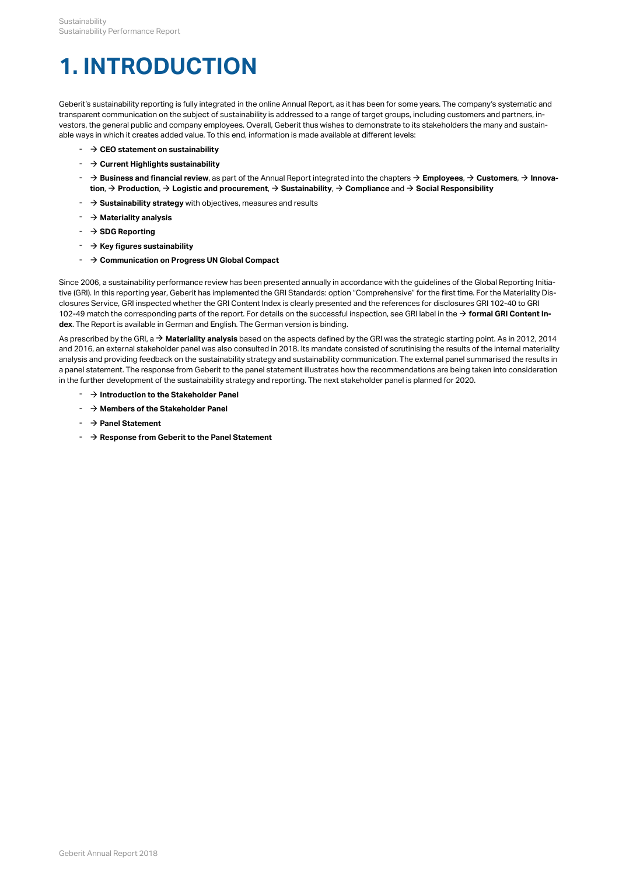Sustainability<br>
Sustainability Performance Report<br> **1. INTRODUCTION**<br>
Geberit's sustainability reporting is fully integrated in the online Annual Report, as it has been for some years. The company's systematic and<br>
transp Geberit's sustainability reporting is fully integrated in the online Annual Report, as it has been for some years. The company's systematic and transparent communication on the subject of sustainability is addressed to a range of target groups, including customers and partners, investors, the general public and company employees. Overall, Geberit thus wishes to demonstrate to its stakeholders the many and sustainable ways in which it creates added value. To this end, information is made available at different levels:

- $\rightarrow$  CEO statement on sustainability
- $\rightarrow$  **Current Highlights sustainability**
- **Business and financial review**, as part of the Annual Report integrated into the chapters → **[Employees](http://annualreport.geberit.com/reports/geberit/annual/2018/gb/English/10502040/employees.html)**, → **[Customers](http://annualreport.geberit.com/reports/geberit/annual/2018/gb/English/10502045/customers.html)**, → **[Innova](http://annualreport.geberit.com/reports/geberit/annual/2018/gb/English/10502050/innovation.html)tion**, **Production**, **[Logistic and procurement](http://annualreport.geberit.com/reports/geberit/annual/2018/gb/English/10502060/logistics-and-procurement.html)**, **[Sustainability](http://annualreport.geberit.com/reports/geberit/annual/2018/gb/English/10502065/sustainability.html)**, **[Compliance](http://annualreport.geberit.com/reports/geberit/annual/2018/gb/English/10502070/compliance.html)** and **[Social Responsibility](http://annualreport.geberit.com/reports/geberit/annual/2018/gb/English/10502075/social-responsibility.html)** \$ \$ [\\$](http://annualreport.geberit.com/reports/geberit/annual/2018/gb/English/10502065/sustainability.html) [\\$](http://annualreport.geberit.com/reports/geberit/annual/2018/gb/English/10502070/compliance.html) [\\$](http://annualreport.geberit.com/reports/geberit/annual/2018/gb/English/10502075/social-responsibility.html)
- **→ Sustainability strategy** with objectives, measures and results
- $\rightarrow$  Materiality analysis
- \$ **SDG Reporting**
- $\rightarrow$  [Key figures sustainability](http://annualreport.geberit.com/reports/geberit/annual/2018/gb/English/3070/key-figures-sustainability.html)
- **→ [Communication on Progress UN Global Compact](http://annualreport.geberit.com/geberit/annual/2018/gb/layout/../English/pdf/cop_ungc_2018_en.pdf)**

Since 2006, a sustainability performance review has been presented annually in accordance with the guidelines of the Global Reporting Initiative (GRI). In this reporting year, Geberit has implemented the GRI Standards: option "Comprehensive" for the first time. For the Materiality Disclosures Service, GRI inspected whether the GRI Content Index is clearly presented and the references for disclosures GRI 102-40 to GRI 102-49 match the corresponding parts of the report. For details on the successful inspection, see GRI label in the  $\to$  **[formal GRI Content In](http://annualreport.geberit.com/geberit/annual/2018/gb/layout/../English/pdf/gri_content_index_2018.pdf)[dex](http://annualreport.geberit.com/geberit/annual/2018/gb/layout/../English/pdf/gri_content_index_2018.pdf)**. The Report is available in German and English. The German version is binding.

As prescribed by the GRI, a → **[Materiality analysis](http://annualreport.geberit.com/reports/geberit/annual/2018/gb/English/3030/materiality-analysis.html)** based on the aspects defined by the GRI was the strategic starting point. As in 2012, 2014 and 2016, an external stakeholder panel was also consulted in 2018. Its mandate consisted of scrutinising the results of the internal materiality analysis and providing feedback on the sustainability strategy and sustainability communication. The external panel summarised the results in a panel statement. The response from Geberit to the panel statement illustrates how the recommendations are being taken into consideration in the further development of the sustainability strategy and reporting. The next stakeholder panel is planned for 2020.

- $\rightarrow$  **1ntroduction to the Stakeholder Panel**
- $\rightarrow$  [Members of the Stakeholder Panel](http://annualreport.geberit.com/geberit/annual/2018/gb/layout/../English/pdf/panel_members_2018.pdf)
- $\rightarrow$  **[Panel Statement](http://annualreport.geberit.com/geberit/annual/2018/gb/layout/../English/pdf/panel_statement_2018_en.pdf)**
- $\rightarrow$  **[Response from Geberit to the Panel Statement](http://annualreport.geberit.com/geberit/annual/2018/gb/layout/../English/pdf/response_geberit_panel_statement_2018.pdf)**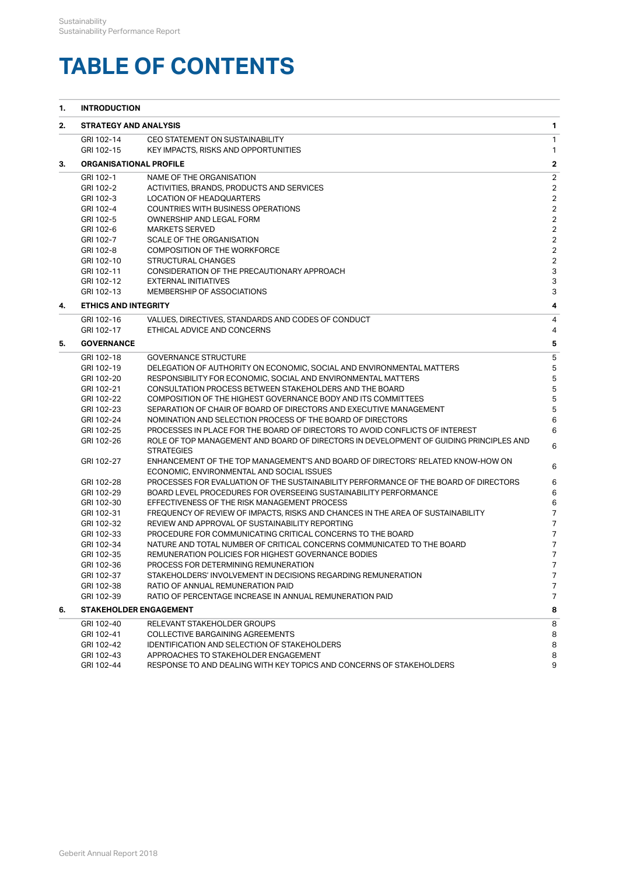# **TABLE OF CONTENTS**

|    | Sustainability<br>Sustainability Performance Report |                                                                                                             |                                  |
|----|-----------------------------------------------------|-------------------------------------------------------------------------------------------------------------|----------------------------------|
|    |                                                     |                                                                                                             |                                  |
|    |                                                     |                                                                                                             |                                  |
|    |                                                     |                                                                                                             |                                  |
|    |                                                     |                                                                                                             |                                  |
|    |                                                     |                                                                                                             |                                  |
|    |                                                     |                                                                                                             |                                  |
|    |                                                     |                                                                                                             |                                  |
|    |                                                     |                                                                                                             |                                  |
|    |                                                     | <b>TABLE OF CONTENTS</b>                                                                                    |                                  |
|    |                                                     |                                                                                                             |                                  |
|    |                                                     |                                                                                                             |                                  |
| 1. | <b>INTRODUCTION</b>                                 |                                                                                                             |                                  |
| 2. | <b>STRATEGY AND ANALYSIS</b>                        |                                                                                                             | 1                                |
|    | GRI 102-14                                          | <b>CEO STATEMENT ON SUSTAINABILITY</b>                                                                      | $\mathbf{1}$                     |
|    | GRI 102-15                                          | <b>KEY IMPACTS, RISKS AND OPPORTUNITIES</b>                                                                 | 1                                |
| З. | <b>ORGANISATIONAL PROFILE</b>                       |                                                                                                             | $\mathbf{2}$                     |
|    |                                                     |                                                                                                             |                                  |
|    | GRI 102-1<br>GRI 102-2                              | NAME OF THE ORGANISATION                                                                                    | $\overline{2}$<br>2              |
|    | GRI 102-3                                           | ACTIVITIES, BRANDS, PRODUCTS AND SERVICES<br>LOCATION OF HEADQUARTERS                                       | 2                                |
|    | GRI 102-4                                           | <b>COUNTRIES WITH BUSINESS OPERATIONS</b>                                                                   | $\overline{2}$                   |
|    | GRI 102-5                                           | OWNERSHIP AND LEGAL FORM                                                                                    | 2                                |
|    | GRI 102-6                                           | <b>MARKETS SERVED</b>                                                                                       | 2                                |
|    | GRI 102-7                                           | SCALE OF THE ORGANISATION                                                                                   | 2                                |
|    | GRI 102-8                                           | <b>COMPOSITION OF THE WORKFORCE</b>                                                                         | 2                                |
|    | GRI 102-10                                          | STRUCTURAL CHANGES                                                                                          | 2                                |
|    | GRI 102-11                                          | CONSIDERATION OF THE PRECAUTIONARY APPROACH                                                                 | 3                                |
|    | GRI 102-12                                          | <b>EXTERNAL INITIATIVES</b>                                                                                 | 3                                |
|    | GRI 102-13                                          | MEMBERSHIP OF ASSOCIATIONS                                                                                  | 3                                |
| 4. | <b>ETHICS AND INTEGRITY</b>                         |                                                                                                             | 4                                |
|    | GRI 102-16                                          | VALUES, DIRECTIVES, STANDARDS AND CODES OF CONDUCT                                                          | 4                                |
|    | GRI 102-17                                          | ETHICAL ADVICE AND CONCERNS                                                                                 | 4                                |
| 5. | <b>GOVERNANCE</b>                                   |                                                                                                             | 5                                |
|    | GRI 102-18                                          | <b>GOVERNANCE STRUCTURE</b>                                                                                 | 5                                |
|    | GRI 102-19                                          | DELEGATION OF AUTHORITY ON ECONOMIC, SOCIAL AND ENVIRONMENTAL MATTERS                                       |                                  |
|    | GRI 102-20                                          | RESPONSIBILITY FOR ECONOMIC, SOCIAL AND ENVIRONMENTAL MATTERS                                               | 5                                |
|    | GRI 102-21                                          | <b>CONSULTATION PROCESS BETWEEN STAKEHOLDERS AND THE BOARD</b>                                              | 5                                |
|    | GRI 102-22                                          | COMPOSITION OF THE HIGHEST GOVERNANCE BODY AND ITS COMMITTEES                                               | 5                                |
|    | GRI 102-23                                          | SEPARATION OF CHAIR OF BOARD OF DIRECTORS AND EXECUTIVE MANAGEMENT                                          |                                  |
|    | GRI 102-24                                          | NOMINATION AND SELECTION PROCESS OF THE BOARD OF DIRECTORS                                                  | 6                                |
|    | GRI 102-25                                          | PROCESSES IN PLACE FOR THE BOARD OF DIRECTORS TO AVOID CONFLICTS OF INTEREST                                | 6                                |
|    | GRI 102-26                                          | ROLE OF TOP MANAGEMENT AND BOARD OF DIRECTORS IN DEVELOPMENT OF GUIDING PRINCIPLES AND<br><b>STRATEGIES</b> | 6                                |
|    | GRI 102-27                                          | ENHANCEMENT OF THE TOP MANAGEMENT'S AND BOARD OF DIRECTORS' RELATED KNOW-HOW ON                             |                                  |
|    |                                                     | ECONOMIC, ENVIRONMENTAL AND SOCIAL ISSUES                                                                   | 6                                |
|    | GRI 102-28                                          | PROCESSES FOR EVALUATION OF THE SUSTAINABILITY PERFORMANCE OF THE BOARD OF DIRECTORS                        | 6                                |
|    | GRI 102-29                                          | BOARD LEVEL PROCEDURES FOR OVERSEEING SUSTAINABILITY PERFORMANCE                                            | 6                                |
|    | GRI 102-30                                          | EFFECTIVENESS OF THE RISK MANAGEMENT PROCESS                                                                | 6                                |
|    | GRI 102-31                                          | FREQUENCY OF REVIEW OF IMPACTS, RISKS AND CHANCES IN THE AREA OF SUSTAINABILITY                             | 7                                |
|    | GRI 102-32                                          | REVIEW AND APPROVAL OF SUSTAINABILITY REPORTING                                                             | 7                                |
|    | GRI 102-33                                          | PROCEDURE FOR COMMUNICATING CRITICAL CONCERNS TO THE BOARD                                                  | 7                                |
|    | GRI 102-34                                          | NATURE AND TOTAL NUMBER OF CRITICAL CONCERNS COMMUNICATED TO THE BOARD                                      | 7                                |
|    | GRI 102-35                                          | REMUNERATION POLICIES FOR HIGHEST GOVERNANCE BODIES                                                         | $\overline{7}$<br>$\overline{7}$ |
|    | GRI 102-36<br>GRI 102-37                            | PROCESS FOR DETERMINING REMUNERATION<br>STAKEHOLDERS' INVOLVEMENT IN DECISIONS REGARDING REMUNERATION       | $\overline{7}$                   |
|    | GRI 102-38                                          | RATIO OF ANNUAL REMUNERATION PAID                                                                           | 7                                |
|    | GRI 102-39                                          | RATIO OF PERCENTAGE INCREASE IN ANNUAL REMUNERATION PAID                                                    | $\overline{7}$                   |
| 6. | <b>STAKEHOLDER ENGAGEMENT</b>                       |                                                                                                             | 8                                |
|    |                                                     |                                                                                                             |                                  |
|    | GRI 102-40                                          | RELEVANT STAKEHOLDER GROUPS                                                                                 | 8<br>8                           |
|    | GRI 102-41<br>GRI 102-42                            | COLLECTIVE BARGAINING AGREEMENTS<br><b>IDENTIFICATION AND SELECTION OF STAKEHOLDERS</b>                     | 8                                |
|    | GRI 102-43                                          | APPROACHES TO STAKEHOLDER ENGAGEMENT                                                                        | 8                                |
|    | GRI 102-44                                          | RESPONSE TO AND DEALING WITH KEY TOPICS AND CONCERNS OF STAKEHOLDERS                                        | 9                                |
|    |                                                     |                                                                                                             |                                  |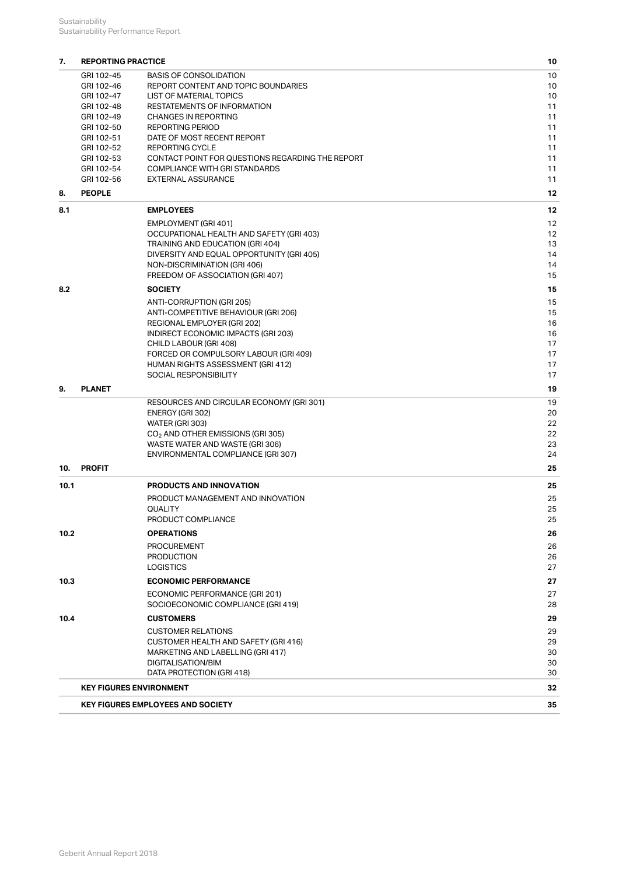|      | Sustainability                    |                                                                           |          |
|------|-----------------------------------|---------------------------------------------------------------------------|----------|
|      | Sustainability Performance Report |                                                                           |          |
|      |                                   |                                                                           |          |
| 7.   | <b>REPORTING PRACTICE</b>         |                                                                           | 10       |
|      | GRI 102-45<br>GRI 102-46          | <b>BASIS OF CONSOLIDATION</b><br>REPORT CONTENT AND TOPIC BOUNDARIES      | 10<br>10 |
|      | GRI 102-47                        | <b>LIST OF MATERIAL TOPICS</b>                                            | 10       |
|      | GRI 102-48                        | <b>RESTATEMENTS OF INFORMATION</b>                                        | 11       |
|      | GRI 102-49                        | <b>CHANGES IN REPORTING</b>                                               | 11       |
|      | GRI 102-50<br>GRI 102-51          | <b>REPORTING PERIOD</b><br>DATE OF MOST RECENT REPORT                     | 11<br>11 |
|      | GRI 102-52                        | <b>REPORTING CYCLE</b>                                                    | 11       |
|      | GRI 102-53                        | CONTACT POINT FOR QUESTIONS REGARDING THE REPORT                          | 11       |
|      | GRI 102-54                        | <b>COMPLIANCE WITH GRI STANDARDS</b>                                      | 11       |
|      | GRI 102-56                        | <b>EXTERNAL ASSURANCE</b>                                                 | 11       |
| 8.   | <b>PEOPLE</b>                     |                                                                           | 12       |
| 8.1  |                                   | <b>EMPLOYEES</b>                                                          | 12       |
|      |                                   | EMPLOYMENT (GRI 401)                                                      | 12       |
|      |                                   | OCCUPATIONAL HEALTH AND SAFETY (GRI 403)                                  | 12       |
|      |                                   | TRAINING AND EDUCATION (GRI 404)                                          | 13       |
|      |                                   | DIVERSITY AND EQUAL OPPORTUNITY (GRI 405)<br>NON-DISCRIMINATION (GRI 406) | 14<br>14 |
|      |                                   | FREEDOM OF ASSOCIATION (GRI 407)                                          | 15       |
| 8.2  |                                   | <b>SOCIETY</b>                                                            | 15       |
|      |                                   | ANTI-CORRUPTION (GRI 205)                                                 | 15       |
|      |                                   | ANTI-COMPETITIVE BEHAVIOUR (GRI 206)                                      | 15       |
|      |                                   | REGIONAL EMPLOYER (GRI 202)                                               | 16       |
|      |                                   | INDIRECT ECONOMIC IMPACTS (GRI 203)                                       | 16       |
|      |                                   | CHILD LABOUR (GRI 408)<br>FORCED OR COMPULSORY LABOUR (GRI 409)           | 17<br>17 |
|      |                                   | HUMAN RIGHTS ASSESSMENT (GRI 412)                                         | 17       |
|      |                                   | SOCIAL RESPONSIBILITY                                                     | 17       |
| 9.   | <b>PLANET</b>                     |                                                                           | 19       |
|      |                                   | RESOURCES AND CIRCULAR ECONOMY (GRI 301)                                  | 19       |
|      |                                   | ENERGY (GRI 302)                                                          | 20       |
|      |                                   | WATER (GRI 303)                                                           | 22       |
|      |                                   | CO <sub>2</sub> AND OTHER EMISSIONS (GRI 305)                             | 22       |
|      |                                   | WASTE WATER AND WASTE (GRI 306)<br>ENVIRONMENTAL COMPLIANCE (GRI 307)     | 23<br>24 |
|      | 10. PROFIT                        |                                                                           | 25       |
|      |                                   |                                                                           |          |
| 10.1 |                                   | <b>PRODUCTS AND INNOVATION</b>                                            | 25       |
|      |                                   | PRODUCT MANAGEMENT AND INNOVATION<br><b>QUALITY</b>                       | 25<br>25 |
|      |                                   | PRODUCT COMPLIANCE                                                        | 25       |
| 10.2 |                                   | <b>OPERATIONS</b>                                                         | 26       |
|      |                                   | <b>PROCUREMENT</b>                                                        | 26       |
|      |                                   | <b>PRODUCTION</b>                                                         | 26       |
|      |                                   | <b>LOGISTICS</b>                                                          | 27       |
| 10.3 |                                   | <b>ECONOMIC PERFORMANCE</b>                                               | 27       |
|      |                                   | ECONOMIC PERFORMANCE (GRI 201)                                            | 27       |
|      |                                   | SOCIOECONOMIC COMPLIANCE (GRI 419)                                        | 28       |
| 10.4 |                                   | <b>CUSTOMERS</b>                                                          | 29       |
|      |                                   | <b>CUSTOMER RELATIONS</b>                                                 | 29       |
|      |                                   | CUSTOMER HEALTH AND SAFETY (GRI 416)                                      | 29       |
|      |                                   | MARKETING AND LABELLING (GRI 417)                                         | 30       |
|      |                                   | DIGITALISATION/BIM<br>DATA PROTECTION (GRI 418)                           | 30<br>30 |
|      |                                   |                                                                           |          |
|      |                                   |                                                                           |          |
|      |                                   | <b>KEY FIGURES ENVIRONMENT</b>                                            | 32       |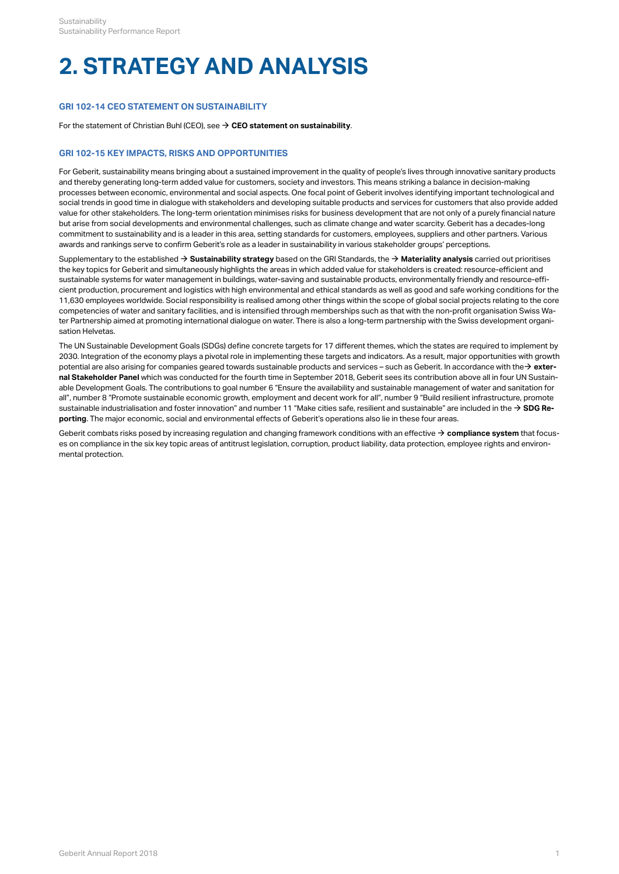# **GRI 102-14 CEO STATEMENT ON SUSTAINABILITY**

For the statement of Christian Buhl (CEO), see  $\Rightarrow$  **CEO statement on sustainability**.

# **GRI 102-15 KEY IMPACTS, RISKS AND OPPORTUNITIES**

Sustainability<br>
Sustainability Performance Report<br> **2. STRATEGY AND ANALYSIS**<br>
GRI 102-14 CEO STATEMENT ON SUSTAINABILITY<br>
For the statement of Christian Buhl (CEO), see  $\rightarrow$  CEO statement on sustainability.<br>
GRI 102-15 KE For Geberit, sustainability means bringing about a sustained improvement in the quality of people's lives through innovative sanitary products and thereby generating long-term added value for customers, society and investors. This means striking a balance in decision-making processes between economic, environmental and social aspects. One focal point of Geberit involves identifying important technological and social trends in good time in dialogue with stakeholders and developing suitable products and services for customers that also provide added value for other stakeholders. The long-term orientation minimises risks for business development that are not only of a purely financial nature but arise from social developments and environmental challenges, such as climate change and water scarcity. Geberit has a decades-long commitment to sustainability and is a leader in this area, setting standards for customers, employees, suppliers and other partners. Various awards and rankings serve to confirm Geberit's role as a leader in sustainability in various stakeholder groups' perceptions.

Supplementary to the established **→ [Sustainability strategy](http://annualreport.geberit.com/reports/geberit/annual/2018/gb/English/3040/sustainability-strategy-2019---2021.html)** based on the GRI Standards, the **→ [Materiality analysis](http://annualreport.geberit.com/reports/geberit/annual/2018/gb/English/3030/materiality-analysis.html)** carried out prioritises the key topics for Geberit and simultaneously highlights the areas in which added value for stakeholders is created: resource-efficient and sustainable systems for water management in buildings, water-saving and sustainable products, environmentally friendly and resource-efficient production, procurement and logistics with high environmental and ethical standards as well as good and safe working conditions for the 11,630 employees worldwide. Social responsibility is realised among other things within the scope of global social projects relating to the core competencies of water and sanitary facilities, and is intensified through memberships such as that with the non-profit organisation Swiss Water Partnership aimed at promoting international dialogue on water. There is also a long-term partnership with the Swiss development organisation Helvetas.

The UN Sustainable Development Goals (SDGs) define concrete targets for 17 different themes, which the states are required to implement by 2030. Integration of the economy plays a pivotal role in implementing these targets and indicators. As a result, major opportunities with growth potential are also arising for companies geared towards sustainable products and services – such as Geberit. In accordance with the**→ [exter](http://annualreport.geberit.com/geberit/annual/2018/gb/layout/../English/pdf/stakeholder_panel_2018.pdf)[nal Stakeholder Panel](http://annualreport.geberit.com/geberit/annual/2018/gb/layout/../English/pdf/stakeholder_panel_2018.pdf)** which was conducted for the fourth time in September 2018, Geberit sees its contribution above all in four UN Sustainable Development Goals. The contributions to goal number 6 "Ensure the availability and sustainable management of water and sanitation for all", number 8 "Promote sustainable economic growth, employment and decent work for all", number 9 "Build resilient infrastructure, promote sustainable industrialisation and foster innovation" and number 11 "Make cities safe, resilient and sustainable" are included in the **[SDG Re-](http://annualreport.geberit.com/geberit/annual/2018/gb/layout/../English/pdf/SDG_Reporting_2018_en.pdf)**[\\$](http://annualreport.geberit.com/geberit/annual/2018/gb/layout/../English/pdf/SDG_Reporting_2018_en.pdf) **[porting](http://annualreport.geberit.com/geberit/annual/2018/gb/layout/../English/pdf/SDG_Reporting_2018_en.pdf)**. The major economic, social and environmental effects of Geberit's operations also lie in these four areas.

Geberit combats risks posed by increasing regulation and changing framework conditions with an effective  $\to$  [compliance system](http://annualreport.geberit.com/reports/geberit/annual/2018/gb/English/10502070/compliance.html) that focuses on compliance in the six key topic areas of antitrust legislation, corruption, product liability, data protection, employee rights and environmental protection.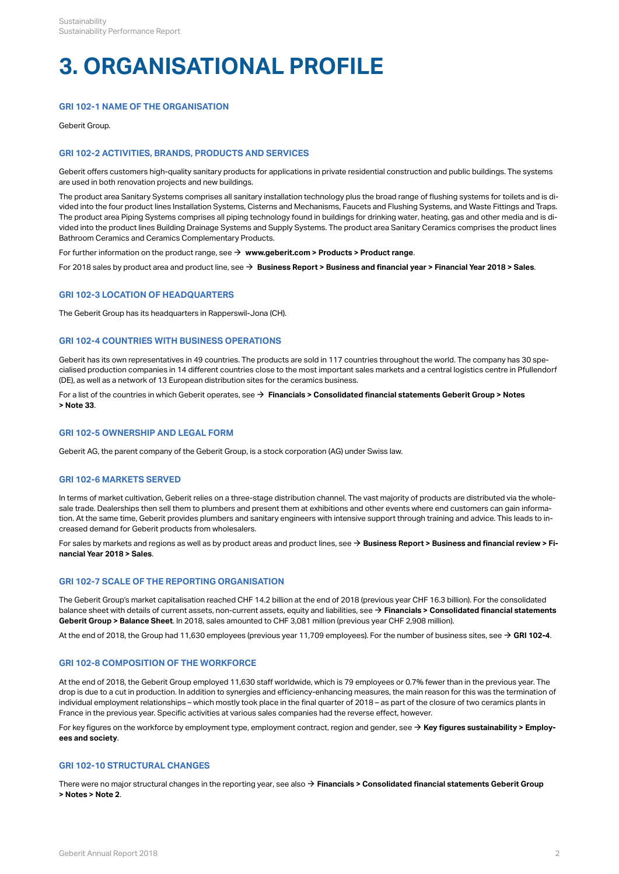# **3. ORGANISATIONAL PROFILE**

# **GRI 102-1 NAME OF THE ORGANISATION**

Geberit Group.

# **GRI 102-2 ACTIVITIES, BRANDS, PRODUCTS AND SERVICES**

Geberit offers customers high-quality sanitary products for applications in private residential construction and public buildings. The systems are used in both renovation projects and new buildings.

The product area Sanitary Systems comprises all sanitary installation technology plus the broad range of flushing systems for toilets and is divided into the four product lines Installation Systems, Cisterns and Mechanisms, Faucets and Flushing Systems, and Waste Fittings and Traps. The product area Piping Systems comprises all piping technology found in buildings for drinking water, heating, gas and other media and is divided into the product lines Building Drainage Systems and Supply Systems. The product area Sanitary Ceramics comprises the product lines Bathroom Ceramics and Ceramics Complementary Products.

For further information on the product range, see **[www.geberit.com > Products > Product range](http://www.geberit.com/products/product-range/)**. [\\$](http://www.geberit.com/products/product-range/)

For 2018 sales by product area and product line, see **→ [Business Report > Business and financial year > Financial Year 2018 > Sales](http://annualreport.geberit.com/reports/geberit/annual/2018/gb/English/10502020/sales.html)**.

# **GRI 102-3 LOCATION OF HEADQUARTERS**

The Geberit Group has its headquarters in Rapperswil-Jona (CH).

# <span id="page-4-0"></span>**GRI 102-4 COUNTRIES WITH BUSINESS OPERATIONS**

Geberit has its own representatives in 49 countries. The products are sold in 117 countries throughout the world. The company has 30 specialised production companies in 14 different countries close to the most important sales markets and a central logistics centre in Pfullendorf (DE), as well as a network of 13 European distribution sites for the ceramics business.

For a list of the countries in which Geberit operates, see **[Financials > Consolidated financial statements Geberit Group > Notes](http://annualreport.geberit.com/reports/geberit/annual/2018/gb/English/20405033/33_-group-companies-as-at-31-december-2018.html)**  [\\$](http://annualreport.geberit.com/reports/geberit/annual/2018/gb/English/20405033/33_-group-companies-as-at-31-december-2018.html) **[> Note 33](http://annualreport.geberit.com/reports/geberit/annual/2018/gb/English/20405033/33_-group-companies-as-at-31-december-2018.html)**.

# **GRI 102-5 OWNERSHIP AND LEGAL FORM**

Geberit AG, the parent company of the Geberit Group, is a stock corporation (AG) under Swiss law.

# **GRI 102-6 MARKETS SERVED**

In terms of market cultivation, Geberit relies on a three-stage distribution channel. The vast majority of products are distributed via the wholesale trade. Dealerships then sell them to plumbers and present them at exhibitions and other events where end customers can gain information. At the same time, Geberit provides plumbers and sanitary engineers with intensive support through training and advice. This leads to increased demand for Geberit products from wholesalers.

For sales by markets and regions as well as by product areas and product lines, see **→ [Business Report > Business and financial review > Fi](http://annualreport.geberit.com/reports/geberit/annual/2018/gb/English/10502020/sales.html?anchor=10502020_Sanitaersysteme#10502020_Sanitaersysteme)[nancial Year 2018 > Sales](http://annualreport.geberit.com/reports/geberit/annual/2018/gb/English/10502020/sales.html?anchor=10502020_Sanitaersysteme#10502020_Sanitaersysteme)**.

# **GRI 102-7 SCALE OF THE REPORTING ORGANISATION**

The Geberit Group's market capitalisation reached CHF 14.2 billion at the end of 2018 (previous year CHF 16.3 billion). For the consolidated balance sheet with details of current assets, non-current assets, equity and liabilities, see **→ [Financials > Consolidated financial statements](http://annualreport.geberit.com/reports/geberit/annual/2018/gb/English/204010/consolidated-balance-sheets.html) [Geberit Group > Balance Sheet](http://annualreport.geberit.com/reports/geberit/annual/2018/gb/English/204010/consolidated-balance-sheets.html)**. In 2018, sales amounted to CHF 3,081 million (previous year CHF 2,908 million).

At the end of 2018, the Group had 11,630 employees (previous year 11,709 employees). For the number of business sites, see → **[GRI 102-4](#page-4-0)**.

# **GRI 102-8 COMPOSITION OF THE WORKFORCE**

At the end of 2018, the Geberit Group employed 11,630 staff worldwide, which is 79 employees or 0.7% fewer than in the previous year. The drop is due to a cut in production. In addition to synergies and efficiency-enhancing measures, the main reason for this was the termination of individual employment relationships – which mostly took place in the final quarter of 2018 – as part of the closure of two ceramics plants in France in the previous year. Specific activities at various sales companies had the reverse effect, however.

For key figures on the workforce by employment type, employment contract, region and gender, see  $\to$  **[Key figures sustainability > Employ](#page-37-0)[ees and society](#page-37-0)**.

# **GRI 102-10 STRUCTURAL CHANGES**

There were no major structural changes in the reporting year, see also  $\to$  **[Financials > Consolidated financial statements Geberit Group](http://annualreport.geberit.com/reports/geberit/annual/2018/gb/English/20405002/2_-changes-in-group-structure.html) [> Notes > Note 2](http://annualreport.geberit.com/reports/geberit/annual/2018/gb/English/20405002/2_-changes-in-group-structure.html)**.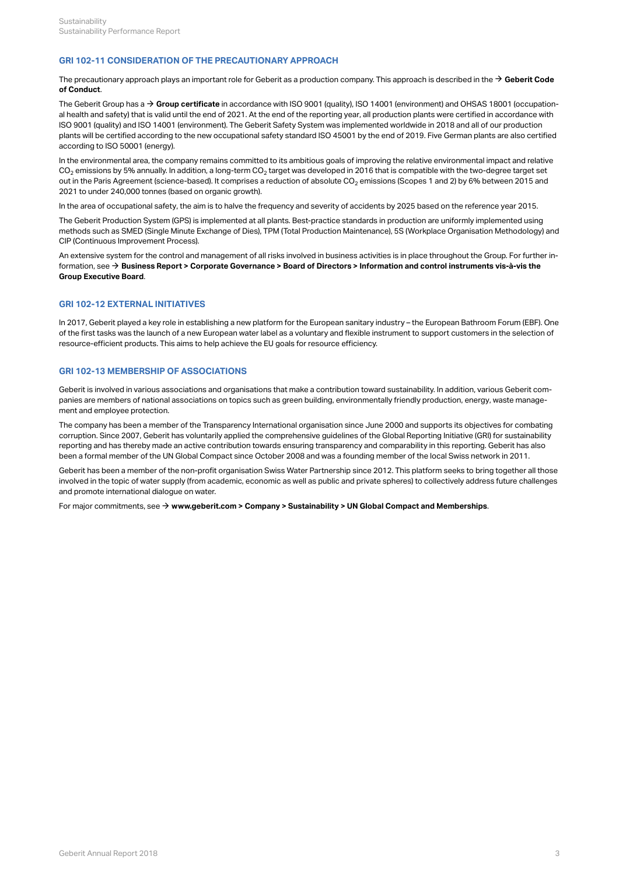# **GRI 102-11 CONSIDERATION OF THE PRECAUTIONARY APPROACH**

The precautionary approach plays an important role for Geberit as a production company. This approach is described in the  $\bm{\rightarrow}$  **[Geberit Code](http://annualreport.geberit.com/geberit/annual/2018/gb/layout/../English/pdf/geberit_code_of_conduct_en.pdf) [of Conduct](http://annualreport.geberit.com/geberit/annual/2018/gb/layout/../English/pdf/geberit_code_of_conduct_en.pdf)**.

The Geberit Group has a → **[Group certificate](http://annualreport.geberit.com/geberit/annual/2018/gb/layout/../English/pdf/iso_certificate_2018.pdf)** in accordance with ISO 9001 (quality), ISO 14001 (environment) and OHSAS 18001 (occupational health and safety) that is valid until the end of 2021. At the end of the reporting year, all production plants were certified in accordance with ISO 9001 (quality) and ISO 14001 (environment). The Geberit Safety System was implemented worldwide in 2018 and all of our production plants will be certified according to the new occupational safety standard ISO 45001 by the end of 2019. Five German plants are also certified according to ISO 50001 (energy).

In the environmental area, the company remains committed to its ambitious goals of improving the relative environmental impact and relative CO $_2$  emissions by 5% annually. In addition, a long-term CO $_2$  target was developed in 2016 that is compatible with the two-degree target set out in the Paris Agreement (science-based). It comprises a reduction of absolute CO $_2$  emissions (Scopes 1 and 2) by 6% between 2015 and 2021 to under 240,000 tonnes (based on organic growth).

In the area of occupational safety, the aim is to halve the frequency and severity of accidents by 2025 based on the reference year 2015.

The Geberit Production System (GPS) is implemented at all plants. Best-practice standards in production are uniformly implemented using methods such as SMED (Single Minute Exchange of Dies), TPM (Total Production Maintenance), 5S (Workplace Organisation Methodology) and CIP (Continuous Improvement Process).

An extensive system for the control and management of all risks involved in business activities is in place throughout the Group. For further information, see **[Business Report > Corporate Governance > Board of Directors > Information and control instruments vis-à-vis the](http://annualreport.geberit.com/reports/geberit/annual/2018/gb/English/106030/3_-board-of-directors.html?anchor=106030_3_7#106030_3_7)** [\\$](http://annualreport.geberit.com/reports/geberit/annual/2018/gb/English/106030/3_-board-of-directors.html?anchor=106030_3_7#106030_3_7) **[Group Executive Board](http://annualreport.geberit.com/reports/geberit/annual/2018/gb/English/106030/3_-board-of-directors.html?anchor=106030_3_7#106030_3_7)**.

# **GRI 102-12 EXTERNAL INITIATIVES**

In 2017, Geberit played a key role in establishing a new platform for the European sanitary industry – the European Bathroom Forum (EBF). One of the first tasks was the launch of a new European water label as a voluntary and flexible instrument to support customers in the selection of resource-efficient products. This aims to help achieve the EU goals for resource efficiency.

# <span id="page-5-0"></span>**GRI 102-13 MEMBERSHIP OF ASSOCIATIONS**

Geberit is involved in various associations and organisations that make a contribution toward sustainability. In addition, various Geberit com panies are members of national associations on topics such as green building, environmentally friendly production, energy, waste management and employee protection.

The company has been a member of the Transparency International organisation since June 2000 and supports its objectives for combating corruption. Since 2007, Geberit has voluntarily applied the comprehensive guidelines of the Global Reporting Initiative (GRI) for sustainability reporting and has thereby made an active contribution towards ensuring transparency and comparability in this reporting. Geberit has also been a formal member of the UN Global Compact since October 2008 and was a founding member of the local Swiss network in 2011.

Geberit has been a member of the non-profit organisation Swiss Water Partnership since 2012. This platform seeks to bring together all those involved in the topic of water supply (from academic, economic as well as public and private spheres) to collectively address future challenges and promote international dialogue on water.

For major commitments, see **[www.geberit.com > Company > Sustainability > UN Global Compact and Memberships](https://www.geberit.com/company/sustainability/un-global-compact-and-memberships.html)**. [\\$](https://www.geberit.com/company/sustainability/un-global-compact-and-memberships.html)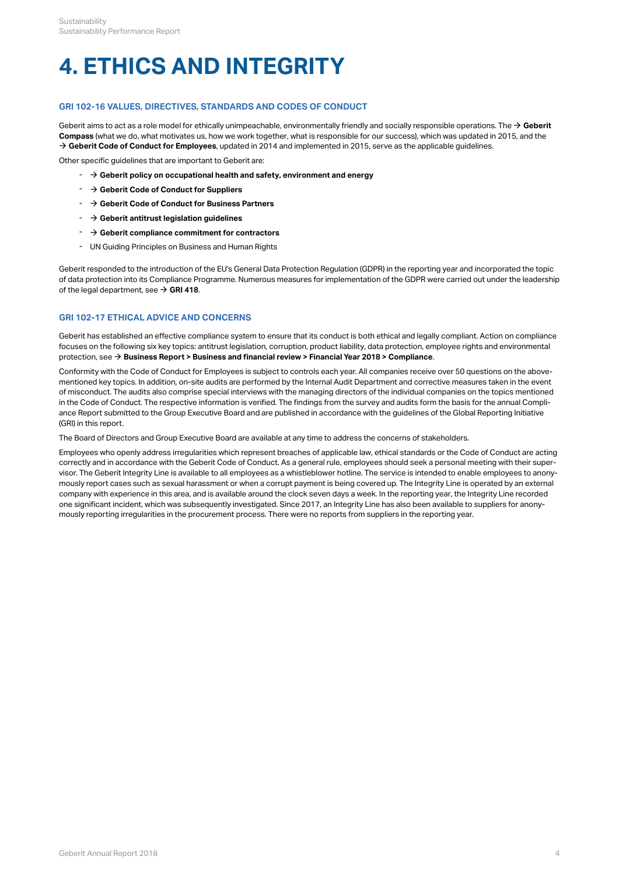# **4. ETHICS AND INTEGRITY**

# <span id="page-6-0"></span>**GRI 102-16 VALUES, DIRECTIVES, STANDARDS AND CODES OF CONDUCT**

[Geberit](http://annualreport.geberit.com/geberit/annual/2018/gb/layout/../English/pdf/geberit_compass.pdf) aims to act as a role model for ethically unimpeachable, environmentally friendly and socially responsible operations. The  $\to$  Geberit **[Compass](http://annualreport.geberit.com/geberit/annual/2018/gb/layout/../English/pdf/geberit_compass.pdf)** (what we do, what motivates us, how we work together, what is responsible for our success), which was updated in 2015, and the → **[Geberit Code of Conduct for Employees](http://annualreport.geberit.com/geberit/annual/2018/gb/layout/../English/pdf/geberit_code_of_conduct_en.pdf)**, updated in 2014 and implemented in 2015, serve as the applicable guidelines.

Other specific guidelines that are important to Geberit are:

- $\rightarrow$  [Geberit policy on occupational health and safety, environment and energy](http://annualreport.geberit.com/geberit/annual/2018/gb/layout/../English/pdf/geberit_policy_health_safety_environment_energy.pdf)
- [\\$](http://annualreport.geberit.com/geberit/annual/2018/gb/layout/../English/pdf/supplier_code_of_conduct.pdf) **[Geberit Code of Conduct for Suppliers](http://annualreport.geberit.com/geberit/annual/2018/gb/layout/../English/pdf/supplier_code_of_conduct.pdf)**
- $\rightarrow$  [Geberit Code of Conduct for Business Partners](http://annualreport.geberit.com/geberit/annual/2018/gb/layout/../English/pdf/business_partners_code_of_conduct.pdf)
- [\\$](http://annualreport.geberit.com/geberit/annual/2018/gb/layout/../English/pdf/competition_law_guidelines.pdf) **[Geberit antitrust legislation guidelines](http://annualreport.geberit.com/geberit/annual/2018/gb/layout/../English/pdf/competition_law_guidelines.pdf)**
- $\text{-}$   $\rightarrow$  [Geberit compliance commitment for contractors](http://annualreport.geberit.com/geberit/annual/2018/gb/layout/../English/pdf/compliance_commitment_building_projects.pdf)
- UN Guiding Principles on Business and Human Rights

Geberit responded to the introduction of the EU's General Data Protection Regulation (GDPR) in the reporting year and incorporated the topic of data protection into its Compliance Programme. Numerous measures for implementation of the GDPR were carried out under the leadership of the legal department, see  $\rightarrow$  [GRI 418](#page-32-0).  $\overline{\phantom{a}}$ 

# <span id="page-6-1"></span>**GRI 102-17 ETHICAL ADVICE AND CONCERNS**

Geberit has established an effective compliance system to ensure that its conduct is both ethical and legally compliant. Action on compliance focuses on the following six key topics: antitrust legislation, corruption, product liability, data protection, employee rights and environmental protection, see **[Business Report > Business and financial review > Financial Year 2018 > Compliance](http://annualreport.geberit.com/reports/geberit/annual/2018/gb/English/10502070/compliance.html)**. [\\$](http://annualreport.geberit.com/reports/geberit/annual/2018/gb/English/10502070/compliance.html)

Conformity with the Code of Conduct for Employees is subject to controls each year. All companies receive over 50 questions on the abovementioned key topics. In addition, on-site audits are performed by the Internal Audit Department and corrective measures taken in the event of misconduct. The audits also comprise special interviews with the managing directors of the individual companies on the topics mentioned in the Code of Conduct. The respective information is verified. The findings from the survey and audits form the basis for the annual Compliance Report submitted to the Group Executive Board and are published in accordance with the guidelines of the Global Reporting Initiative (GRI) in this report.

The Board of Directors and Group Executive Board are available at any time to address the concerns of stakeholders.

Employees who openly address irregularities which represent breaches of applicable law, ethical standards or the Code of Conduct are acting correctly and in accordance with the Geberit Code of Conduct. As a general rule, employees should seek a personal meeting with their supervisor. The Geberit Integrity Line is available to all employees as a whistleblower hotline. The service is intended to enable employees to anonymously report cases such as sexual harassment or when a corrupt payment is being covered up. The Integrity Line is operated by an external company with experience in this area, and is available around the clock seven days a week. In the reporting year, the Integrity Line recorded one significant incident, which was subsequently investigated. Since 2017, an Integrity Line has also been available to suppliers for anonymously reporting irregularities in the procurement process. There were no reports from suppliers in the reporting year.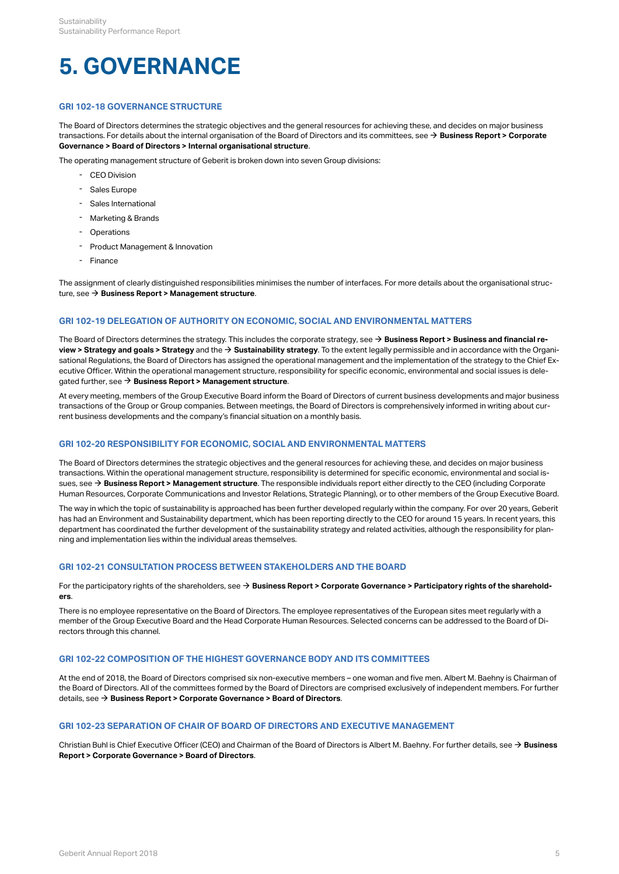# **5. GOVERNANCE**

# **GRI 102-18 GOVERNANCE STRUCTURE**

The Board of Directors determines the strategic objectives and the general resources for achieving these, and decides on major business transactions. For details about the internal organisation of the Board of Directors and its committees, see → **[Business Report > Corporate](http://annualreport.geberit.com/reports/geberit/annual/2018/gb/English/106030/3_-board-of-directors.html?anchor=106030_InterneOrganisation#106030_InterneOrganisation) [Governance > Board of Directors > Internal organisational structure](http://annualreport.geberit.com/reports/geberit/annual/2018/gb/English/106030/3_-board-of-directors.html?anchor=106030_InterneOrganisation#106030_InterneOrganisation)**.

The operating management structure of Geberit is broken down into seven Group divisions:

- CEO Division
- Sales Europe
- Sales International
- Marketing & Brands
- **Operations**
- Product Management & Innovation
- Finance

The assignment of clearly distinguished responsibilities minimises the number of interfaces. For more details about the organisational structure, see → **[Business Report > Management structure](http://annualreport.geberit.com/reports/geberit/annual/2018/gb/English/1040/management-structure.html)**.

# **GRI 102-19 DELEGATION OF AUTHORITY ON ECONOMIC, SOCIAL AND ENVIRONMENTAL MATTERS**

The Board of Directors determines the strategy. This includes the corporate strategy, see → **[Business Report > Business and financial re](http://annualreport.geberit.com/reports/geberit/annual/2018/gb/English/10501010/strategy.html)[view > Strategy and goals > Strategy](http://annualreport.geberit.com/reports/geberit/annual/2018/gb/English/10501010/strategy.html)** and the **[Sustainability strategy](http://annualreport.geberit.com/reports/geberit/annual/2018/gb/English/3040/sustainability-strategy-2019---2021.html)**. To the extent legally permissible and in accordance with the Organi-[\\$](http://annualreport.geberit.com/reports/geberit/annual/2018/gb/English/3040/sustainability-strategy-2019---2021.html) sational Regulations, the Board of Directors has assigned the operational management and the implementation of the strategy to the Chief Executive Officer. Within the operational management structure, responsibility for specific economic, environmental and social issues is delegated further, see **[Business Report > Management structure](http://annualreport.geberit.com/reports/geberit/annual/2018/gb/English/1040/management-structure.html)**. [\\$](http://annualreport.geberit.com/reports/geberit/annual/2018/gb/English/1040/management-structure.html)

At every meeting, members of the Group Executive Board inform the Board of Directors of current business developments and major business transactions of the Group or Group companies. Between meetings, the Board of Directors is comprehensively informed in writing about current business developments and the company's financial situation on a monthly basis.

# **GRI 102-20 RESPONSIBILITY FOR ECONOMIC, SOCIAL AND ENVIRONMENTAL MATTERS**

The Board of Directors determines the strategic objectives and the general resources for achieving these, and decides on major business transactions. Within the operational management structure, responsibility is determined for specific economic, environmental and social issues, see **→ [Business Report > Management structure](http://annualreport.geberit.com/reports/geberit/annual/2018/gb/English/1040/management-structure.html)**. The responsible individuals report either directly to the CEO (including Corporate Human Resources, Corporate Communications and Investor Relations, Strategic Planning), or to other members of the Group Executive Board.

The way in which the topic of sustainability is approached has been further developed regularly within the company. For over 20 years, Geberit has had an Environment and Sustainability department, which has been reporting directly to the CEO for around 15 years. In recent years, this department has coordinated the further development of the sustainability strategy and related activities, although the responsibility for planning and implementation lies within the individual areas themselves.

# **GRI 102-21 CONSULTATION PROCESS BETWEEN STAKEHOLDERS AND THE BOARD**

For the participatory rights of the shareholders, see  $\Rightarrow$  **[Business Report > Corporate Governance](http://annualreport.geberit.com/reports/geberit/annual/2018/gb/English/106060/6_-participatory-rights-of-shareholders.html) [> Participatory rights of the sharehold](http://annualreport.geberit.com/reports/geberit/annual/2018/gb/English/106060/6_-participatory-rights-of-shareholders.html)[ers](http://annualreport.geberit.com/reports/geberit/annual/2018/gb/English/106060/6_-participatory-rights-of-shareholders.html)**.

There is no employee representative on the Board of Directors. The employee representatives of the European sites meet regularly with a member of the Group Executive Board and the Head Corporate Human Resources. Selected concerns can be addressed to the Board of Directors through this channel.

# **GRI 102-22 COMPOSITION OF THE HIGHEST GOVERNANCE BODY AND ITS COMMITTEES**

At the end of 2018, the Board of Directors comprised six non-executive members – one woman and five men. Albert M. Baehny is Chairman of the Board of Directors. All of the committees formed by the Board of Directors are comprised exclusively of independent members. For further details, see **[Business Report > Corporate](http://annualreport.geberit.com/reports/geberit/annual/2018/gb/English/106030/3_-board-of-directors.html) [Governance](http://annualreport.geberit.com/reports/geberit/annual/2018/gb/English/106030/3_-board-of-directors.html) [> Board of Directors](http://annualreport.geberit.com/reports/geberit/annual/2018/gb/English/106030/3_-board-of-directors.html)**. [\\$](http://annualreport.geberit.com/reports/geberit/annual/2018/gb/English/106030/3_-board-of-directors.html)

# **GRI 102-23 SEPARATION OF CHAIR OF BOARD OF DIRECTORS AND EXECUTIVE MANAGEMENT**

Christian Buhl is Chief Executive Officer (CEO) and Chairman of the Board of Directors is Albert M. Baehny. For further details, see **[Business](http://annualreport.geberit.com/reports/geberit/annual/2018/gb/English/106030/3_-board-of-directors.html)** [\\$](http://annualreport.geberit.com/reports/geberit/annual/2018/gb/English/106030/3_-board-of-directors.html)**[Report > Corporate](http://annualreport.geberit.com/reports/geberit/annual/2018/gb/English/106030/3_-board-of-directors.html) [Governance](http://annualreport.geberit.com/reports/geberit/annual/2018/gb/English/106030/3_-board-of-directors.html) [> Board of Directors](http://annualreport.geberit.com/reports/geberit/annual/2018/gb/English/106030/3_-board-of-directors.html)**.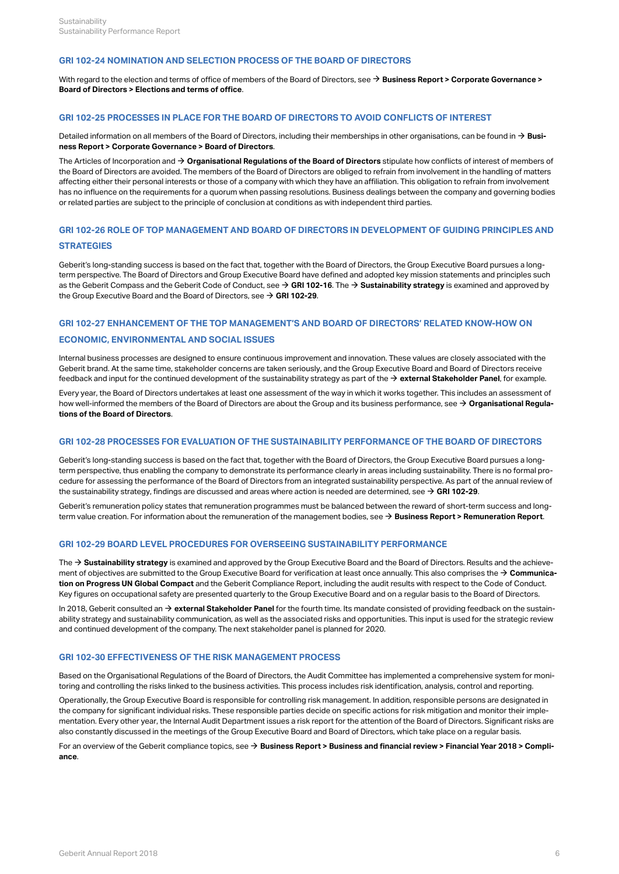# **GRI 102-24 NOMINATION AND SELECTION PROCESS OF THE BOARD OF DIRECTORS**

With regard to the election and terms of office of members of the Board of Directors, see  $\to$  **[Business Report > Corporate Governance >](http://annualreport.geberit.com/reports/geberit/annual/2018/gb/English/106030/3_-board-of-directors.html?anchor=3_4#3_4) [Board of Directors > Elections and terms of office](http://annualreport.geberit.com/reports/geberit/annual/2018/gb/English/106030/3_-board-of-directors.html?anchor=3_4#3_4)**.

# **GRI 102-25 PROCESSES IN PLACE FOR THE BOARD OF DIRECTORS TO AVOID CONFLICTS OF INTEREST**

Detailed information on all members of the Board of Directors, including their memberships in other organisations, can be found in  $\to$  **[Busi](http://annualreport.geberit.com/reports/geberit/annual/2018/gb/English/106030/3_-board-of-directors.html)[ness Report > Corporate Governance > Board of Directors](http://annualreport.geberit.com/reports/geberit/annual/2018/gb/English/106030/3_-board-of-directors.html)**.

The Articles of Incorporation and **[Organisational Regulations of the Board of Directors](http://annualreport.geberit.com/geberit/annual/2018/gb/layout/../English/pdf/organizational_regulations_BoD.pdf)** stipulate how conflicts of interest of members of [\\$](http://annualreport.geberit.com/geberit/annual/2018/gb/layout/../English/pdf/organizational_regulations_BoD.pdf) the Board of Directors are avoided. The members of the Board of Directors are obliged to refrain from involvement in the handling of matters affecting either their personal interests or those of a company with which they have an affiliation. This obligation to refrain from involvement has no influence on the requirements for a quorum when passing resolutions. Business dealings between the company and governing bodies or related parties are subject to the principle of conclusion at conditions as with independent third parties.

# **GRI 102-26 ROLE OF TOP MANAGEMENT AND BOARD OF DIRECTORS IN DEVELOPMENT OF GUIDING PRINCIPLES AND STRATEGIES**

Geberit's long-standing success is based on the fact that, together with the Board of Directors, the Group Executive Board pursues a longterm perspective. The Board of Directors and Group Executive Board have defined and adopted key mission statements and principles such as the Geberit Compass and the Geberit Code of Conduct, see **→ [GRI 102-16](#page-6-0)**. The **→ [Sustainability strategy](http://annualreport.geberit.com/reports/geberit/annual/2018/gb/English/3040/sustainability-strategy-2019---2021.html)** is examined and approved by the Group Executive Board and the Board of Directors, see  $\rightarrow$  **[GRI 102-29](#page-8-0)**.

# **GRI 102-27 ENHANCEMENT OF THE TOP MANAGEMENT'S AND BOARD OF DIRECTORS' RELATED KNOW-HOW ON**

# **ECONOMIC, ENVIRONMENTAL AND SOCIAL ISSUES**

Internal business processes are designed to ensure continuous improvement and innovation. These values are closely associated with the Geberit brand. At the same time, stakeholder concerns are taken seriously, and the Group Executive Board and Board of Directors receive feedback and input for the continued development of the sustainability strategy as part of the → **[external Stakeholder Panel](http://annualreport.geberit.com/geberit/annual/2018/gb/layout/../English/pdf/introduction_stakeholderpanel_2018.pdf)**, for example.

Every year, the Board of Directors undertakes at least one assessment of the way in which it works together. This includes an assessment of how well-informed the members of the Board of Directors are about the Group and its business performance, see **[Organisational Regula-](http://annualreport.geberit.com/geberit/annual/2018/gb/layout/../English/pdf/organizational_regulations_BoD.pdf)**[\\$](http://annualreport.geberit.com/geberit/annual/2018/gb/layout/../English/pdf/organizational_regulations_BoD.pdf) **[tions of the Board of Directors](http://annualreport.geberit.com/geberit/annual/2018/gb/layout/../English/pdf/organizational_regulations_BoD.pdf)**.

## **GRI 102-28 PROCESSES FOR EVALUATION OF THE SUSTAINABILITY PERFORMANCE OF THE BOARD OF DIRECTORS**

Geberit's long-standing success is based on the fact that, together with the Board of Directors, the Group Executive Board pursues a longterm perspective, thus enabling the company to demonstrate its performance clearly in areas including sustainability. There is no formal procedure for assessing the performance of the Board of Directors from an integrated sustainability perspective. As part of the annual review of the sustainability strategy, findings are discussed and areas where action is needed are determined, see  $\rightarrow$  **[GRI 102-29](#page-8-0)**.

Geberit's remuneration policy states that remuneration programmes must be balanced between the reward of short-term success and longterm value creation. For information about the remuneration of the management bodies, see **[Business Report > Remuneration Report](http://annualreport.geberit.com/reports/geberit/annual/2018/gb/English/1070/remune_ration-report.html)**. [\\$](http://annualreport.geberit.com/reports/geberit/annual/2018/gb/English/1070/remune_ration-report.html)

# <span id="page-8-0"></span>**GRI 102-29 BOARD LEVEL PROCEDURES FOR OVERSEEING SUSTAINABILITY PERFORMANCE**

The → **[Sustainability strategy](http://annualreport.geberit.com/reports/geberit/annual/2018/gb/English/3040/sustainability-strategy-2019---2021.html)** is examined and approved by the Group Executive Board and the Board of Directors. Results and the achievement of objectives are submitted to the Group Executive Board for verification at least once annually. This also comprises the → **[Communica](http://annualreport.geberit.com/geberit/annual/2018/gb/layout/../English/pdf/cop_ungc_2018_en.pdf)[tion on Progress UN Global Compact](http://annualreport.geberit.com/geberit/annual/2018/gb/layout/../English/pdf/cop_ungc_2018_en.pdf)** and the Geberit Compliance Report, including the audit results with respect to the Code of Conduct. Key figures on occupational safety are presented quarterly to the Group Executive Board and on a regular basis to the Board of Directors.

In 2018, Geberit consulted an → [external Stakeholder Panel](http://annualreport.geberit.com/geberit/annual/2018/gb/layout/../English/pdf/introduction_stakeholderpanel_2018.pdf) for the fourth time. Its mandate consisted of providing feedback on the sustainability strategy and sustainability communication, as well as the associated risks and opportunities. This input is used for the strategic review and continued development of the company. The next stakeholder panel is planned for 2020.

# **GRI 102-30 EFFECTIVENESS OF THE RISK MANAGEMENT PROCESS**

Based on the Organisational Regulations of the Board of Directors, the Audit Committee has implemented a comprehensive system for monitoring and controlling the risks linked to the business activities. This process includes risk identification, analysis, control and reporting.

Operationally, the Group Executive Board is responsible for controlling risk management. In addition, responsible persons are designated in the company for significant individual risks. These responsible parties decide on specific actions for risk mitigation and monitor their implementation. Every other year, the Internal Audit Department issues a risk report for the attention of the Board of Directors. Significant risks are also constantly discussed in the meetings of the Group Executive Board and Board of Directors, which take place on a regular basis.

For an overview of the Geberit compliance topics, see  $\Rightarrow$  **[Business Report > Business and financial review > Financial Year 2018 > Compli](http://annualreport.geberit.com/reports/geberit/annual/2018/gb/English/10502070/compliance.html)[ance](http://annualreport.geberit.com/reports/geberit/annual/2018/gb/English/10502070/compliance.html)**.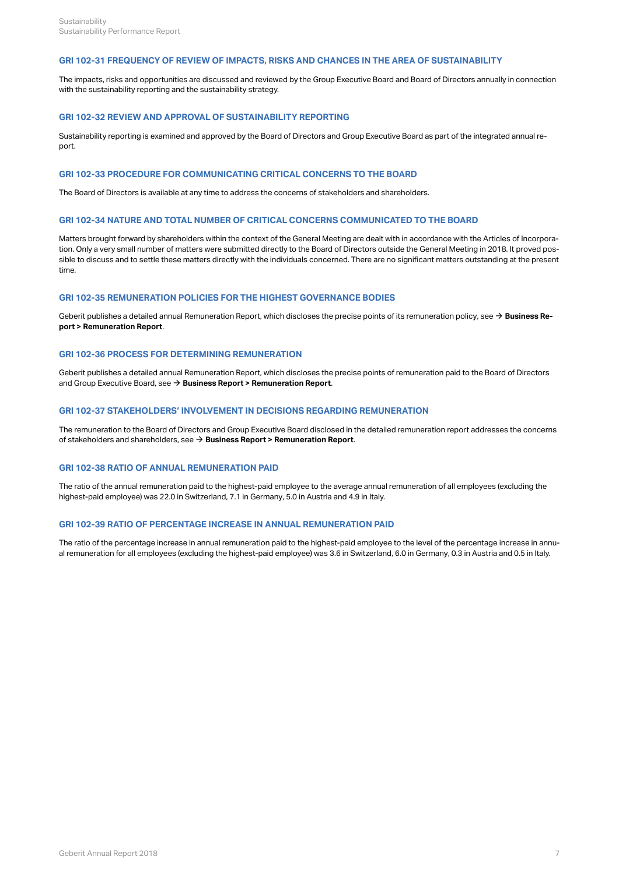# **GRI 102-31 FREQUENCY OF REVIEW OF IMPACTS, RISKS AND CHANCES IN THE AREA OF SUSTAINABILITY**

The impacts, risks and opportunities are discussed and reviewed by the Group Executive Board and Board of Directors annually in connection with the sustainability reporting and the sustainability strategy.

# **GRI 102-32 REVIEW AND APPROVAL OF SUSTAINABILITY REPORTING**

Sustainability reporting is examined and approved by the Board of Directors and Group Executive Board as part of the integrated annual report.

# **GRI 102-33 PROCEDURE FOR COMMUNICATING CRITICAL CONCERNS TO THE BOARD**

The Board of Directors is available at any time to address the concerns of stakeholders and shareholders.

## **GRI 102-34 NATURE AND TOTAL NUMBER OF CRITICAL CONCERNS COMMUNICATED TO THE BOARD**

Matters brought forward by shareholders within the context of the General Meeting are dealt with in accordance with the Articles of Incorporation. Only a very small number of matters were submitted directly to the Board of Directors outside the General Meeting in 2018. It proved possible to discuss and to settle these matters directly with the individuals concerned. There are no significant matters outstanding at the present time.

# **GRI 102-35 REMUNERATION POLICIES FOR THE HIGHEST GOVERNANCE BODIES**

Geberit publishes a detailed annual Remuneration Report, which discloses the precise points of its remuneration policy, see **[Business Re-](http://annualreport.geberit.com/reports/geberit/annual/2018/gb/English/1070/remune_ration-report.html)**[\\$](http://annualreport.geberit.com/reports/geberit/annual/2018/gb/English/1070/remune_ration-report.html) **[port > Remuneration Report](http://annualreport.geberit.com/reports/geberit/annual/2018/gb/English/1070/remune_ration-report.html)**.

# **GRI 102-36 PROCESS FOR DETERMINING REMUNERATION**

Geberit publishes a detailed annual Remuneration Report, which discloses the precise points of remuneration paid to the Board of Directors and Group Executive Board, see  $\rightarrow$  **[Business Report > Remuneration Report](http://annualreport.geberit.com/reports/geberit/annual/2018/gb/English/1070/remune_ration-report.html)**.

# **GRI 102-37 STAKEHOLDERS' INVOLVEMENT IN DECISIONS REGARDING REMUNERATION**

The remuneration to the Board of Directors and Group Executive Board disclosed in the detailed remuneration report addresses the concerns of stakeholders and shareholders, see **[Business Report > Remuneration Report](http://annualreport.geberit.com/reports/geberit/annual/2018/gb/English/1070/remune_ration-report.html)**. [\\$](http://annualreport.geberit.com/reports/geberit/annual/2018/gb/English/1070/remune_ration-report.html)

# **GRI 102-38 RATIO OF ANNUAL REMUNERATION PAID**

The ratio of the annual remuneration paid to the highest-paid employee to the average annual remuneration of all employees (excluding the highest-paid employee) was 22.0 in Switzerland, 7.1 in Germany, 5.0 in Austria and 4.9 in Italy.

# **GRI 102-39 RATIO OF PERCENTAGE INCREASE IN ANNUAL REMUNERATION PAID**

The ratio of the percentage increase in annual remuneration paid to the highest-paid employee to the level of the percentage increase in annual remuneration for all employees (excluding the highest-paid employee) was 3.6 in Switzerland, 6.0 in Germany, 0.3 in Austria and 0.5 in Italy.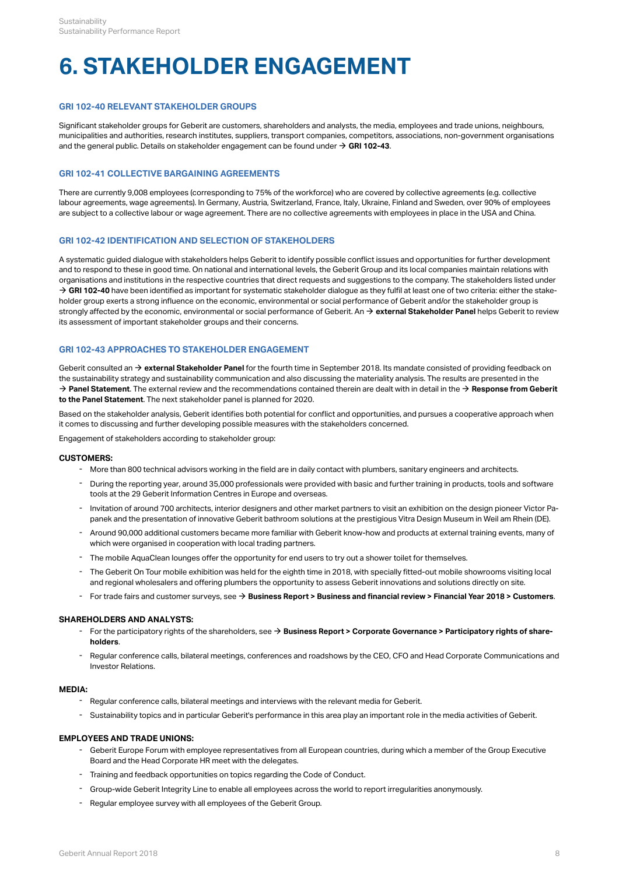# **6. STAKEHOLDER ENGAGEMENT**

# <span id="page-10-1"></span>**GRI 102-40 RELEVANT STAKEHOLDER GROUPS**

Significant stakeholder groups for Geberit are customers, shareholders and analysts, the media, employees and trade unions, neighbours, municipalities and authorities, research institutes, suppliers, transport companies, competitors, associations, non-government organisations and the general public. Details on stakeholder engagement can be found under  $\rightarrow$  **[GRI 102-43](#page-10-0)**.

# **GRI 102-41 COLLECTIVE BARGAINING AGREEMENTS**

There are currently 9,008 employees (corresponding to 75% of the workforce) who are covered by collective agreements (e.g. collective labour agreements, wage agreements). In Germany, Austria, Switzerland, France, Italy, Ukraine, Finland and Sweden, over 90% of employees are subject to a collective labour or wage agreement. There are no collective agreements with employees in place in the USA and China.

# **GRI 102-42 IDENTIFICATION AND SELECTION OF STAKEHOLDERS**

A systematic guided dialogue with stakeholders helps Geberit to identify possible conflict issues and opportunities for further development and to respond to these in good time. On national and international levels, the Geberit Group and its local companies maintain relations with organisations and institutions in the respective countries that direct requests and suggestions to the company. The stakeholders listed under → [GRI 102-40](#page-10-1) have been identified as important for systematic stakeholder dialogue as they fulfil at least one of two criteria: either the stakeholder group exerts a strong influence on the economic, environmental or social performance of Geberit and/or the stakeholder group is strongly affected by the economic, environmental or social performance of Geberit. An  $\bm{\rightarrow}$  **[external Stakeholder Panel](http://annualreport.geberit.com/geberit/annual/2018/gb/layout/../English/pdf/introduction_stakeholderpanel_201.pdf)** helps Geberit to review its assessment of important stakeholder groups and their concerns.

# <span id="page-10-0"></span>**GRI 102-43 APPROACHES TO STAKEHOLDER ENGAGEMENT**

Geberit consulted an **→ [external Stakeholder Panel](http://annualreport.geberit.com/geberit/annual/2018/gb/layout/../English/pdf/introduction_stakeholderpanel_2018.pdf)** for the fourth time in September 2018. Its mandate consisted of providing feedback on the sustainability strategy and sustainability communication and also discussing the materiality analysis. The results are presented in the  $\rightarrow$  **[Panel Statement](http://annualreport.geberit.com/geberit/annual/2018/gb/layout/../English/pdf/panel_statement_2018_en.pdf)**. The external review and the recommendations contained therein are dealt with in detail in the  $\rightarrow$  [Response from Geberit](http://annualreport.geberit.com/geberit/annual/2018/gb/layout/../English/pdf/response_geberit_panel_statement_2018.pdf) **[to the Panel Statement](http://annualreport.geberit.com/geberit/annual/2018/gb/layout/../English/pdf/response_geberit_panel_statement_2018.pdf)**. The next stakeholder panel is planned for 2020.

Based on the stakeholder analysis, Geberit identifies both potential for conflict and opportunities, and pursues a cooperative approach when it comes to discussing and further developing possible measures with the stakeholders concerned.

Engagement of stakeholders according to stakeholder group:

# **CUSTOMERS:**

- More than 800 technical advisors working in the field are in daily contact with plumbers, sanitary engineers and architects.
- During the reporting year, around 35,000 professionals were provided with basic and further training in products, tools and software<br>tools at the 29 Geberit Information Centres in Europe and overseas.
- Invitation of around 700 architects, interior designers and other market partners to visit an exhibition on the design pioneer Victor Pa-<br>panek and the presentation of innovative Geberit bathroom solutions at the prestig
- Around 90,000 additional customers became more familiar with Geberit know-how and products at external training events, many of<br>which were organised in cooperation with local trading partners.
- The mobile AquaClean lounges offer the opportunity for end users to try out a shower toilet for themselves.
- The Geberit On Tour mobile exhibition was held for the eighth time in 2018, with specially fitted-out mobile showrooms visiting local and regional wholesalers and offering plumbers the opportunity to assess Geberit innovations and solutions directly on site.
- For trade fairs and customer surveys, see [\\$](http://annualreport.geberit.com/reports/geberit/annual/2018/gb/English/10502045/customers.html) **[Business Report > Business and financial review > Financial Year 2018 > Customers](http://annualreport.geberit.com/reports/geberit/annual/2018/gb/English/10502045/customers.html)**.

# **SHAREHOLDERS AND ANALYSTS:**

- For the participatory rights of the shareholders, see **[Business Report > Corporate Governance](http://annualreport.geberit.com/reports/geberit/annual/2018/gb/English/106060/6_-participatory-rights-of-shareholders.html) [> Participatory rights of share-](http://annualreport.geberit.com/reports/geberit/annual/2018/gb/English/106060/6_-participatory-rights-of-shareholders.html)[holders](http://annualreport.geberit.com/reports/geberit/annual/2018/gb/English/106060/6_-participatory-rights-of-shareholders.html)**. [\\$](http://annualreport.geberit.com/reports/geberit/annual/2018/gb/English/106060/6_-participatory-rights-of-shareholders.html)
- Regular conference calls, bilateral meetings, conferences and roadshows by the CEO, CFO and Head Corporate Communications and<br>Investor Relations.

# **MEDIA:**

- Regular conference calls, bilateral meetings and interviews with the relevant media for Geberit.
- Sustainability topics and in particular Geberit's performance in this area play an important role in the media activities of Geberit.

# **EMPLOYEES AND TRADE UNIONS:**

- Geberit Europe Forum with employee representatives from all European countries, during which a member of the Group Executive<br>Board and the Head Corporate HR meet with the delegates.
- Training and feedback opportunities on topics regarding the Code of Conduct.
- Group-wide Geberit Integrity Line to enable all employees across the world to report irregularities anonymously.
- Regular employee survey with all employees of the Geberit Group.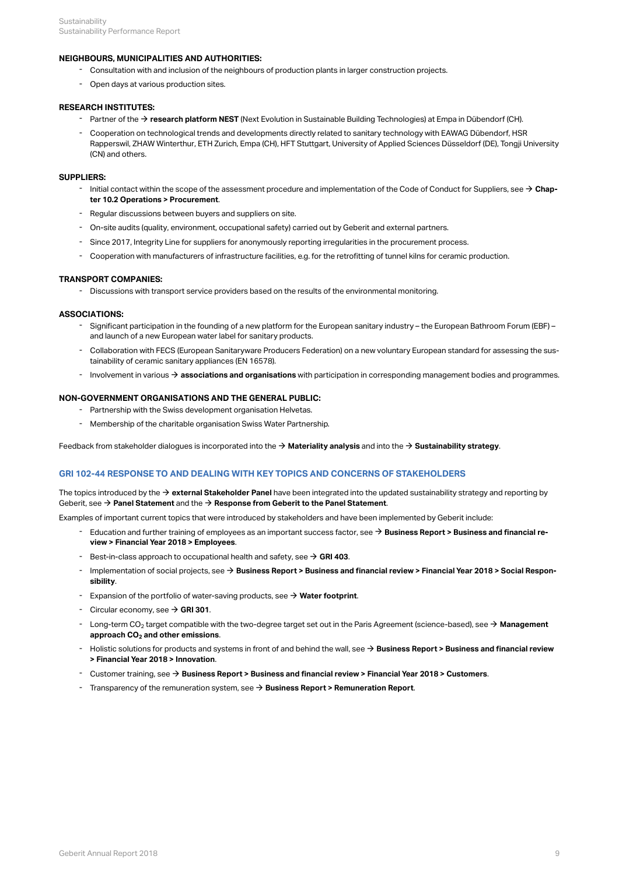# **NEIGHBOURS, MUNICIPALITIES AND AUTHORITIES:**

- Consultation with and inclusion of the neighbours of production plants in larger construction projects.
- Open days at various production sites.

# **RESEARCH INSTITUTES:**

- <sup>-</sup> Partner of the → [research platform NEST](https://www.empa.ch/en/web/nest/) (Next Evolution in Sustainable Building Technologies) at Empa in Dübendorf (CH).
- Cooperation on technological trends and developments directly related to sanitary technology with EAWAG Dübendorf, HSR Rapperswil, ZHAW Winterthur, ETH Zurich, Empa (CH), HFT Stuttgart, University of Applied Sciences Düsseldorf (DE), Tongji University - Cooperation on technological tr<br>Rapperswil, ZHAW Winterthur, E<br>(CN) and others.

# **SUPPLIERS:**

- Initial contact within the scope of the assessment procedure and implementation of the Code of Conduct for Suppliers, see **→ Chap-**<br>**[ter 10.2 Operations > Procurement](#page-28-0)**.
- Regular discussions between buyers and suppliers on site.
- On-site audits (quality, environment, occupational safety) carried out by Geberit and external partners.
- Since 2017, Integrity Line for suppliers for anonymously reporting irregularities in the procurement process.
- Cooperation with manufacturers of infrastructure facilities, e.g. for the retrofitting of tunnel kilns for ceramic production.

# **TRANSPORT COMPANIES:**

- Discussions with transport service providers based on the results of the environmental monitoring.

# **ASSOCIATIONS:**

- Significant participation in the founding of a new platform for the European sanitary industry the European Bathroom Forum (EBF) –<br>and launch of a new European water label for sanitary products.
- Collaboration with FECS (European Sanitaryware Producers Federation) on a new voluntary European standard for assessing the sus-<br>- tainability of ceramic sanitary appliances (EN 16578).
- Involvement in various  $\rightarrow$  [associations and organisations](#page-5-0) with participation in corresponding management bodies and programmes.

## **NON-GOVERNMENT ORGANISATIONS AND THE GENERAL PUBLIC:**

- Partnership with the Swiss development organisation Helvetas.
- Membership of the charitable organisation Swiss Water Partnership.

Feedback from stakeholder dialogues is incorporated into the  $\rightarrow$  **[Materiality analysis](http://annualreport.geberit.com/reports/geberit/annual/2018/gb/English/3030/materiality-analysis.html)** and into the  $\rightarrow$  **[Sustainability strategy](http://annualreport.geberit.com/reports/geberit/annual/2018/gb/English/3040/sustainability-strategy-2019---2021.html)**.

# **GRI 102-44 RESPONSE TO AND DEALING WITH KEY TOPICS AND CONCERNS OF STAKEHOLDERS**

The topics introduced by the  $\bm{\rightarrow}$  **[external Stakeholder Panel](http://annualreport.geberit.com/geberit/annual/2018/gb/layout/../English/pdf/introduction_stakeholderpanel_2018.pdf)** have been integrated into the updated sustainability strategy and reporting by Geberit, see  $\bm{\rightarrow}$  **[Panel Statement](http://annualreport.geberit.com/geberit/annual/2018/gb/layout/../English/pdf/panel_statement_2018_en.pdf)** and the  $\bm{\rightarrow}$  **[Response from Geberit to the Panel Statement](http://annualreport.geberit.com/geberit/annual/2018/gb/layout/../English/pdf/response_geberit_panel_statement_2018.pdf)**.

Examples of important current topics that were introduced by stakeholders and have been implemented by Geberit include:

- Education and further training of employees as an important success factor, see **→ Business Report > Business and financial re-**<br>**[view > Financial Year 2018 > Employees](http://annualreport.geberit.com/reports/geberit/annual/2018/gb/English/10502040/employees.html)**.
- $-$  Best-in-class approach to occupational health and safety, see  $\rightarrow$  [GRI 403](#page-14-0).
- Implementation of social projects, see **[Business Report > Business and financial review > Financial Year 2018 > Social Respon-](http://annualreport.geberit.com/reports/geberit/annual/2018/gb/English/10502075/social-responsibility.html)[sibility](http://annualreport.geberit.com/reports/geberit/annual/2018/gb/English/10502075/social-responsibility.html)**. [\\$](http://annualreport.geberit.com/reports/geberit/annual/2018/gb/English/10502075/social-responsibility.html)
- $-$  Expansion of the portfolio of water-saving products, see  $\rightarrow$  [Water footprint](http://annualreport.geberit.com/reports/geberit/annual/2018/gb/English/10502065/sustainability.html?anchor=10502065_Wasserfussabdruck#10502065_Wasserfussabdruck).
- $\overline{\phantom{a}}$  Circular economy, see  $\overline{\phantom{a}}$  **[GRI 301](#page-21-0)**.
- Long-term CO<sub>2</sub> target compatible with the two-degree target set out in the Paris Agreement (science-based), see **→ [Management](#page-24-0)**<br>a**pproach CO<sub>2</sub> and other emissions**. approach CO<sub>2</sub> and other emissions.
- Holistic solutions for products and systems in front of and behind the wall, see **→ [Business Report > Business and financial review](http://annualreport.geberit.com/reports/geberit/annual/2018/gb/English/10502050/innovation.html)**<br>**[> Financial Year 2018 > Innovation](http://annualreport.geberit.com/reports/geberit/annual/2018/gb/English/10502050/innovation.html)**.
- **-** Customer training, see → [Business Report > Business and financial review > Financial Year 2018 > Customers](http://annualreport.geberit.com/reports/geberit/annual/2018/gb/English/10502045/customers.html).
- Transparency of the remuneration system, see  $\rightarrow$  [Business Report > Remuneration Report](http://annualreport.geberit.com/reports/geberit/annual/2018/gb/English/1070/remune_ration-report.html).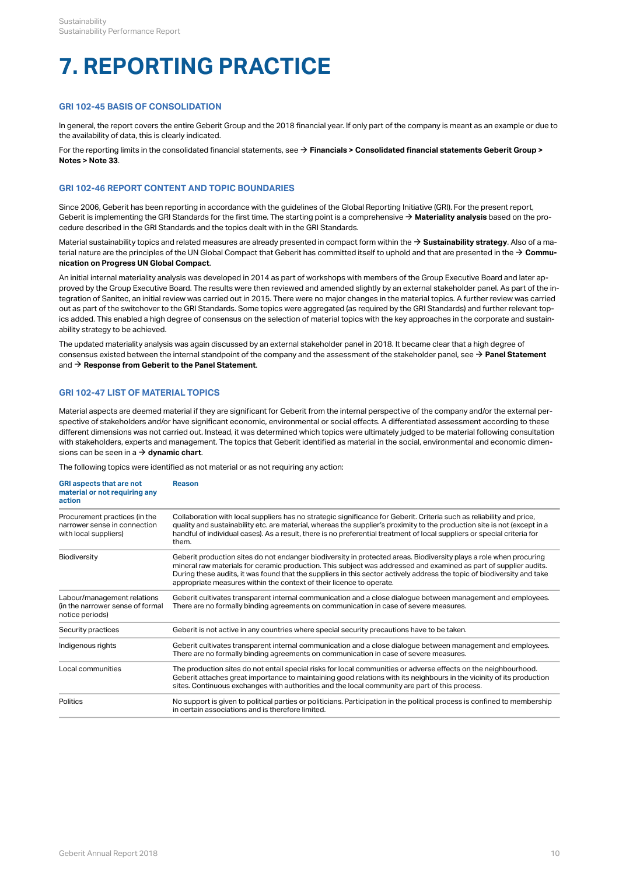# **7. REPORTING PRACTICE**

# **GRI 102-45 BASIS OF CONSOLIDATION**

In general, the report covers the entire Geberit Group and the 2018 financial year. If only part of the company is meant as an example or due to the availability of data, this is clearly indicated.

For the reporting limits in the consolidated financial statements, see → **[Financials > Consolidated financial statements Geberit Group >](http://annualreport.geberit.com/reports/geberit/annual/2018/gb/English/20405033/33_-group-companies-as-at-31-december-2018.html) [Notes > Note 33](http://annualreport.geberit.com/reports/geberit/annual/2018/gb/English/20405033/33_-group-companies-as-at-31-december-2018.html)**.

# <span id="page-12-0"></span>**GRI 102-46 REPORT CONTENT AND TOPIC BOUNDARIES**

Since 2006, Geberit has been reporting in accordance with the guidelines of the Global Reporting Initiative (GRI). For the present report, Geberit is implementing the GRI Standards for the first time. The starting point is a comprehensive  $\to$  **[Materiality analysis](http://annualreport.geberit.com/reports/geberit/annual/2018/gb/English/3030/materiality-analysis.html)** based on the procedure described in the GRI Standards and the topics dealt with in the GRI Standards.

Material sustainability topics and related measures are already presented in compact form within the **→ [Sustainability strategy](http://annualreport.geberit.com/reports/geberit/annual/2018/gb/English/3040/sustainability-strategy-2019---2021.html)**. Also of a material nature are the principles of the UN Global Compact that Geberit has committed itself to uphold and that are presented in the  $\to$  **[Commu](http://annualreport.geberit.com/geberit/annual/2018/gb/layout/../English/pdf/cop_ungc_2018_en.pdf)[nication on Progress UN Global Compact](http://annualreport.geberit.com/geberit/annual/2018/gb/layout/../English/pdf/cop_ungc_2018_en.pdf)**.

An initial internal materiality analysis was developed in 2014 as part of workshops with members of the Group Executive Board and later approved by the Group Executive Board. The results were then reviewed and amended slightly by an external stakeholder panel. As part of the integration of Sanitec, an initial review was carried out in 2015. There were no major changes in the material topics. A further review was carried out as part of the switchover to the GRI Standards. Some topics were aggregated (as required by the GRI Standards) and further relevant topics added. This enabled a high degree of consensus on the selection of material topics with the key approaches in the corporate and sustainability strategy to be achieved.

The updated materiality analysis was again discussed by an external stakeholder panel in 2018. It became clear that a high degree of consensus existed between the internal standpoint of the company and the assessment of the stakeholder panel, see  $\to$  **[Panel Statement](http://annualreport.geberit.com/geberit/annual/2018/gb/layout/../English/pdf/panel_statement_2018_en.pdf)** and  $\rightarrow$  **[Response from Geberit to the Panel Statement](http://annualreport.geberit.com/geberit/annual/2018/gb/layout/../English/pdf/response_geberit_panel_statement_2018.pdf)**.

# <span id="page-12-1"></span>**GRI 102-47 LIST OF MATERIAL TOPICS**

Material aspects are deemed material if they are significant for Geberit from the internal perspective of the company and/or the external perspective of stakeholders and/or have significant economic, environmental or social effects. A differentiated assessment according to these different dimensions was not carried out. Instead, it was determined which topics were ultimately judged to be material following consultation with stakeholders, experts and management. The topics that Geberit identified as material in the social, environmental and economic dimensions can be seen in a  $\rightarrow$  **[dynamic chart](http://annualreport.geberit.com/reports/geberit/annual/2018/gb/English/3030/materiality-analysis.html)**.

The following topics were identified as not material or as not requiring any action:

| <b>GRI aspects that are not</b><br>material or not requiring any<br>action             | <b>Reason</b>                                                                                                                                                                                                                                                                                                                                                                                                                              |
|----------------------------------------------------------------------------------------|--------------------------------------------------------------------------------------------------------------------------------------------------------------------------------------------------------------------------------------------------------------------------------------------------------------------------------------------------------------------------------------------------------------------------------------------|
| Procurement practices (in the<br>narrower sense in connection<br>with local suppliers) | Collaboration with local suppliers has no strategic significance for Geberit. Criteria such as reliability and price,<br>quality and sustainability etc. are material, whereas the supplier's proximity to the production site is not (except in a<br>handful of individual cases). As a result, there is no preferential treatment of local suppliers or special criteria for<br>them.                                                    |
| Biodiversity                                                                           | Geberit production sites do not endanger biodiversity in protected areas. Biodiversity plays a role when procuring<br>mineral raw materials for ceramic production. This subject was addressed and examined as part of supplier audits.<br>During these audits, it was found that the suppliers in this sector actively address the topic of biodiversity and take<br>appropriate measures within the context of their licence to operate. |
| Labour/management relations<br>(in the narrower sense of formal<br>notice periods)     | Geberit cultivates transparent internal communication and a close dialogue between management and employees.<br>There are no formally binding agreements on communication in case of severe measures.                                                                                                                                                                                                                                      |
| Security practices                                                                     | Geberit is not active in any countries where special security precautions have to be taken.                                                                                                                                                                                                                                                                                                                                                |
| Indigenous rights                                                                      | Geberit cultivates transparent internal communication and a close dialogue between management and employees.<br>There are no formally binding agreements on communication in case of severe measures.                                                                                                                                                                                                                                      |
| Local communities                                                                      | The production sites do not entail special risks for local communities or adverse effects on the neighbourhood.<br>Geberit attaches great importance to maintaining good relations with its neighbours in the vicinity of its production<br>sites. Continuous exchanges with authorities and the local community are part of this process.                                                                                                 |
| Politics                                                                               | No support is given to political parties or politicians. Participation in the political process is confined to membership<br>in certain associations and is therefore limited.                                                                                                                                                                                                                                                             |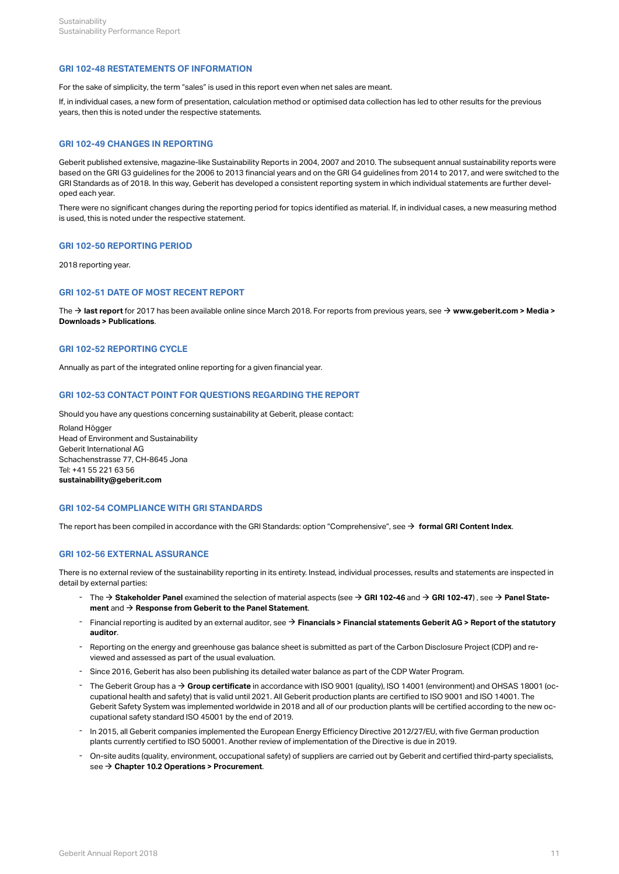# **GRI 102-48 RESTATEMENTS OF INFORMATION**

For the sake of simplicity, the term "sales" is used in this report even when net sales are meant.

If, in individual cases, a new form of presentation, calculation method or optimised data collection has led to other results for the previous years, then this is noted under the respective statements.

# **GRI 102-49 CHANGES IN REPORTING**

Geberit published extensive, magazine-like Sustainability Reports in 2004, 2007 and 2010. The subsequent annual sustainability reports were based on the GRI G3 guidelines for the 2006 to 2013 financial years and on the GRI G4 guidelines from 2014 to 2017, and were switched to the GRI Standards as of 2018. In this way, Geberit has developed a consistent reporting system in which individual statements are further developed each year.

There were no significant changes during the reporting period for topics identified as material. If, in individual cases, a new measuring method is used, this is noted under the respective statement.

# **GRI 102-50 REPORTING PERIOD**

2018 reporting year.

# **GRI 102-51 DATE OF MOST RECENT REPORT**

The **→ [last report](http://geschaeftsbericht2016.geberit.com/reports/geberit/annual/2017/gb/English/0/startseite.html)** for 2017 has been available online since March 2018. For reports from previous years, see → **[www.geberit.com > Media >](https://www.geberit.com/media/downloads/publications/) [Downloads > Publications](https://www.geberit.com/media/downloads/publications/)**.

# **GRI 102-52 REPORTING CYCLE**

Annually as part of the integrated online reporting for a given financial year.

# **GRI 102-53 CONTACT POINT FOR QUESTIONS REGARDING THE REPORT**

Should you have any questions concerning sustainability at Geberit, please contact:

Roland Högger Head of Environment and Sustainability Geberit International AG Schachenstrasse 77, CH-8645 Jona Tel: +41 55 221 63 56 **[sustainability@geberit.com](mailto:sustainability@geberit.com)**

# **GRI 102-54 COMPLIANCE WITH GRI STANDARDS**

The report has been compiled in accordance with the GRI Standards: option "Comprehensive", see → **[formal GRI Content Index](http://annualreport.geberit.com/geberit/annual/2018/gb/layout/../English/pdf/gri_content_index_2018.pdf)**.

# **GRI 102-56 EXTERNAL ASSURANCE**

There is no external review of the sustainability reporting in its entirety. Instead, individual processes, results and statements are inspected in detail by external parties:

- The **[Stakeholder Panel](http://annualreport.geberit.com/geberit/annual/2018/gb/layout/../English/pdf/response_geberit_panel_statement_2018.pdf)** examined the selection of material aspects (see **[GRI 102-46](#page-12-0)** and **[GRI 102-47](#page-12-1)**) , see **[Panel State-](http://annualreport.geberit.com/geberit/annual/2018/gb/layout/../English/pdf/panel_statement_2018_en.pdf)[ment](http://annualreport.geberit.com/geberit/annual/2018/gb/layout/../English/pdf/panel_statement_2018_en.pdf)** and **[Response from Geberit to the Panel Statement](http://annualreport.geberit.com/geberit/annual/2018/gb/layout/../English/pdf/response_geberit_panel_statement_2018.pdf)**. [\\$](http://annualreport.geberit.com/geberit/annual/2018/gb/layout/../English/pdf/response_geberit_panel_statement_2018.pdf) [\\$](#page-12-0) [\\$](#page-12-1) [\\$](http://annualreport.geberit.com/geberit/annual/2018/gb/layout/../English/pdf/panel_statement_2018_en.pdf) ment and  $\rightarrow$  Response from Geberit to the Panel Statement.
- Financial reporting is audited by an external auditor, see **[Financials > Financial statements](http://annualreport.geberit.com/reports/geberit/annual/2018/gb/English/204060/report-of-the-statutory-auditor.html) [Geberit](http://annualreport.geberit.com/reports/geberit/annual/2018/gb/English/204060/report-of-the-statutory-auditor.html) [AG > Report of the statutory](http://annualreport.geberit.com/reports/geberit/annual/2018/gb/English/204060/report-of-the-statutory-auditor.html) [auditor](http://annualreport.geberit.com/reports/geberit/annual/2018/gb/English/204060/report-of-the-statutory-auditor.html)**. [\\$](http://annualreport.geberit.com/reports/geberit/annual/2018/gb/English/204060/report-of-the-statutory-auditor.html)
- Reporting on the energy and greenhouse gas balance sheet is submitted as part of the Carbon Disclosure Project (CDP) and re-viewed and assessed as part of the usual evaluation. -
- Since 2016, Geberit has also been publishing its detailed water balance as part of the CDP Water Program.
- The Geberit Group has a **[Group certificate](http://annualreport.geberit.com/geberit/annual/2018/gb/layout/../English/pdf/iso_certificate_2018.pdf)** in accordance with ISO 9001 (quality), ISO 14001 (environment) and OHSAS 18001 (occupational health and safety) that is valid until 2021. All Geberit production plants are certified to ISO 9001 and ISO 14001. The Geberit Safety System was implemented worldwide in 2018 and all of our production plants will be certified according to the new oc-The Geberit Group has a  $\rightarrow$  Group certificate in accordance with ISO 9001 (quality), ISO 14001 (en cupational health and safety) that is valid until 2021. All Geberit production plants are certified to IS Geberit Safety
- n 2015, all Geberit companies implemented the European Energy Efficiency Directive 2012/27/EU, with five German production -<br>plants currently certified to ISO 50001. Another review of implementation of the Directive is due
- On-site audits (quality, environment, occupational safety) of suppliers are carried out by Geberit and certified third-party specialists,<br>see **→ [Chapter 10.2 Operations > Procurement](#page-28-0)**.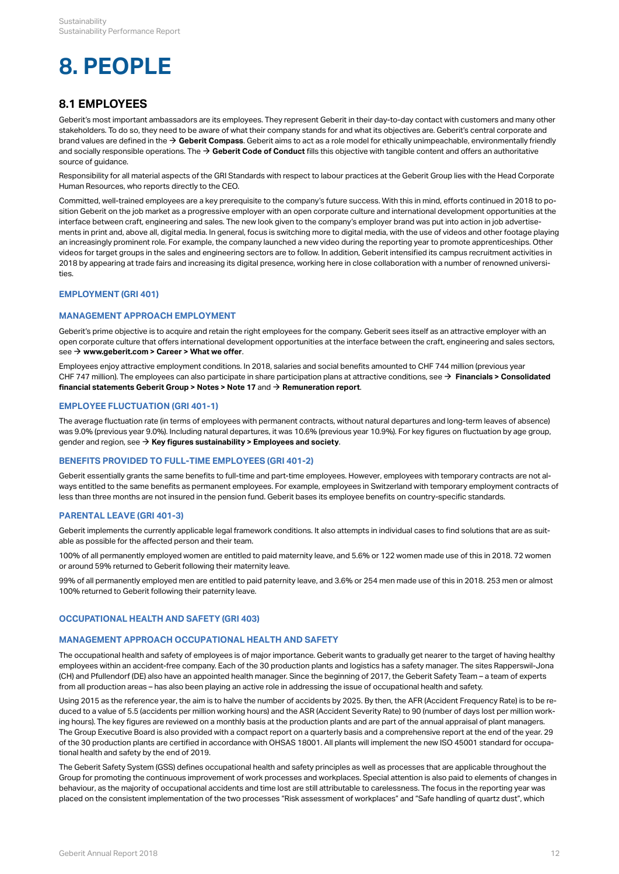# **8. PEOPLE**

# **8.1 EMPLOYEES**

Geberit's most important ambassadors are its employees. They represent Geberit in their day-to-day contact with customers and many other stakeholders. To do so, they need to be aware of what their company stands for and what its objectives are. Geberit's central corporate and brand values are defined in the **[Geberit Compass](http://annualreport.geberit.com/geberit/annual/2018/gb/layout/../English/pdf/geberit_compass.pdf)**. Geberit aims to act as a role model for ethically unimpeachable, environmentally friendly [\\$](http://annualreport.geberit.com/geberit/annual/2018/gb/layout/../English/pdf/geberit_compass.pdf) and socially responsible operations. The **→ [Geberit Code of Conduct](http://annualreport.geberit.com/geberit/annual/2018/gb/layout/../English/pdf/geberit_code_of_conduct_en.pdf)** fills this objective with tangible content and offers an authoritative source of guidance.

Responsibility for all material aspects of the GRI Standards with respect to labour practices at the Geberit Group lies with the Head Corporate Human Resources, who reports directly to the CEO.

Committed, well-trained employees are a key prerequisite to the company's future success. With this in mind, efforts continued in 2018 to position Geberit on the job market as a progressive employer with an open corporate culture and international development opportunities at the interface between craft, engineering and sales. The new look given to the company's employer brand was put into action in job advertisements in print and, above all, digital media. In general, focus is switching more to digital media, with the use of videos and other footage playing an increasingly prominent role. For example, the company launched a new video during the reporting year to promote apprenticeships. Other videos for target groups in the sales and engineering sectors are to follow. In addition, Geberit intensified its campus recruitment activities in 2018 by appearing at trade fairs and increasing its digital presence, working here in close collaboration with a number of renowned universities.

# **EMPLOYMENT (GRI 401)**

# **MANAGEMENT APPROACH EMPLOYMENT**

Geberit's prime objective is to acquire and retain the right employees for the company. Geberit sees itself as an attractive employer with an open corporate culture that offers international development opportunities at the interface between the craft, engineering and sales sectors, see → www.**geberit.com > Career > What we offer**.

Employees enjoy attractive employment conditions. In 2018, salaries and social benefits amounted to CHF 744 million (previous year CHF 747 million). The employees can also participate in share participation plans at attractive conditions, see → **[Financials > Consolidated](http://annualreport.geberit.com/reports/geberit/annual/2018/gb/English/20405017/17_-participation-plans.html?anchor=Note%2017#Note17)** <code>financial</code> statements Geberit Group > Notes > Note 17</mark> and  $\rightarrow$  [Remuneration report](http://annualreport.geberit.com/reports/geberit/annual/2018/gb/English/1070/remune_ration-report.html).  $\,$ 

# **EMPLOYEE FLUCTUATION (GRI 401-1)**

The average fluctuation rate (in terms of employees with permanent contracts, without natural departures and long-term leaves of absence) was 9.0% (previous year 9.0%). Including natural departures, it was 10.6% (previous year 10.9%). For key figures on fluctuation by age group, gender and region, see  $\Rightarrow$  **[Key figures sustainability > Employees and society](#page-38-0)**.

# **BENEFITS PROVIDED TO FULL-TIME EMPLOYEES (GRI 401-2)**

Geberit essentially grants the same benefits to full-time and part-time employees. However, employees with temporary contracts are not always entitled to the same benefits as permanent employees. For example, employees in Switzerland with temporary employment contracts of less than three months are not insured in the pension fund. Geberit bases its employee benefits on country-specific standards.

# **PARENTAL LEAVE (GRI 401-3)**

Geberit implements the currently applicable legal framework conditions. It also attempts in individual cases to find solutions that are as suitable as possible for the affected person and their team.

100% of all permanently employed women are entitled to paid maternity leave, and 5.6% or 122 women made use of this in 2018. 72 women or around 59% returned to Geberit following their maternity leave.

99% of all permanently employed men are entitled to paid paternity leave, and 3.6% or 254 men made use of this in 2018. 253 men or almost 100% returned to Geberit following their paternity leave.

# <span id="page-14-0"></span>**OCCUPATIONAL HEALTH AND SAFETY (GRI 403)**

# **MANAGEMENT APPROACH OCCUPATIONAL HEALTH AND SAFETY**

The occupational health and safety of employees is of major importance. Geberit wants to gradually get nearer to the target of having healthy employees within an accident-free company. Each of the 30 production plants and logistics has a safety manager. The sites Rapperswil-Jona (CH) and Pfullendorf (DE) also have an appointed health manager. Since the beginning of 2017, the Geberit Safety Team – a team of experts from all production areas – has also been playing an active role in addressing the issue of occupational health and safety.

Using 2015 as the reference year, the aim is to halve the number of accidents by 2025. By then, the AFR (Accident Frequency Rate) is to be reduced to a value of 5.5 (accidents per million working hours) and the ASR (Accident Severity Rate) to 90 (number of days lost per million working hours). The key figures are reviewed on a monthly basis at the production plants and are part of the annual appraisal of plant managers. The Group Executive Board is also provided with a compact report on a quarterly basis and a comprehensive report at the end of the year. 29 of the 30 production plants are certified in accordance with OHSAS 18001. All plants will implement the new ISO 45001 standard for occupational health and safety by the end of 2019.

The Geberit Safety System (GSS) defines occupational health and safety principles as well as processes that are applicable throughout the Group for promoting the continuous improvement of work processes and workplaces. Special attention is also paid to elements of changes in behaviour, as the majority of occupational accidents and time lost are still attributable to carelessness. The focus in the reporting year was placed on the consistent implementation of the two processes "Risk assessment of workplaces" and "Safe handling of quartz dust", which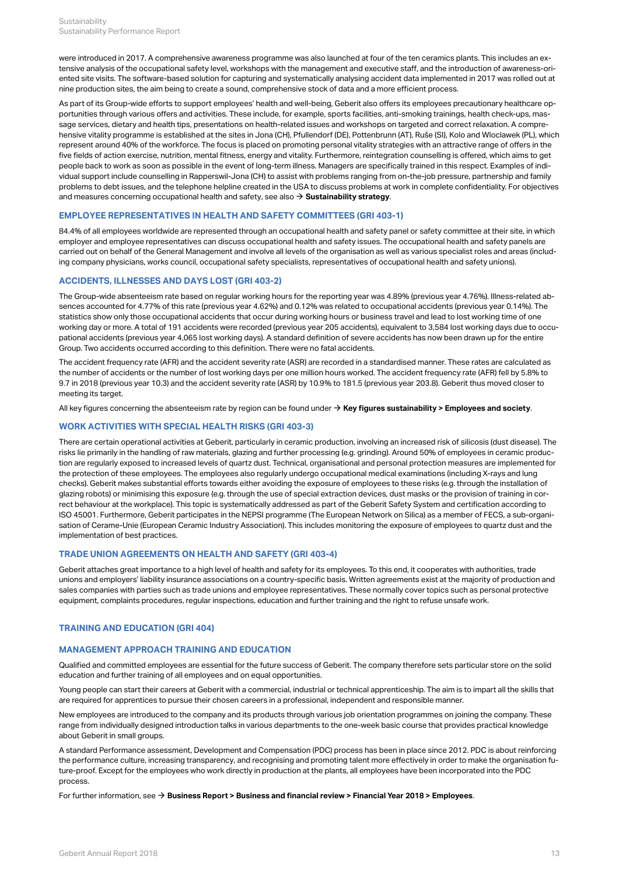were introduced in 2017. A comprehensive awareness programme was also launched at four of the ten ceramics plants. This includes an extensive analysis of the occupational safety level, workshops with the management and executive staff, and the introduction of awareness-oriented site visits. The software-based solution for capturing and systematically analysing accident data implemented in 2017 was rolled out at nine production sites, the aim being to create a sound, comprehensive stock of data and a more efficient process.

As part of its Group-wide efforts to support employees' health and well-being, Geberit also offers its employees precautionary healthcare opportunities through various offers and activities. These include, for example, sports facilities, anti-smoking trainings, health check-ups, massage services, dietary and health tips, presentations on health-related issues and workshops on targeted and correct relaxation. A comprehensive vitality programme is established at the sites in Jona (CH), Pfullendorf (DE), Pottenbrunn (AT), Ruše (SI), Kolo and Wloclawek (PL), which represent around 40% of the workforce. The focus is placed on promoting personal vitality strategies with an attractive range of offers in the five fields of action exercise, nutrition, mental fitness, energy and vitality. Furthermore, reintegration counselling is offered, which aims to get people back to work as soon as possible in the event of long-term illness. Managers are specifically trained in this respect. Examples of individual support include counselling in Rapperswil-Jona (CH) to assist with problems ranging from on-the-job pressure, partnership and family problems to debt issues, and the telephone helpline created in the USA to discuss problems at work in complete confidentiality. For objectives and measures concerning occupational health and safety, see also **[Sustainability strategy](http://annualreport.geberit.com/reports/geberit/annual/2018/gb/English/3040/sustainability-strategy-2019---2021.html?anchor=S21#S21)**. [\\$](http://annualreport.geberit.com/reports/geberit/annual/2018/gb/English/3040/sustainability-strategy-2019---2021.html?anchor=S21#S21)

## **EMPLOYEE REPRESENTATIVES IN HEALTH AND SAFETY COMMITTEES (GRI 403-1)**

84.4% of all employees worldwide are represented through an occupational health and safety panel or safety committee at their site, in which employer and employee representatives can discuss occupational health and safety issues. The occupational health and safety panels are carried out on behalf of the General Management and involve all levels of the organisation as well as various specialist roles and areas (including company physicians, works council, occupational safety specialists, representatives of occupational health and safety unions).

# **ACCIDENTS, ILLNESSES AND DAYS LOST (GRI 403-2)**

The Group-wide absenteeism rate based on regular working hours for the reporting year was 4.89% (previous year 4.76%). Illness-related absences accounted for 4.77% of this rate (previous year 4.62%) and 0.12% was related to occupational accidents (previous year 0.14%). The statistics show only those occupational accidents that occur during working hours or business travel and lead to lost working time of one working day or more. A total of 191 accidents were recorded (previous year 205 accidents), equivalent to 3,584 lost working days due to occupational accidents (previous year 4,065 lost working days). A standard definition of severe accidents has now been drawn up for the entire Group. Two accidents occurred according to this definition. There were no fatal accidents.

The accident frequency rate (AFR) and the accident severity rate (ASR) are recorded in a standardised manner. These rates are calculated as the number of accidents or the number of lost working days per one million hours worked. The accident frequency rate (AFR) fell by 5.8% to 9.7 in 2018 (previous year 10.3) and the accident severity rate (ASR) by 10.9% to 181.5 (previous year 203.8). Geberit thus moved closer to meeting its target.

All key figures concerning the absenteeism rate by region can be found under **→ [Key figures sustainability > Employees and society](#page-39-0)**.

# **WORK ACTIVITIES WITH SPECIAL HEALTH RISKS (GRI 403-3)**

There are certain operational activities at Geberit, particularly in ceramic production, involving an increased risk of silicosis (dust disease). The risks lie primarily in the handling of raw materials, glazing and further processing (e.g. grinding). Around 50% of employees in ceramic production are regularly exposed to increased levels of quartz dust. Technical, organisational and personal protection measures are implemented for the protection of these employees. The employees also regularly undergo occupational medical examinations (including X-rays and lung checks). Geberit makes substantial efforts towards either avoiding the exposure of employees to these risks (e.g. through the installation of glazing robots) or minimising this exposure (e.g. through the use of special extraction devices, dust masks or the provision of training in correct behaviour at the workplace). This topic is systematically addressed as part of the Geberit Safety System and certification according to ISO 45001. Furthermore, Geberit participates in the NEPSI programme (The European Network on Silica) as a member of FECS, a sub-organisation of Cerame-Unie (European Ceramic Industry Association). This includes monitoring the exposure of employees to quartz dust and the implementation of best practices.

# **TRADE UNION AGREEMENTS ON HEALTH AND SAFETY (GRI 403-4)**

Geberit attaches great importance to a high level of health and safety for its employees. To this end, it cooperates with authorities, trade unions and employers' liability insurance associations on a country-specific basis. Written agreements exist at the majority of production and sales companies with parties such as trade unions and employee representatives. These normally cover topics such as personal protective equipment, complaints procedures, regular inspections, education and further training and the right to refuse unsafe work.

# **TRAINING AND EDUCATION (GRI 404)**

# **MANAGEMENT APPROACH TRAINING AND EDUCATION**

Qualified and committed employees are essential for the future success of Geberit. The company therefore sets particular store on the solid education and further training of all employees and on equal opportunities.

Young people can start their careers at Geberit with a commercial, industrial or technical apprenticeship. The aim is to impart all the skills that are required for apprentices to pursue their chosen careers in a professional, independent and responsible manner.

New employees are introduced to the company and its products through various job orientation programmes on joining the company. These range from individually designed introduction talks in various departments to the one-week basic course that provides practical knowledge about Geberit in small groups.

A standard Performance assessment, Development and Compensation (PDC) process has been in place since 2012. PDC is about reinforcing the performance culture, increasing transparency, and recognising and promoting talent more effectively in order to make the organisation future-proof. Except for the employees who work directly in production at the plants, all employees have been incorporated into the PDC process.

For further information, see **[Business Report > Business and financial review > Financial Year 2018 > Employees](http://annualreport.geberit.com/reports/geberit/annual/2018/gb/English/10502040/employees.html)**. [\\$](http://annualreport.geberit.com/reports/geberit/annual/2018/gb/English/10502040/employees.html)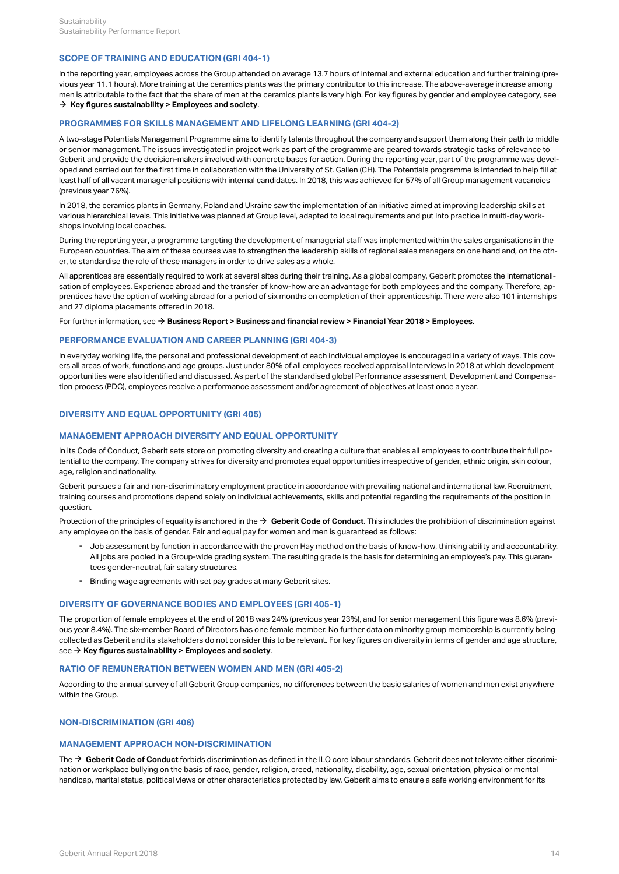# **SCOPE OF TRAINING AND EDUCATION (GRI 404-1)**

In the reporting year, employees across the Group attended on average 13.7 hours of internal and external education and further training (previous year 11.1 hours). More training at the ceramics plants was the primary contributor to this increase. The above-average increase among men is attributable to the fact that the share of men at the ceramics plants is very high. For key figures by gender and employee category, see  $\rightarrow$  [Key figures sustainability > Employees and society](#page-39-1).

# **PROGRAMMES FOR SKILLS MANAGEMENT AND LIFELONG LEARNING (GRI 404-2)**

A two-stage Potentials Management Programme aims to identify talents throughout the company and support them along their path to middle or senior management. The issues investigated in project work as part of the programme are geared towards strategic tasks of relevance to Geberit and provide the decision-makers involved with concrete bases for action. During the reporting year, part of the programme was developed and carried out for the first time in collaboration with the University of St. Gallen (CH). The Potentials programme is intended to help fill at least half of all vacant managerial positions with internal candidates. In 2018, this was achieved for 57% of all Group management vacancies (previous year 76%).

In 2018, the ceramics plants in Germany, Poland and Ukraine saw the implementation of an initiative aimed at improving leadership skills at various hierarchical levels. This initiative was planned at Group level, adapted to local requirements and put into practice in multi-day workshops involving local coaches.

During the reporting year, a programme targeting the development of managerial staff was implemented within the sales organisations in the European countries. The aim of these courses was to strengthen the leadership skills of regional sales managers on one hand and, on the other, to standardise the role of these managers in order to drive sales as a whole.

All apprentices are essentially required to work at several sites during their training. As a global company, Geberit promotes the internationalisation of employees. Experience abroad and the transfer of know-how are an advantage for both employees and the company. Therefore, apprentices have the option of working abroad for a period of six months on completion of their apprenticeship. There were also 101 internships and 27 diploma placements offered in 2018.

### For further information, see **[Business Report > Business and financial review > Financial Year 2018 > Employees](http://annualreport.geberit.com/reports/geberit/annual/2018/gb/English/10502040/employees.html)**. [\\$](http://annualreport.geberit.com/reports/geberit/annual/2018/gb/English/10502040/employees.html)

## **PERFORMANCE EVALUATION AND CAREER PLANNING (GRI 404-3)**

In everyday working life, the personal and professional development of each individual employee is encouraged in a variety of ways. This covers all areas of work, functions and age groups. Just under 80% of all employees received appraisal interviews in 2018 at which development opportunities were also identified and discussed. As part of the standardised global Performance assessment, Development and Compensation process (PDC), employees receive a performance assessment and/or agreement of objectives at least once a year.

# **DIVERSITY AND EQUAL OPPORTUNITY (GRI 405)**

# **MANAGEMENT APPROACH DIVERSITY AND EQUAL OPPORTUNITY**

In its Code of Conduct, Geberit sets store on promoting diversity and creating a culture that enables all employees to contribute their full potential to the company. The company strives for diversity and promotes equal opportunities irrespective of gender, ethnic origin, skin colour, age, religion and nationality.

Geberit pursues a fair and non-discriminatory employment practice in accordance with prevailing national and international law. Recruitment, training courses and promotions depend solely on individual achievements, skills and potential regarding the requirements of the position in question.

Protection of the principles of equality is anchored in the  $\rightarrow \,$  [Geberit Code of Conduct](http://annualreport.geberit.com/geberit/annual/2018/gb/layout/../English/pdf/geberit_code_of_conduct_en.pdf). This includes the prohibition of discrimination against any employee on the basis of gender. Fair and equal pay for women and men is guaranteed as follows:

- Job assessment by function in accordance with the proven Hay method on the basis of know-how, thinking ability and accountability. All jobs are pooled in a Group-wide grading system. The resulting grade is the basis for determining an employee's pay. This guaran-- Job assessment by function in accordance with the prove<br>All jobs are pooled in a Group-wide grading system. The re<br>tees gender-neutral, fair salary structures.
- Binding wage agreements with set pay grades at many Geberit sites.

# **DIVERSITY OF GOVERNANCE BODIES AND EMPLOYEES (GRI 405-1)**

The proportion of female employees at the end of 2018 was 24% (previous year 23%), and for senior management this figure was 8.6% (previous year 8.4%). The six-member Board of Directors has one female member. No further data on minority group membership is currently being collected as Geberit and its stakeholders do not consider this to be relevant. For key figures on diversity in terms of gender and age structure, see → **[Key figures sustainability > Employees and society](#page-37-1)**.

### **RATIO OF REMUNERATION BETWEEN WOMEN AND MEN (GRI 405-2)**

According to the annual survey of all Geberit Group companies, no differences between the basic salaries of women and men exist anywhere within the Group.

# **NON-DISCRIMINATION (GRI 406)**

# **MANAGEMENT APPROACH NON-DISCRIMINATION**

The → [Geberit Code of Conduct](http://annualreport.geberit.com/geberit/annual/2018/gb/layout/../English/pdf/geberit_code_of_conduct_en.pdf) forbids discrimination as defined in the ILO core labour standards. Geberit does not tolerate either discrimination or workplace bullying on the basis of race, gender, religion, creed, nationality, disability, age, sexual orientation, physical or mental handicap, marital status, political views or other characteristics protected by law. Geberit aims to ensure a safe working environment for its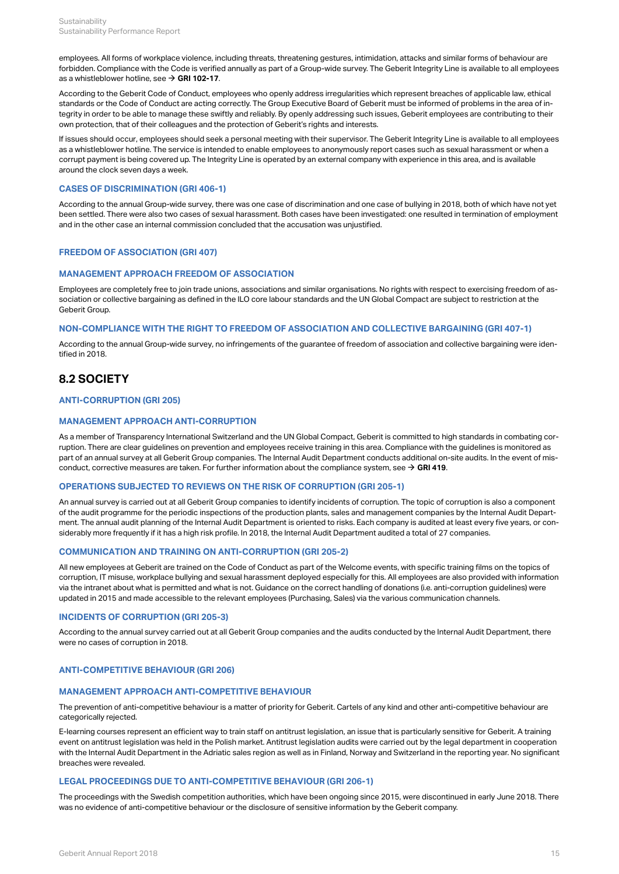employees. All forms of workplace violence, including threats, threatening gestures, intimidation, attacks and similar forms of behaviour are forbidden. Compliance with the Code is verified annually as part of a Group-wide survey. The Geberit Integrity Line is available to all employees as a whistleblower hotline, see  $\rightarrow$  [GRI 102-17](#page-6-1).

According to the Geberit Code of Conduct, employees who openly address irregularities which represent breaches of applicable law, ethical standards or the Code of Conduct are acting correctly. The Group Executive Board of Geberit must be informed of problems in the area of integrity in order to be able to manage these swiftly and reliably. By openly addressing such issues, Geberit employees are contributing to their own protection, that of their colleagues and the protection of Geberit's rights and interests.

If issues should occur, employees should seek a personal meeting with their supervisor. The Geberit Integrity Line is available to all employees as a whistleblower hotline. The service is intended to enable employees to anonymously report cases such as sexual harassment or when a corrupt payment is being covered up. The Integrity Line is operated by an external company with experience in this area, and is available around the clock seven days a week.

# **CASES OF DISCRIMINATION (GRI 406-1)**

According to the annual Group-wide survey, there was one case of discrimination and one case of bullying in 2018, both of which have not yet been settled. There were also two cases of sexual harassment. Both cases have been investigated: one resulted in termination of employment and in the other case an internal commission concluded that the accusation was unjustified.

# **FREEDOM OF ASSOCIATION (GRI 407)**

# **MANAGEMENT APPROACH FREEDOM OF ASSOCIATION**

Employees are completely free to join trade unions, associations and similar organisations. No rights with respect to exercising freedom of association or collective bargaining as defined in the ILO core labour standards and the UN Global Compact are subject to restriction at the Geberit Group.

## **NON-COMPLIANCE WITH THE RIGHT TO FREEDOM OF ASSOCIATION AND COLLECTIVE BARGAINING (GRI 407-1)**

According to the annual Group-wide survey, no infringements of the guarantee of freedom of association and collective bargaining were identified in 2018.

# **8.2 SOCIETY**

# **ANTI-CORRUPTION (GRI 205)**

## **MANAGEMENT APPROACH ANTI-CORRUPTION**

As a member of Transparency International Switzerland and the UN Global Compact, Geberit is committed to high standards in combating corruption. There are clear guidelines on prevention and employees receive training in this area. Compliance with the guidelines is monitored as part of an annual survey at all Geberit Group companies. The Internal Audit Department conducts additional on-site audits. In the event of misconduct, corrective measures are taken. For further information about the compliance system, see  $\rightarrow$  **[GRI 419](#page-30-0)**.

# **OPERATIONS SUBJECTED TO REVIEWS ON THE RISK OF CORRUPTION (GRI 205-1)**

An annual survey is carried out at all Geberit Group companies to identify incidents of corruption. The topic of corruption is also a component of the audit programme for the periodic inspections of the production plants, sales and management companies by the Internal Audit Department. The annual audit planning of the Internal Audit Department is oriented to risks. Each company is audited at least every five years, or considerably more frequently if it has a high risk profile. In 2018, the Internal Audit Department audited a total of 27 companies.

# **COMMUNICATION AND TRAINING ON ANTI-CORRUPTION (GRI 205-2)**

All new employees at Geberit are trained on the Code of Conduct as part of the Welcome events, with specific training films on the topics of corruption, IT misuse, workplace bullying and sexual harassment deployed especially for this. All employees are also provided with information via the intranet about what is permitted and what is not. Guidance on the correct handling of donations (i.e. anti-corruption guidelines) were updated in 2015 and made accessible to the relevant employees (Purchasing, Sales) via the various communication channels.

## **INCIDENTS OF CORRUPTION (GRI 205-3)**

According to the annual survey carried out at all Geberit Group companies and the audits conducted by the Internal Audit Department, there were no cases of corruption in 2018.

# **ANTI-COMPETITIVE BEHAVIOUR (GRI 206)**

# **MANAGEMENT APPROACH ANTI-COMPETITIVE BEHAVIOUR**

The prevention of anti-competitive behaviour is a matter of priority for Geberit. Cartels of any kind and other anti-competitive behaviour are categorically rejected.

E-learning courses represent an efficient way to train staff on antitrust legislation, an issue that is particularly sensitive for Geberit. A training event on antitrust legislation was held in the Polish market. Antitrust legislation audits were carried out by the legal department in cooperation with the Internal Audit Department in the Adriatic sales region as well as in Finland, Norway and Switzerland in the reporting year. No significant breaches were revealed.

# **LEGAL PROCEEDINGS DUE TO ANTI-COMPETITIVE BEHAVIOUR (GRI 206-1)**

The proceedings with the Swedish competition authorities, which have been ongoing since 2015, were discontinued in early June 2018. There was no evidence of anti-competitive behaviour or the disclosure of sensitive information by the Geberit company.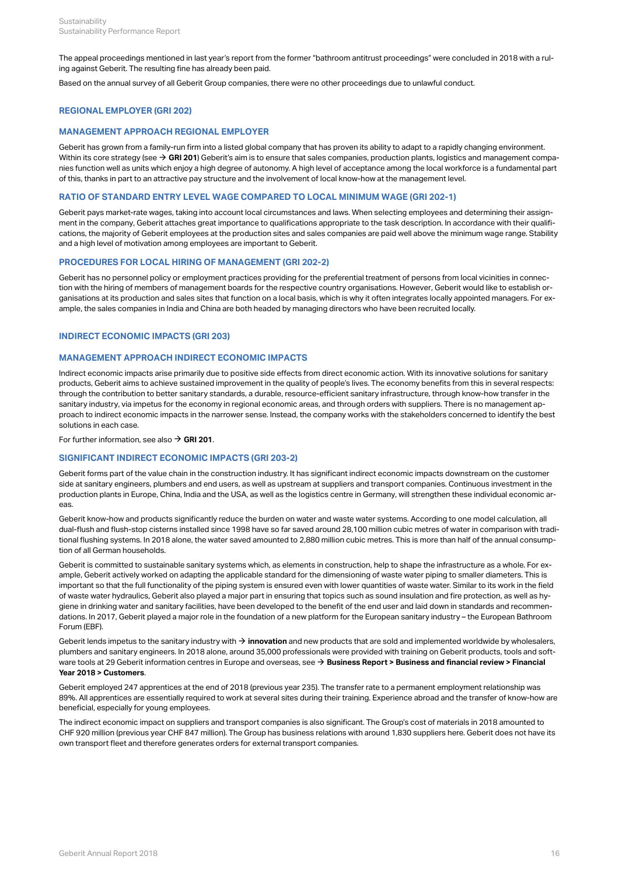The appeal proceedings mentioned in last year's report from the former "bathroom antitrust proceedings" were concluded in 2018 with a ruling against Geberit. The resulting fine has already been paid.

Based on the annual survey of all Geberit Group companies, there were no other proceedings due to unlawful conduct.

# **REGIONAL EMPLOYER (GRI 202)**

# **MANAGEMENT APPROACH REGIONAL EMPLOYER**

Geberit has grown from a family-run firm into a listed global company that has proven its ability to adapt to a rapidly changing environment. Within its core strategy (see **→ [GRI 201](#page-29-0)**) Geberit's aim is to ensure that sales companies, production plants, logistics and management companies function well as units which enjoy a high degree of autonomy. A high level of acceptance among the local workforce is a fundamental part of this, thanks in part to an attractive pay structure and the involvement of local know-how at the management level.

# **RATIO OF STANDARD ENTRY LEVEL WAGE COMPARED TO LOCAL MINIMUM WAGE (GRI 202-1)**

Geberit pays market-rate wages, taking into account local circumstances and laws. When selecting employees and determining their assignment in the company, Geberit attaches great importance to qualifications appropriate to the task description. In accordance with their qualifications, the majority of Geberit employees at the production sites and sales companies are paid well above the minimum wage range. Stability and a high level of motivation among employees are important to Geberit.

## **PROCEDURES FOR LOCAL HIRING OF MANAGEMENT (GRI 202-2)**

Geberit has no personnel policy or employment practices providing for the preferential treatment of persons from local vicinities in connection with the hiring of members of management boards for the respective country organisations. However, Geberit would like to establish organisations at its production and sales sites that function on a local basis, which is why it often integrates locally appointed managers. For example, the sales companies in India and China are both headed by managing directors who have been recruited locally.

## **INDIRECT ECONOMIC IMPACTS (GRI 203)**

# **MANAGEMENT APPROACH INDIRECT ECONOMIC IMPACTS**

Indirect economic impacts arise primarily due to positive side effects from direct economic action. With its innovative solutions for sanitary products, Geberit aims to achieve sustained improvement in the quality of people's lives. The economy benefits from this in several respects: through the contribution to better sanitary standards, a durable, resource-efficient sanitary infrastructure, through know-how transfer in the sanitary industry, via impetus for the economy in regional economic areas, and through orders with suppliers. There is no management approach to indirect economic impacts in the narrower sense. Instead, the company works with the stakeholders concerned to identify the best solutions in each case.

For further information, see also  $\rightarrow$  **[GRI 201](#page-29-0)**.

# **SIGNIFICANT INDIRECT ECONOMIC IMPACTS (GRI 203-2)**

Geberit forms part of the value chain in the construction industry. It has significant indirect economic impacts downstream on the customer side at sanitary engineers, plumbers and end users, as well as upstream at suppliers and transport companies. Continuous investment in the production plants in Europe, China, India and the USA, as well as the logistics centre in Germany, will strengthen these individual economic ar eas.

Geberit know-how and products significantly reduce the burden on water and waste water systems. According to one model calculation, all dual-flush and flush-stop cisterns installed since 1998 have so far saved around 28,100 million cubic metres of water in comparison with traditional flushing systems. In 2018 alone, the water saved amounted to 2,880 million cubic metres. This is more than half of the annual consumption of all German households.

Geberit is committed to sustainable sanitary systems which, as elements in construction, help to shape the infrastructure as a whole. For example, Geberit actively worked on adapting the applicable standard for the dimensioning of waste water piping to smaller diameters. This is important so that the full functionality of the piping system is ensured even with lower quantities of waste water. Similar to its work in the field of waste water hydraulics, Geberit also played a major part in ensuring that topics such as sound insulation and fire protection, as well as hygiene in drinking water and sanitary facilities, have been developed to the benefit of the end user and laid down in standards and recommendations. In 2017, Geberit played a major role in the foundation of a new platform for the European sanitary industry – the European Bathroom Forum (EBF).

Geberit lends impetus to the sanitary industry with  $\bm{\rightarrow}$  **innovation** and new products that are sold and implemented worldwide by wholesalers, plumbers and sanitary engineers. In 2018 alone, around 35,000 professionals were provided with training on Geberit products, tools and software tools at 29 Geberit information centres in Europe and overseas, see → **[Business Report > Business and financial review > Financial](http://annualreport.geberit.com/reports/geberit/annual/2018/gb/English/10502045/customers.html) [Year 2018 > Customers](http://annualreport.geberit.com/reports/geberit/annual/2018/gb/English/10502045/customers.html)**.

Geberit employed 247 apprentices at the end of 2018 (previous year 235). The transfer rate to a permanent employment relationship was 89%. All apprentices are essentially required to work at several sites during their training. Experience abroad and the transfer of know-how are beneficial, especially for young employees.

The indirect economic impact on suppliers and transport companies is also significant. The Group's cost of materials in 2018 amounted to CHF 920 million (previous year CHF 847 million). The Group has business relations with around 1,830 suppliers here. Geberit does not have its own transport fleet and therefore generates orders for external transport companies.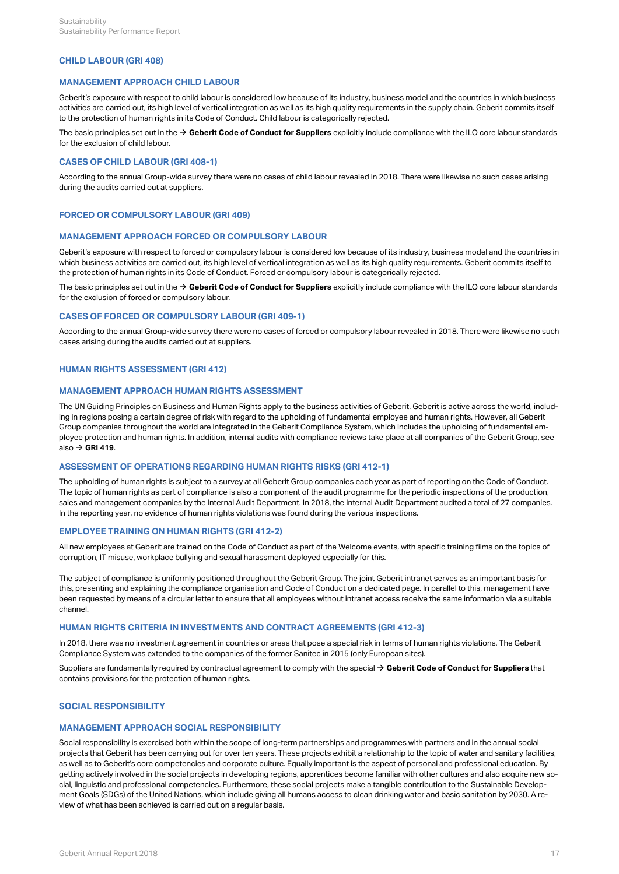# **CHILD LABOUR (GRI 408)**

# **MANAGEMENT APPROACH CHILD LABOUR**

Geberit's exposure with respect to child labour is considered low because of its industry, business model and the countries in which business activities are carried out, its high level of vertical integration as well as its high quality requirements in the supply chain. Geberit commits itself to the protection of human rights in its Code of Conduct. Child labour is categorically rejected.

The basic principles set out in the **[Geberit Code of Conduct for Suppliers](http://annualreport.geberit.com/geberit/annual/2018/gb/layout/../English/pdf/supplier_code_of_conduct.pdf)** explicitly include compliance with the ILO core labour standards [\\$](http://annualreport.geberit.com/geberit/annual/2018/gb/layout/../English/pdf/supplier_code_of_conduct.pdf) for the exclusion of child labour.

### **CASES OF CHILD LABOUR (GRI 408-1)**

According to the annual Group-wide survey there were no cases of child labour revealed in 2018. There were likewise no such cases arising during the audits carried out at suppliers.

# **FORCED OR COMPULSORY LABOUR (GRI 409)**

# **MANAGEMENT APPROACH FORCED OR COMPULSORY LABOUR**

Geberit's exposure with respect to forced or compulsory labour is considered low because of its industry, business model and the countries in which business activities are carried out, its high level of vertical integration as well as its high quality requirements. Geberit commits itself to the protection of human rights in its Code of Conduct. Forced or compulsory labour is categorically rejected.

The basic principles set out in the **[Geberit Code of Conduct for Suppliers](http://annualreport.geberit.com/geberit/annual/2018/gb/layout/../English/pdf/supplier_code_of_conduct.pdf)** explicitly include compliance with the ILO core labour standards [\\$](http://annualreport.geberit.com/geberit/annual/2018/gb/layout/../English/pdf/supplier_code_of_conduct.pdf) for the exclusion of forced or compulsory labour.

## **CASES OF FORCED OR COMPULSORY LABOUR (GRI 409-1)**

According to the annual Group-wide survey there were no cases of forced or compulsory labour revealed in 2018. There were likewise no such cases arising during the audits carried out at suppliers.

# **HUMAN RIGHTS ASSESSMENT (GRI 412)**

# **MANAGEMENT APPROACH HUMAN RIGHTS ASSESSMENT**

The UN Guiding Principles on Business and Human Rights apply to the business activities of Geberit. Geberit is active across the world, including in regions posing a certain degree of risk with regard to the upholding of fundamental employee and human rights. However, all Geberit Group companies throughout the world are integrated in the Geberit Compliance System, which includes the upholding of fundamental employee protection and human rights. In addition, internal audits with compliance reviews take place at all companies of the Geberit Group, see also  $\rightarrow$  **[GRI 419](#page-30-0)**.

# **ASSESSMENT OF OPERATIONS REGARDING HUMAN RIGHTS RISKS (GRI 412-1)**

The upholding of human rights is subject to a survey at all Geberit Group companies each year as part of reporting on the Code of Conduct. The topic of human rights as part of compliance is also a component of the audit programme for the periodic inspections of the production, sales and management companies by the Internal Audit Department. In 2018, the Internal Audit Department audited a total of 27 companies. In the reporting year, no evidence of human rights violations was found during the various inspections.

# **EMPLOYEE TRAINING ON HUMAN RIGHTS (GRI 412-2)**

All new employees at Geberit are trained on the Code of Conduct as part of the Welcome events, with specific training films on the topics of corruption, IT misuse, workplace bullying and sexual harassment deployed especially for this.

The subject of compliance is uniformly positioned throughout the Geberit Group. The joint Geberit intranet serves as an important basis for this, presenting and explaining the compliance organisation and Code of Conduct on a dedicated page. In parallel to this, management have been requested by means of a circular letter to ensure that all employees without intranet access receive the same information via a suitable channel.

## **HUMAN RIGHTS CRITERIA IN INVESTMENTS AND CONTRACT AGREEMENTS (GRI 412-3)**

In 2018, there was no investment agreement in countries or areas that pose a special risk in terms of human rights violations. The Geberit Compliance System was extended to the companies of the former Sanitec in 2015 (only European sites).

Suppliers are fundamentally required by contractual agreement to comply with the special  $\bm \to$  **[Geberit Code of Conduct for Suppliers](http://annualreport.geberit.com/geberit/annual/2018/gb/layout/../English/pdf/supplier_code_of_conduct.pdf)** that contains provisions for the protection of human rights.

# <span id="page-19-0"></span>**SOCIAL RESPONSIBILITY**

### **MANAGEMENT APPROACH SOCIAL RESPONSIBILITY**

Social responsibility is exercised both within the scope of long-term partnerships and programmes with partners and in the annual social projects that Geberit has been carrying out for over ten years. These projects exhibit a relationship to the topic of water and sanitary facilities, as well as to Geberit's core competencies and corporate culture. Equally important is the aspect of personal and professional education. By getting actively involved in the social projects in developing regions, apprentices become familiar with other cultures and also acquire new social, linguistic and professional competencies. Furthermore, these social projects make a tangible contribution to the Sustainable Development Goals (SDGs) of the United Nations, which include giving all humans access to clean drinking water and basic sanitation by 2030. A review of what has been achieved is carried out on a regular basis.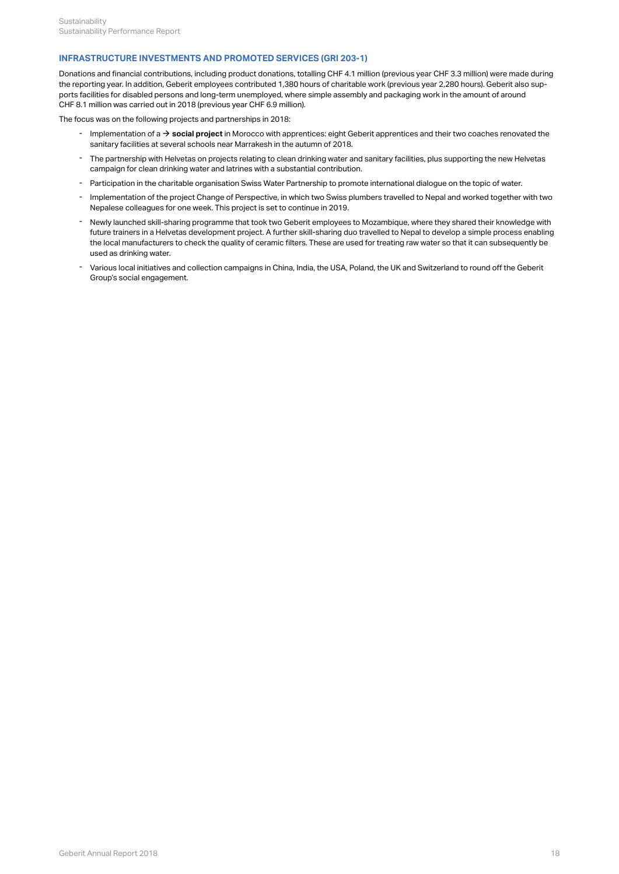# **INFRASTRUCTURE INVESTMENTS AND PROMOTED SERVICES (GRI 203-1)**

Donations and financial contributions, including product donations, totalling CHF 4.1 million (previous year CHF 3.3 million) were made during the reporting year. In addition, Geberit employees contributed 1,380 hours of charitable work (previous year 2,280 hours). Geberit also supports facilities for disabled persons and long-term unemployed, where simple assembly and packaging work in the amount of around CHF 8.1 million was carried out in 2018 (previous year CHF 6.9 million).

The focus was on the following projects and partnerships in 2018:

- Implementation of a → **[social project](https://www.geberit.com/insights/under-the-moroccan-sun.html)** in Morocco with apprentices: eight Geberit apprentices and their two coaches renovated the<br>sanitary facilities at several schools near Marrakesh in the autumn of 2018.
- The partnership with Helvetas on projects relating to clean drinking water and sanitary facilities, plus supporting the new Helvetas<br>campaign for clean drinking water and latrines with a substantial contribution.
- Participation in the charitable organisation Swiss Water Partnership to promote international dialogue on the topic of water.
- Implementation of the project Change of Perspective, in which two Swiss plumbers travelled to Nepal and worked together with two<br>Nepalese colleagues for one week. This project is set to continue in 2019.
- Newly launched skill-sharing programme that took two Geberit employees to Mozambique, where they shared their knowledge with future trainers in a Helvetas development project. A further skill-sharing duo travelled to Nepal to develop a simple process enabling the local manufacturers to check the quality of ceramic filters. These are used for treating raw water so that it can subsequently be - Newly launched skill-sharing programm<br>future trainers in a Helvetas developme<br>the local manufacturers to check the qu<br>used as drinking water.
- Various local initiatives and collection campaigns in China, India, the USA, Poland, the UK and Switzerland to round off the Geberit<br>Group's social engagement.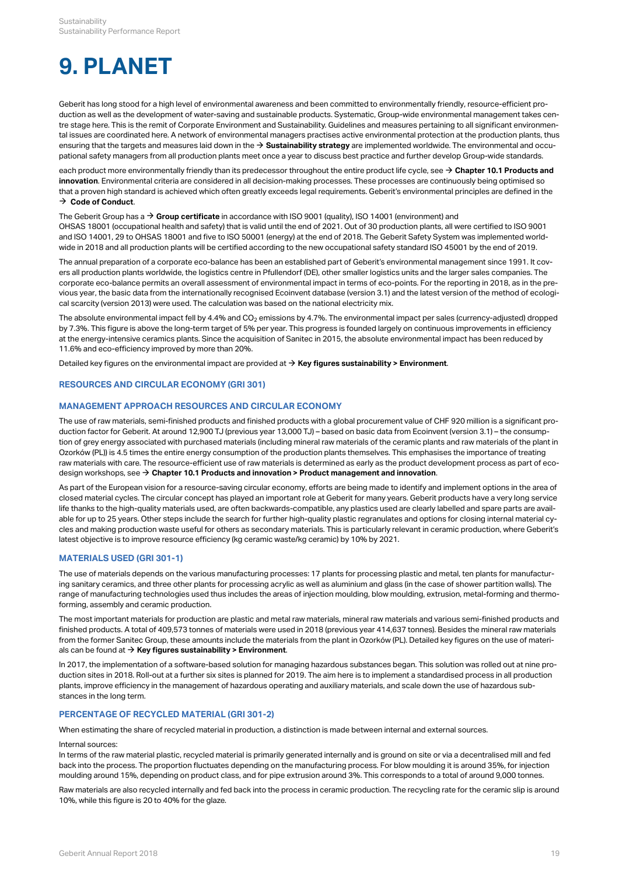# **9. PLANET**

Geberit has long stood for a high level of environmental awareness and been committed to environmentally friendly, resource-efficient production as well as the development of water-saving and sustainable products. Systematic, Group-wide environmental management takes centre stage here. This is the remit of Corporate Environment and Sustainability. Guidelines and measures pertaining to all significant environmental issues are coordinated here. A network of environmental managers practises active environmental protection at the production plants, thus ensuring that the targets and measures laid down in the  $\rightarrow$  **[Sustainability strategy](http://annualreport.geberit.com/reports/geberit/annual/2018/gb/English/3040/sustainability-strategy-2019---2021.html?anchor=PLANET#PLANET)** are implemented worldwide. The environmental and occupational safety managers from all production plants meet once a year to discuss best practice and further develop Group-wide standards.

each product more environmentally friendly than its predecessor throughout the entire product life cycle, see  $\to$  **[Chapter 10.1 Products and](#page-27-0) [innovation](#page-27-0)**. Environmental criteria are considered in all decision-making processes. These processes are continuously being optimised so that a proven high standard is achieved which often greatly exceeds legal requirements. Geberit's environmental principles are defined in the  $\rightarrow$  [Code of Conduct](http://annualreport.geberit.com/geberit/annual/2018/gb/layout/../English/pdf/geberit_code_of_conduct_en.pdf).

### The Geberit Group has a **[Group certificate](http://annualreport.geberit.com/geberit/annual/2018/gb/layout/../English/pdf/iso_certificate_2018.pdf)** in accordance with ISO 9001 (quality), ISO 14001 (environment) and [\\$](http://annualreport.geberit.com/geberit/annual/2018/gb/layout/../English/pdf/iso_certificate_2018.pdf)

OHSAS 18001 (occupational health and safety) that is valid until the end of 2021. Out of 30 production plants, all were certified to ISO 9001 and ISO 14001, 29 to OHSAS 18001 and five to ISO 50001 (energy) at the end of 2018. The Geberit Safety System was implemented worldwide in 2018 and all production plants will be certified according to the new occupational safety standard ISO 45001 by the end of 2019.

The annual preparation of a corporate eco-balance has been an established part of Geberit's environmental management since 1991. It covers all production plants worldwide, the logistics centre in Pfullendorf (DE), other smaller logistics units and the larger sales companies. The corporate eco-balance permits an overall assessment of environmental impact in terms of eco-points. For the reporting in 2018, as in the previous year, the basic data from the internationally recognised Ecoinvent database (version 3.1) and the latest version of the method of ecological scarcity (version 2013) were used. The calculation was based on the national electricity mix.

The absolute environmental impact fell by 4.4% and CO $_2$  emissions by 4.7%. The environmental impact per sales (currency-adjusted) dropped by 7.3%. This figure is above the long-term target of 5% per year. This progress is founded largely on continuous improvements in efficiency at the energy-intensive ceramics plants. Since the acquisition of Sanitec in 2015, the absolute environmental impact has been reduced by 11.6% and eco-efficiency improved by more than 20%.

Detailed key figures on the environmental impact are provided at  $\bm{\rightarrow}$  **[Key figures sustainability > Environment](#page-34-0)**.

# <span id="page-21-0"></span>**RESOURCES AND CIRCULAR ECONOMY (GRI 301)**

# **MANAGEMENT APPROACH RESOURCES AND CIRCULAR ECONOMY**

The use of raw materials, semi-finished products and finished products with a global procurement value of CHF 920 million is a significant production factor for Geberit. At around 12,900 TJ (previous year 13,000 TJ) – based on basic data from Ecoinvent (version 3.1) – the consumption of grey energy associated with purchased materials (including mineral raw materials of the ceramic plants and raw materials of the plant in Ozorków (PL)) is 4.5 times the entire energy consumption of the production plants themselves. This emphasises the importance of treating raw materials with care. The resource-efficient use of raw materials is determined as early as the product development process as part of ecodesign workshops, see **[Chapter 10.1 Products and innovation > Product management and innovation](#page-27-1)**. [\\$](#page-27-1)

As part of the European vision for a resource-saving circular economy, efforts are being made to identify and implement options in the area of closed material cycles. The circular concept has played an important role at Geberit for many years. Geberit products have a very long service life thanks to the high-quality materials used, are often backwards-compatible, any plastics used are clearly labelled and spare parts are available for up to 25 years. Other steps include the search for further high-quality plastic regranulates and options for closing internal material cycles and making production waste useful for others as secondary materials. This is particularly relevant in ceramic production, where Geberit's latest objective is to improve resource efficiency (kg ceramic waste/kg ceramic) by 10% by 2021.

# **MATERIALS USED (GRI 301-1)**

The use of materials depends on the various manufacturing processes: 17 plants for processing plastic and metal, ten plants for manufacturing sanitary ceramics, and three other plants for processing acrylic as well as aluminium and glass (in the case of shower partition walls). The range of manufacturing technologies used thus includes the areas of injection moulding, blow moulding, extrusion, metal-forming and thermoforming, assembly and ceramic production.

The most important materials for production are plastic and metal raw materials, mineral raw materials and various semi-finished products and finished products. A total of 409,573 tonnes of materials were used in 2018 (previous year 414,637 tonnes). Besides the mineral raw materials from the former Sanitec Group, these amounts include the materials from the plant in Ozorków (PL). Detailed key figures on the use of materials can be found at **→ [Key figures sustainability > Environment](#page-34-1)**.

In 2017, the implementation of a software-based solution for managing hazardous substances began. This solution was rolled out at nine production sites in 2018. Roll-out at a further six sites is planned for 2019. The aim here is to implement a standardised process in all production plants, improve efficiency in the management of hazardous operating and auxiliary materials, and scale down the use of hazardous substances in the long term.

# **PERCENTAGE OF RECYCLED MATERIAL (GRI 301-2)**

When estimating the share of recycled material in production, a distinction is made between internal and external sources.

### Internal sources:

In terms of the raw material plastic, recycled material is primarily generated internally and is ground on site or via a decentralised mill and fed back into the process. The proportion fluctuates depending on the manufacturing process. For blow moulding it is around 35%, for injection moulding around 15%, depending on product class, and for pipe extrusion around 3%. This corresponds to a total of around 9,000 tonnes.

Raw materials are also recycled internally and fed back into the process in ceramic production. The recycling rate for the ceramic slip is around 10%, while this figure is 20 to 40% for the glaze.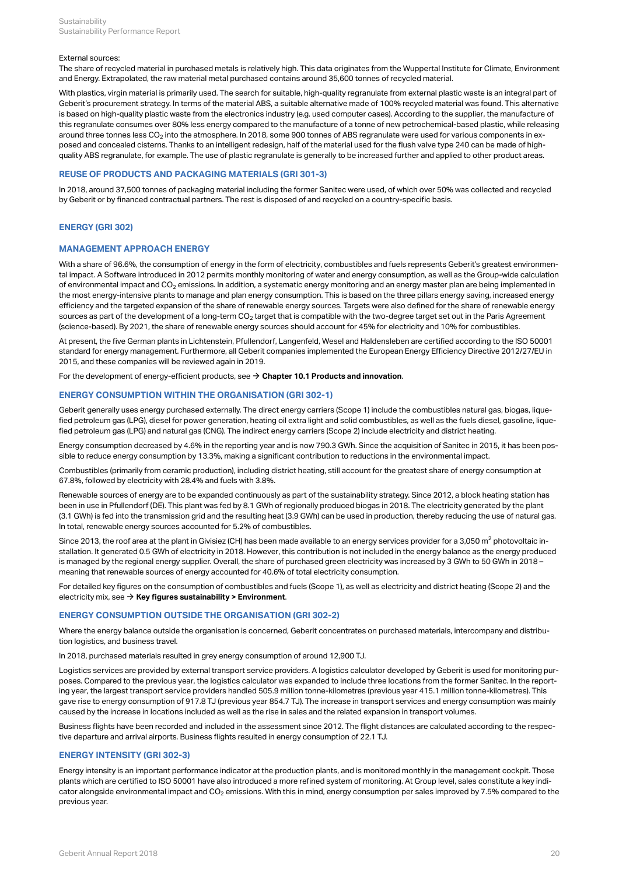### External sources:

The share of recycled material in purchased metals is relatively high. This data originates from the Wuppertal Institute for Climate. Environment and Energy. Extrapolated, the raw material metal purchased contains around 35,600 tonnes of recycled material.

With plastics, virgin material is primarily used. The search for suitable, high-quality regranulate from external plastic waste is an integral part of Geberit's procurement strategy. In terms of the material ABS, a suitable alternative made of 100% recycled material was found. This alternative is based on high-quality plastic waste from the electronics industry (e.g. used computer cases). According to the supplier, the manufacture of this regranulate consumes over 80% less energy compared to the manufacture of a tonne of new petrochemical-based plastic, while releasing around three tonnes less CO $_2$  into the atmosphere. In 2018, some 900 tonnes of ABS regranulate were used for various components in exposed and concealed cisterns. Thanks to an intelligent redesign, half of the material used for the flush valve type 240 can be made of highquality ABS regranulate, for example. The use of plastic regranulate is generally to be increased further and applied to other product areas.

# **REUSE OF PRODUCTS AND PACKAGING MATERIALS (GRI 301-3)**

In 2018, around 37,500 tonnes of packaging material including the former Sanitec were used, of which over 50% was collected and recycled by Geberit or by financed contractual partners. The rest is disposed of and recycled on a country-specific basis.

# <span id="page-22-0"></span>**ENERGY (GRI 302)**

# **MANAGEMENT APPROACH ENERGY**

With a share of 96.6%, the consumption of energy in the form of electricity, combustibles and fuels represents Geberit's greatest environmental impact. A Software introduced in 2012 permits monthly monitoring of water and energy consumption, as well as the Group-wide calculation of environmental impact and CO $_2$  emissions. In addition, a systematic energy monitoring and an energy master plan are being implemented in the most energy-intensive plants to manage and plan energy consumption. This is based on the three pillars energy saving, increased energy efficiency and the targeted expansion of the share of renewable energy sources. Targets were also defined for the share of renewable energy sources as part of the development of a long-term CO $_2$  target that is compatible with the two-degree target set out in the Paris Agreement (science-based). By 2021, the share of renewable energy sources should account for 45% for electricity and 10% for combustibles.

At present, the five German plants in Lichtenstein, Pfullendorf, Langenfeld, Wesel and Haldensleben are certified according to the ISO 50001 standard for energy management. Furthermore, all Geberit companies implemented the European Energy Efficiency Directive 2012/27/EU in 2015, and these companies will be reviewed again in 2019.

For the development of energy-efficient products, see **[Chapter 10.1 Products and innovation](#page-27-0)**. [\\$](#page-27-0)

# **ENERGY CONSUMPTION WITHIN THE ORGANISATION (GRI 302-1)**

Geberit generally uses energy purchased externally. The direct energy carriers (Scope 1) include the combustibles natural gas, biogas, liquefied petroleum gas (LPG), diesel for power generation, heating oil extra light and solid combustibles, as well as the fuels diesel, gasoline, liquefied petroleum gas (LPG) and natural gas (CNG). The indirect energy carriers (Scope 2) include electricity and district heating.

Energy consumption decreased by 4.6% in the reporting year and is now 790.3 GWh. Since the acquisition of Sanitec in 2015, it has been possible to reduce energy consumption by 13.3%, making a significant contribution to reductions in the environmental impact.

Combustibles (primarily from ceramic production), including district heating, still account for the greatest share of energy consumption at 67.8%, followed by electricity with 28.4% and fuels with 3.8%.

Renewable sources of energy are to be expanded continuously as part of the sustainability strategy. Since 2012, a block heating station has been in use in Pfullendorf (DE). This plant was fed by 8.1 GWh of regionally produced biogas in 2018. The electricity generated by the plant (3.1 GWh) is fed into the transmission grid and the resulting heat (3.9 GWh) can be used in production, thereby reducing the use of natural gas. In total, renewable energy sources accounted for 5.2% of combustibles.

Since 2013, the roof area at the plant in Givisiez (CH) has been made available to an energy services provider for a 3,050 m<sup>2</sup> photovoltaic installation. It generated 0.5 GWh of electricity in 2018. However, this contribution is not included in the energy balance as the energy produced is managed by the regional energy supplier. Overall, the share of purchased green electricity was increased by 3 GWh to 50 GWh in 2018 – meaning that renewable sources of energy accounted for 40.6% of total electricity consumption.

For detailed key figures on the consumption of combustibles and fuels (Scope 1), as well as electricity and district heating (Scope 2) and the electricity mix, see  $\Rightarrow$  **[Key figures sustainability > Environment](#page-35-0)**.

# <span id="page-22-1"></span>**ENERGY CONSUMPTION OUTSIDE THE ORGANISATION (GRI 302-2)**

Where the energy balance outside the organisation is concerned, Geberit concentrates on purchased materials, intercompany and distribution logistics, and business travel.

In 2018, purchased materials resulted in grey energy consumption of around 12,900 TJ.

Logistics services are provided by external transport service providers. A logistics calculator developed by Geberit is used for monitoring purposes. Compared to the previous year, the logistics calculator was expanded to include three locations from the former Sanitec. In the reporting year, the largest transport service providers handled 505.9 million tonne-kilometres (previous year 415.1 million tonne-kilometres). This gave rise to energy consumption of 917.8 TJ (previous year 854.7 TJ). The increase in transport services and energy consumption was mainly caused by the increase in locations included as well as the rise in sales and the related expansion in transport volumes.

Business flights have been recorded and included in the assessment since 2012. The flight distances are calculated according to the respective departure and arrival airports. Business flights resulted in energy consumption of 22.1 TJ.

# **ENERGY INTENSITY (GRI 302-3)**

Energy intensity is an important performance indicator at the production plants, and is monitored monthly in the management cockpit. Those plants which are certified to ISO 50001 have also introduced a more refined system of monitoring. At Group level, sales constitute a key indicator alongside environmental impact and CO $_2$  emissions. With this in mind, energy consumption per sales improved by 7.5% compared to the previous year.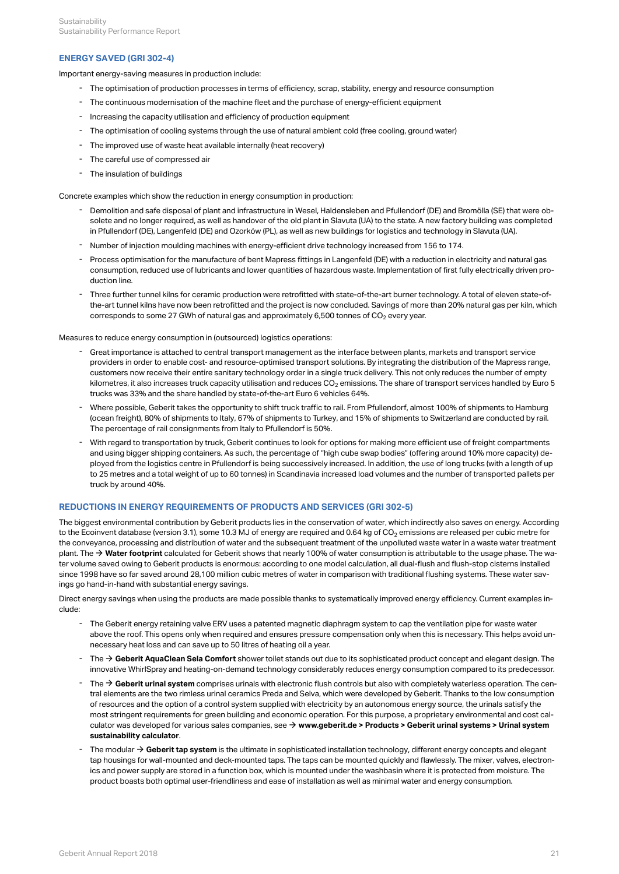# **ENERGY SAVED (GRI 302-4)**

Important energy-saving measures in production include:

- The optimisation of production processes in terms of efficiency, scrap, stability, energy and resource consumption
- The continuous modernisation of the machine fleet and the purchase of energy-efficient equipment
- Increasing the capacity utilisation and efficiency of production equipment
- The optimisation of cooling systems through the use of natural ambient cold (free cooling, ground water)
- The improved use of waste heat available internally (heat recovery)
- The careful use of compressed air
- The insulation of buildings

Concrete examples which show the reduction in energy consumption in production:

- Demolition and safe disposal of plant and infrastructure in Wesel, Haldensleben and Pfullendorf (DE) and Bromölla (SE) that were obsolete and no longer required, as well as handover of the old plant in Slavuta (UA) to the state. A new factory building was completed - Demolition and safe disposal of plant and infrastructure in Wesel, Haldensleben and Pfullendorf (DE) and Bromölla (SE) that were ob-<br>solete and no longer required, as well as handover of the old plant in Slavuta (UA) t
- Number of injection moulding machines with energy-efficient drive technology increased from 156 to 174.
- Process optimisation for the manufacture of bent Mapress fittings in Langenfeld (DE) with a reduction in electricity and natural gas consumption, reduced use of lubricants and lower quantities of hazardous waste. Implementation of first fully electrically driven pro-- Process optimisation for the<br>consumption, reduced use c<br>duction line.
- Three further tunnel kilns for ceramic production were retrofitted with state-of-the-art burner technology. A total of eleven state-ofthe-art tunnel kilns have now been retrofitted and the project is now concluded. Savings of more than 20% natural gas per kiln, which Three further tunnel kilns for ceramic production were retrofitted with state-of-the-art burner technology. A total corresponds to some 27 GWh of natural gas and approximately 6,500 tonnes of CO<sub>2</sub> every year.<br>- 20% orres

Measures to reduce energy consumption in (outsourced) logistics operations:

- Great importance is attached to central transport management as the interface between plants, markets and transport service providers in order to enable cost- and resource-optimised transport solutions. By integrating the distribution of the Mapress range, customers now receive their entire sanitary technology order in a single truck delivery. This not only reduces the number of empty kilometres, it also increases truck capacity utilisation and reduces CO $_2$  emissions. The share of transport services handled by Euro 5 Freat importance is attached to central transport management as the interface between plants, mare providers in order to enable cost- and resource-optimised transport solutions. By integrating the discustomers now receive
- Where possible, Geberit takes the opportunity to shift truck traffic to rail. From Pfullendorf, almost 100% of shipments to Hamburg (ocean freight), 80% of shipments to Italy, 67% of shipments to Turkey, and 15% of shipments to Switzerland are conducted by rail. - Where possible, Geberit takes the opportunity to shift truck traffic to rail. From Pfullen<br>(ocean freight), 80% of shipments to Italy, 67% of shipments to Turkey, and 15% of sh<br>The percentage of rail consignments from It
- With regard to transportation by truck, Geberit continues to look for options for making more efficient use of freight compartments and using bigger shipping containers. As such, the percentage of "high cube swap bodies" (offering around 10% more capacity) deployed from the logistics centre in Pfullendorf is being successively increased. In addition, the use of long trucks (with a length of up to 25 metres and a total weight of up to 60 tonnes) in Scandinavia increased load volumes and the number of transported pallets per - With regard to transportation by truck<br>and using bigger shipping containers<br>ployed from the logistics centre in Pf<br>to 25 metres and a total weight of up<br>truck by around 40%.

# **REDUCTIONS IN ENERGY REQUIREMENTS OF PRODUCTS AND SERVICES (GRI 302-5)**

The biggest environmental contribution by Geberit products lies in the conservation of water, which indirectly also saves on energy. According to the Ecoinvent database (version 3.1), some 10.3 MJ of energy are required and 0.64 kg of CO $_2$  emissions are released per cubic metre for the conveyance, processing and distribution of water and the subsequent treatment of the unpolluted waste water in a waste water treatment plant. The → [Water footprint](http://annualreport.geberit.com/reports/geberit/annual/2018/gb/English/10502065/sustainability.html?anchor=10502065_Wasserfussabdruck#10502065_Wasserfussabdruck) calculated for Geberit shows that nearly 100% of water consumption is attributable to the usage phase. The water volume saved owing to Geberit products is enormous: according to one model calculation, all dual-flush and flush-stop cisterns installed since 1998 have so far saved around 28,100 million cubic metres of water in comparison with traditional flushing systems. These water savings go hand-in-hand with substantial energy savings.

Direct energy savings when using the products are made possible thanks to systematically improved energy efficiency. Current examples include:

- The Geberit energy retaining valve ERV uses a patented magnetic diaphragm system to cap the ventilation pipe for waste water above the roof. This opens only when required and ensures pressure compensation only when this is necessary. This helps avoid un-- The Geberit energy retaining valve ERV uses a patented magnetic diaphragm system<br>above the roof. This opens only when required and ensures pressure compensation of<br>necessary heat loss and can save up to 50 litres of heat
- The **[Geberit AquaClean Sela Comfort](http://annualreport.geberit.com/geberit/annual/2018/gb/layout/../English/pdf/Facts_Figures_2019_EN_AquaClean_Sela.pdf)** shower toilet stands out due to its sophisticated product concept and elegant design. The innovative WhirlSpray and heating-on-demand technology considerably reduces energy consumption compared to its predecessor.
- The → [Geberit urinal system](http://annualreport.geberit.com/geberit/annual/2018/gb/layout/../English/pdf/urinal_system_2018.pdf) comprises urinals with electronic flush controls but also with completely waterless operation. The central elements are the two rimless urinal ceramics Preda and Selva, which were developed by Geberit. Thanks to the low consumption of resources and the option of a control system supplied with electricity by an autonomous energy source, the urinals satisfy the most stringent requirements for green building and economic operation. For this purpose, a proprietary environmental and cost calculator was developed for various sales companies, see → **[www.geberit.de > Products > Geberit urinal systems > Urinal system](https://tools.international.geberit.com/en_gisa/urinal_calculator/urinal_calculator_page.html) [sustainability calculator](https://tools.international.geberit.com/en_gisa/urinal_calculator/urinal_calculator_page.html)**.
- The modular  $\rightarrow$  [Geberit tap system](http://annualreport.geberit.com/geberit/annual/2018/gb/layout/../English/pdf/tab_system.pdf) is the ultimate in sophisticated installation technology, different energy concepts and elegant tap housings for wall-mounted and deck-mounted taps. The taps can be mounted quickly and flawlessly. The mixer, valves, electronics and power supply are stored in a function box, which is mounted under the washbasin where it is protected from moisture. The The modular  $\rightarrow$  Geberit tap system is the ultimate in sophisticated installation technology, different energy concepts and elegant tap housings for wall-mounted and deck-mounted taps. The taps can be mounted quickly and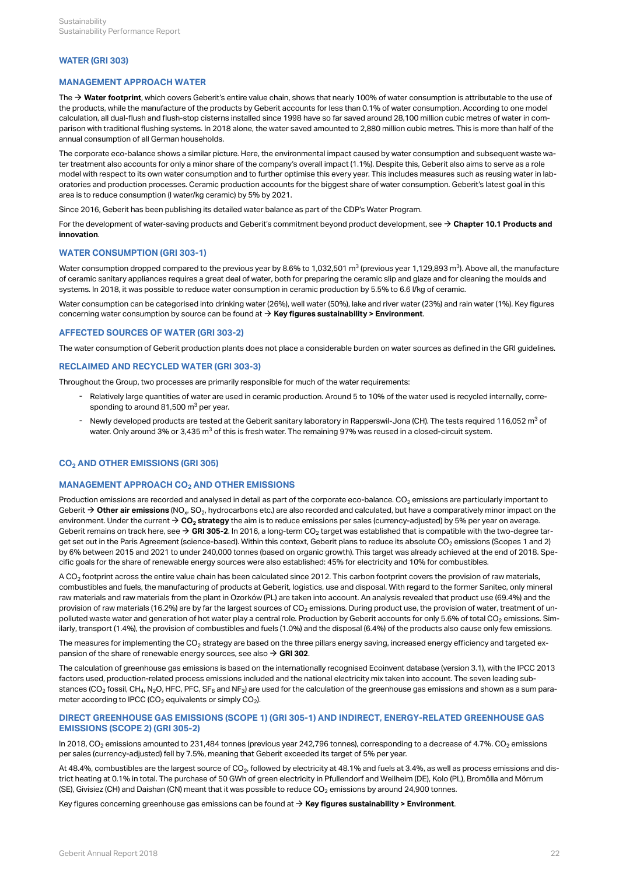# **WATER (GRI 303)**

# **MANAGEMENT APPROACH WATER**

The **→ [Water footprint](http://annualreport.geberit.com/reports/geberit/annual/2018/gb/English/10502065/sustainability.html?anchor=10502065_Wasserfussabdruck#10502065_Wasserfussabdruck)**, which covers Geberit's entire value chain, shows that nearly 100% of water consumption is attributable to the use of the products, while the manufacture of the products by Geberit accounts for less than 0.1% of water consumption. According to one model calculation, all dual-flush and flush-stop cisterns installed since 1998 have so far saved around 28,100 million cubic metres of water in comparison with traditional flushing systems. In 2018 alone, the water saved amounted to 2,880 million cubic metres. This is more than half of the annual consumption of all German households.

The corporate eco-balance shows a similar picture. Here, the environmental impact caused by water consumption and subsequent waste water treatment also accounts for only a minor share of the company's overall impact (1.1%). Despite this, Geberit also aims to serve as a role model with respect to its own water consumption and to further optimise this every year. This includes measures such as reusing water in laboratories and production processes. Ceramic production accounts for the biggest share of water consumption. Geberit's latest goal in this area is to reduce consumption (l water/kg ceramic) by 5% by 2021.

Since 2016, Geberit has been publishing its detailed water balance as part of the CDP's Water Program.

For the development of water-saving products and Geberit's commitment beyond product development, see  $\to$  **[Chapter 10.1 Products and](#page-27-1) [innovation](#page-27-1)**.

## **WATER CONSUMPTION (GRI 303-1)**

Water consumption dropped compared to the previous year by 8.6% to 1,032,501 m<sup>3</sup> (previous year 1,129,893 m $^3$ ). Above all, the manufacture of ceramic sanitary appliances requires a great deal of water, both for preparing the ceramic slip and glaze and for cleaning the moulds and systems. In 2018, it was possible to reduce water consumption in ceramic production by 5.5% to 6.6 l/kg of ceramic.

Water consumption can be categorised into drinking water (26%), well water (50%), lake and river water (23%) and rain water (1%). Key figures concerning water consumption by source can be found at  $\rightarrow$  **[Key figures sustainability > Environment](#page-35-1)**.

# **AFFECTED SOURCES OF WATER (GRI 303-2)**

The water consumption of Geberit production plants does not place a considerable burden on water sources as defined in the GRI guidelines.

## **RECLAIMED AND RECYCLED WATER (GRI 303-3)**

Throughout the Group, two processes are primarily responsible for much of the water requirements:

- Relatively large quantities of water are used in ceramic production. Around 5 to 10% of the water used is recycled internally, corre-<br>sponding to around 81,500 m<sup>3</sup> per year.
- Newly developed products are tested at the Geberit sanitary laboratory in Rapperswil-Jona (CH). The tests required 116,052 m<sup>3</sup> of<br>water. Only around 3% or 3,435 m<sup>3</sup> of this is fresh water. The remaining 97% was reus water. Only around 3% or 3,435 m<sup>3</sup> of this is fresh water. The remaining 97% was reused in a closed-circuit system.

# <span id="page-24-0"></span>**CO<sub>2</sub> AND OTHER EMISSIONS (GRI 305)**

# $M$ ANAGEMENT APPROACH CO $_2$  AND OTHER EMISSIONS

Production emissions are recorded and analysed in detail as part of the corporate eco-balance. CO $_2$  emissions are particularly important to Geberit  $\bm{\rightarrow}$  **Other air emissions** (NO<sub>x</sub>, SO<sub>2</sub>, hydrocarbons etc.) are also recorded and calculated, but have a comparatively minor impact on the environment. Under the current  $\bm{\rightarrow}$  **CO<sub>2</sub> strategy** the aim is to reduce emissions per sales (currency-adjusted) by 5% per year on average. Geberit remains on track here, see **→ [GRI 305-2](#page-24-1)**. In 2016, a long-term CO<sub>2</sub> target was established that is compatible with the two-degree target set out in the Paris Agreement (science-based). Within this context, Geberit plans to reduce its absolute CO $_2$  emissions (Scopes 1 and 2) by 6% between 2015 and 2021 to under 240,000 tonnes (based on organic growth). This target was already achieved at the end of 2018. Specific goals for the share of renewable energy sources were also established: 45% for electricity and 10% for combustibles.

A CO $_2$  footprint across the entire value chain has been calculated since 2012. This carbon footprint covers the provision of raw materials, combustibles and fuels, the manufacturing of products at Geberit, logistics, use and disposal. With regard to the former Sanitec, only mineral raw materials and raw materials from the plant in Ozorków (PL) are taken into account. An analysis revealed that product use (69.4%) and the provision of raw materials (16.2%) are by far the largest sources of CO $_2$  emissions. During product use, the provision of water, treatment of unpolluted waste water and generation of hot water play a central role. Production by Geberit accounts for only 5.6% of total CO $_2$  emissions. Similarly, transport (1.4%), the provision of combustibles and fuels (1.0%) and the disposal (6.4%) of the products also cause only few emissions.

The measures for implementing the CO $_2$  strategy are based on the three pillars energy saving, increased energy efficiency and targeted expansion of the share of renewable energy sources, see also  $\rightarrow$  **[GRI 302](#page-22-0)**.

The calculation of greenhouse gas emissions is based on the internationally recognised Ecoinvent database (version 3.1), with the IPCC 2013 factors used, production-related process emissions included and the national electricity mix taken into account. The seven leading substances (CO $_2$  fossil, CH $_4$ , N $_2$ O, HFC, PFC, SF $_6$  and NF $_3$ ) are used for the calculation of the greenhouse gas emissions and shown as a sum parameter according to IPCC (CO $_2$  equivalents or simply CO $_2$ ).

# <span id="page-24-2"></span><span id="page-24-1"></span>**DIRECT GREENHOUSE GAS EMISSIONS (SCOPE 1) (GRI 305-1) AND INDIRECT, ENERGY-RELATED GREENHOUSE GAS EMISSIONS (SCOPE 2) (GRI 305-2)**

In 2018, CO $_2$  emissions amounted to 231,484 tonnes (previous year 242,796 tonnes), corresponding to a decrease of 4.7%. CO $_2$  emissions per sales (currency-adjusted) fell by 7.5%, meaning that Geberit exceeded its target of 5% per year.

At 48.4%, combustibles are the largest source of CO $_{2^{\prime}}$  followed by electricity at 48.1% and fuels at 3.4%, as well as process emissions and district heating at 0.1% in total. The purchase of 50 GWh of green electricity in Pfullendorf and Weilheim (DE), Kolo (PL), Bromölla and Mörrum (SE), Givisiez (CH) and Daishan (CN) meant that it was possible to reduce CO $_2$  emissions by around 24,900 tonnes.

Key figures concerning greenhouse gas emissions can be found at **→ [Key figures sustainability > Environment](#page-36-0)**.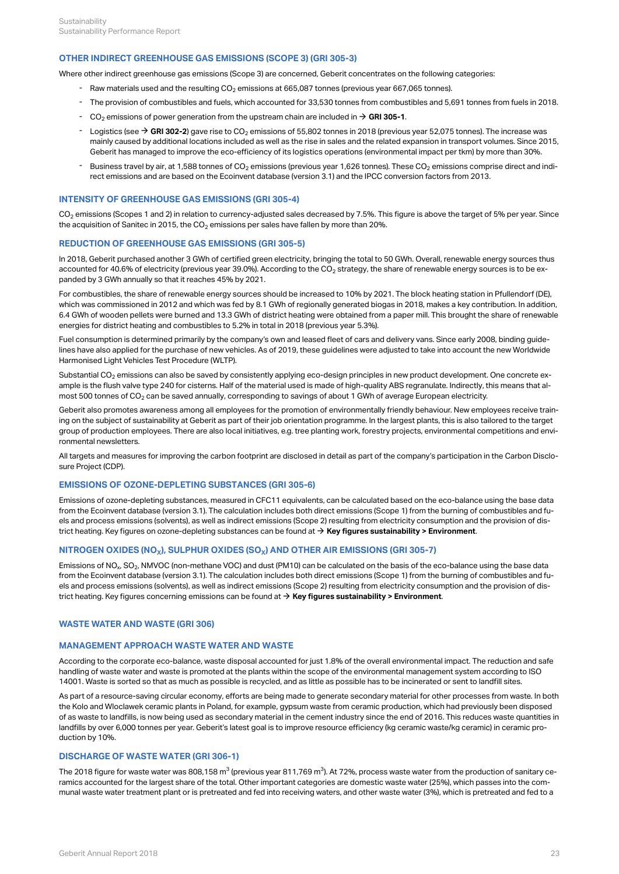# **OTHER INDIRECT GREENHOUSE GAS EMISSIONS (SCOPE 3) (GRI 305-3)**

Where other indirect greenhouse gas emissions (Scope 3) are concerned, Geberit concentrates on the following categories:

- Raw materials used and the resulting CO<sub>2</sub> emissions at 665,087 tonnes (previous year 667,065 tonnes).
- The provision of combustibles and fuels, which accounted for 33,530 tonnes from combustibles and 5,691 tonnes from fuels in 2018.
- $CO<sub>2</sub>$  emissions of power generation from the upstream chain are included in  $\rightarrow$  [GRI 305-1](#page-24-2).
- $-$  Logistics (see  $\rightarrow$  [GRI 302-2](#page-22-1)) gave rise to CO<sub>2</sub> emissions of 55,802 tonnes in 2018 (previous year 52,075 tonnes). The increase was mainly caused by additional locations included as well as the rise in sales and the related expansion in transport volumes. Since 2015, Geberit has managed to improve the eco-efficiency of its logistics operations (environmental impact per tkm) by more than 30%.
- Business travel by air, at 1,588 tonnes of CO<sub>2</sub> emissions (previous year 1,626 tonnes). These CO<sub>2</sub> emissions comprise direct and indirect emissions and are based on the Ecoinvent database (version 3.1) and the IPCC conversion factors from 2013.

# **INTENSITY OF GREENHOUSE GAS EMISSIONS (GRI 305-4)**

CO $_2$  emissions (Scopes 1 and 2) in relation to currency-adjusted sales decreased by 7.5%. This figure is above the target of 5% per year. Since the acquisition of Sanitec in 2015, the CO $_2$  emissions per sales have fallen by more than 20%.

## **REDUCTION OF GREENHOUSE GAS EMISSIONS (GRI 305-5)**

In 2018, Geberit purchased another 3 GWh of certified green electricity, bringing the total to 50 GWh. Overall, renewable energy sources thus accounted for 40.6% of electricity (previous year 39.0%). According to the CO $_2$  strategy, the share of renewable energy sources is to be expanded by 3 GWh annually so that it reaches 45% by 2021.

For combustibles, the share of renewable energy sources should be increased to 10% by 2021. The block heating station in Pfullendorf (DE), which was commissioned in 2012 and which was fed by 8.1 GWh of regionally generated biogas in 2018, makes a key contribution. In addition, 6.4 GWh of wooden pellets were burned and 13.3 GWh of district heating were obtained from a paper mill. This brought the share of renewable energies for district heating and combustibles to 5.2% in total in 2018 (previous year 5.3%).

Fuel consumption is determined primarily by the company's own and leased fleet of cars and delivery vans. Since early 2008, binding guidelines have also applied for the purchase of new vehicles. As of 2019, these guidelines were adjusted to take into account the new Worldwide Harmonised Light Vehicles Test Procedure (WLTP).

Substantial CO $_2$  emissions can also be saved by consistently applying eco-design principles in new product development. One concrete example is the flush valve type 240 for cisterns. Half of the material used is made of high-quality ABS regranulate. Indirectly, this means that almost 500 tonnes of CO $_2$  can be saved annually, corresponding to savings of about 1 GWh of average European electricity.

Geberit also promotes awareness among all employees for the promotion of environmentally friendly behaviour. New employees receive training on the subject of sustainability at Geberit as part of their job orientation programme. In the largest plants, this is also tailored to the target group of production employees. There are also local initiatives, e.g. tree planting work, forestry projects, environmental competitions and environmental newsletters.

All targets and measures for improving the carbon footprint are disclosed in detail as part of the company's participation in the Carbon Disclosure Project (CDP).

# **EMISSIONS OF OZONE-DEPLETING SUBSTANCES (GRI 305-6)**

Emissions of ozone-depleting substances, measured in CFC11 equivalents, can be calculated based on the eco-balance using the base data from the Ecoinvent database (version 3.1). The calculation includes both direct emissions (Scope 1) from the burning of combustibles and fuels and process emissions (solvents), as well as indirect emissions (Scope 2) resulting from electricity consumption and the provision of district heating. Key figures on ozone-depleting substances can be found at **→ [Key figures sustainability > Environment](#page-36-0)**.

# <code>NITROGEN OXIDES (NO<sub>X</sub>), SULPHUR OXIDES (SO<sub>X</sub>) AND OTHER AIR EMISSIONS (GRI 305-7)</code>

Emissions of NO $_{\sf x}$ , SO $_{\sf 2}$ , NMVOC (non-methane VOC) and dust (PM10) can be calculated on the basis of the eco-balance using the base data from the Ecoinvent database (version 3.1). The calculation includes both direct emissions (Scope 1) from the burning of combustibles and fuels and process emissions (solvents), as well as indirect emissions (Scope 2) resulting from electricity consumption and the provision of district heating. Key figures concerning emissions can be found at **[Key figures sustainability > Environment](#page-36-0)**. [\\$](#page-36-0)

# **WASTE WATER AND WASTE (GRI 306)**

# **MANAGEMENT APPROACH WASTE WATER AND WASTE**

According to the corporate eco-balance, waste disposal accounted for just 1.8% of the overall environmental impact. The reduction and safe handling of waste water and waste is promoted at the plants within the scope of the environmental management system according to ISO 14001. Waste is sorted so that as much as possible is recycled, and as little as possible has to be incinerated or sent to landfill sites.

As part of a resource-saving circular economy, efforts are being made to generate secondary material for other processes from waste. In both the Kolo and Wloclawek ceramic plants in Poland, for example, gypsum waste from ceramic production, which had previously been disposed of as waste to landfills, is now being used as secondary material in the cement industry since the end of 2016. This reduces waste quantities in landfills by over 6,000 tonnes per year. Geberit's latest goal is to improve resource efficiency (kg ceramic waste/kg ceramic) in ceramic production by 10%.

## **DISCHARGE OF WASTE WATER (GRI 306-1)**

The 2018 figure for waste water was 808,158 m $^3$  (previous year 811,769 m $^3$ ). At 72%, process waste water from the production of sanitary ceramics accounted for the largest share of the total. Other important categories are domestic waste water (25%), which passes into the communal waste water treatment plant or is pretreated and fed into receiving waters, and other waste water (3%), which is pretreated and fed to a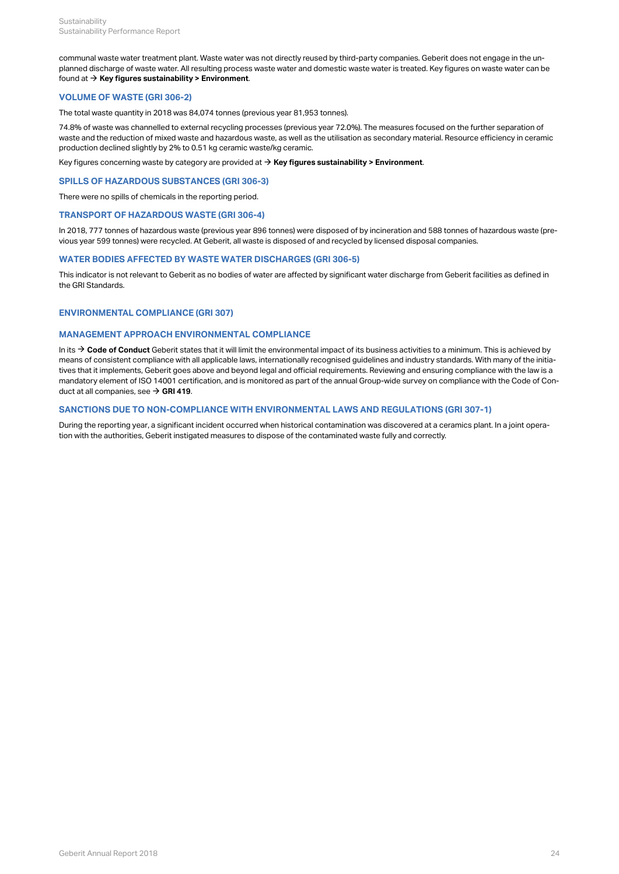communal waste water treatment plant. Waste water was not directly reused by third-party companies. Geberit does not engage in the unplanned discharge of waste water. All resulting process waste water and domestic waste water is treated. Key figures on waste water can be found at **[Key figures sustainability > Environment](#page-35-1)**. [\\$](#page-35-1)

# **VOLUME OF WASTE (GRI 306-2)**

The total waste quantity in 2018 was 84,074 tonnes (previous year 81,953 tonnes).

74.8% of waste was channelled to external recycling processes (previous year 72.0%). The measures focused on the further separation of waste and the reduction of mixed waste and hazardous waste, as well as the utilisation as secondary material. Resource efficiency in ceramic production declined slightly by 2% to 0.51 kg ceramic waste/kg ceramic.

# Key figures concerning waste by category are provided at  $\rightarrow$  **[Key figures sustainability > Environment](#page-36-1)**.

# **SPILLS OF HAZARDOUS SUBSTANCES (GRI 306-3)**

There were no spills of chemicals in the reporting period.

# **TRANSPORT OF HAZARDOUS WASTE (GRI 306-4)**

In 2018, 777 tonnes of hazardous waste (previous year 896 tonnes) were disposed of by incineration and 588 tonnes of hazardous waste (previous year 599 tonnes) were recycled. At Geberit, all waste is disposed of and recycled by licensed disposal companies.

# **WATER BODIES AFFECTED BY WASTE WATER DISCHARGES (GRI 306-5)**

This indicator is not relevant to Geberit as no bodies of water are affected by significant water discharge from Geberit facilities as defined in the GRI Standards.

# <span id="page-26-0"></span>**ENVIRONMENTAL COMPLIANCE (GRI 307)**

# **MANAGEMENT APPROACH ENVIRONMENTAL COMPLIANCE**

In its  $\bm{\rightarrow}$  **[Code of Conduct](http://annualreport.geberit.com/geberit/annual/2018/gb/layout/../English/pdf/geberit_code_of_conduct_en.pdf)** Geberit states that it will limit the environmental impact of its business activities to a minimum. This is achieved by means of consistent compliance with all applicable laws, internationally recognised guidelines and industry standards. With many of the initiatives that it implements, Geberit goes above and beyond legal and official requirements. Reviewing and ensuring compliance with the law is a mandatory element of ISO 14001 certification, and is monitored as part of the annual Group-wide survey on compliance with the Code of Conduct at all companies, see **→ [GRI 419](#page-30-0)**.

# **SANCTIONS DUE TO NON-COMPLIANCE WITH ENVIRONMENTAL LAWS AND REGULATIONS (GRI 307-1)**

During the reporting year, a significant incident occurred when historical contamination was discovered at a ceramics plant. In a joint operation with the authorities, Geberit instigated measures to dispose of the contaminated waste fully and correctly.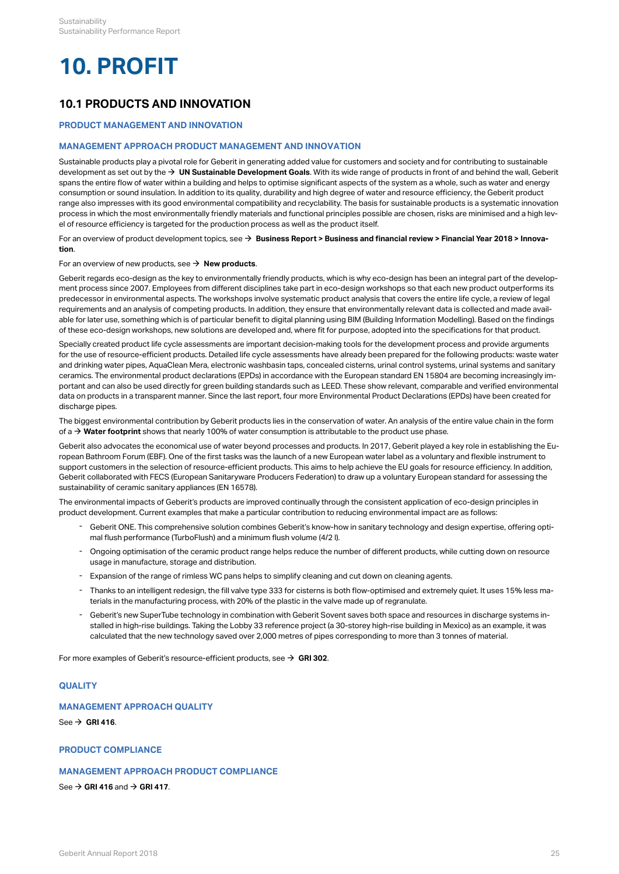# <span id="page-27-0"></span>**10. PROFIT**

# **10.1 PRODUCTS AND INNOVATION**

# <span id="page-27-1"></span>**PRODUCT MANAGEMENT AND INNOVATION**

# **MANAGEMENT APPROACH PRODUCT MANAGEMENT AND INNOVATION**

Sustainable products play a pivotal role for Geberit in generating added value for customers and society and for contributing to sustainable development as set out by the **[UN Sustainable Development Goals](http://annualreport.geberit.com/geberit/annual/2018/gb/layout/../English/pdf/SDG_Reporting_2018_en.pdf)**. With its wide range of products in front of and behind the wall, Geberit [\\$](http://annualreport.geberit.com/geberit/annual/2018/gb/layout/../English/pdf/SDG_Reporting_2018_en.pdf) spans the entire flow of water within a building and helps to optimise significant aspects of the system as a whole, such as water and energy consumption or sound insulation. In addition to its quality, durability and high degree of water and resource efficiency, the Geberit product range also impresses with its good environmental compatibility and recyclability. The basis for sustainable products is a systematic innovation process in which the most environmentally friendly materials and functional principles possible are chosen, risks are minimised and a high level of resource efficiency is targeted for the production process as well as the product itself.

For an overview of product development topics, see **[Business Report > Business and financial review > Financial Year 2018 > Innova-](http://annualreport.geberit.com/reports/geberit/annual/2018/gb/English/10502050/innovation.html)**[\\$](http://annualreport.geberit.com/reports/geberit/annual/2018/gb/English/10502050/innovation.html) **[tion](http://annualreport.geberit.com/reports/geberit/annual/2018/gb/English/10502050/innovation.html)**.

# For an overview of new products, see  $\rightarrow$  **[New products](http://annualreport.geberit.com/geberit/annual/2018/gb/layout/../English/pdf/Facts_Figures_2019_EN.pdf)**.

Geberit regards eco-design as the key to environmentally friendly products, which is why eco-design has been an integral part of the development process since 2007. Employees from different disciplines take part in eco-design workshops so that each new product outperforms its predecessor in environmental aspects. The workshops involve systematic product analysis that covers the entire life cycle, a review of legal requirements and an analysis of competing products. In addition, they ensure that environmentally relevant data is collected and made available for later use, something which is of particular benefit to digital planning using BIM (Building Information Modelling). Based on the findings of these eco-design workshops, new solutions are developed and, where fit for purpose, adopted into the specifications for that product.

Specially created product life cycle assessments are important decision-making tools for the development process and provide arguments for the use of resource-efficient products. Detailed life cycle assessments have already been prepared for the following products: waste water and drinking water pipes, AquaClean Mera, electronic washbasin taps, concealed cisterns, urinal control systems, urinal systems and sanitary ceramics. The environmental product declarations (EPDs) in accordance with the European standard EN 15804 are becoming increasingly important and can also be used directly for green building standards such as LEED. These show relevant, comparable and verified environmental data on products in a transparent manner. Since the last report, four more Environmental Product Declarations (EPDs) have been created for discharge pipes.

The biggest environmental contribution by Geberit products lies in the conservation of water. An analysis of the entire value chain in the form of a  $\bm{\rightarrow}$  **[Water footprint](http://annualreport.geberit.com/reports/geberit/annual/2018/gb/English/10502065/sustainability.html#10502065_Wasserfussabdruck)** shows that nearly 100% of water consumption is attributable to the product use phase.

Geberit also advocates the economical use of water beyond processes and products. In 2017, Geberit played a key role in establishing the European Bathroom Forum (EBF). One of the first tasks was the launch of a new European water label as a voluntary and flexible instrument to support customers in the selection of resource-efficient products. This aims to help achieve the EU goals for resource efficiency. In addition, Geberit collaborated with FECS (European Sanitaryware Producers Federation) to draw up a voluntary European standard for assessing the sustainability of ceramic sanitary appliances (EN 16578).

The environmental impacts of Geberit's products are improved continually through the consistent application of eco-design principles in product development. Current examples that make a particular contribution to reducing environmental impact are as follows:

- Geberit ONE. This comprehensive solution combines Geberit's know-how in sanitary technology and design expertise, offering opti-mal flush performance (TurboFlush) and a minimum flush volume (4/2 l). -
- Ongoing optimisation of the ceramic product range helps reduce the number of different products, while cutting down on resource<br>usage in manufacture, storage and distribution.
- Expansion of the range of rimless WC pans helps to simplify cleaning and cut down on cleaning agents.
- Thanks to an intelligent redesign, the fill valve type 333 for cisterns is both flow-optimised and extremely quiet. It uses 15% less ma-<br>terials in the manufacturing process, with 20% of the plastic in the valve made u
- Geberit's new SuperTube technology in combination with Geberit Sovent saves both space and resources in discharge systems installed in high-rise buildings. Taking the Lobby 33 reference project (a 30-storey high-rise building in Mexico) as an example, it was calculated that the new technology saved over 2,000 metres of pipes corresponding to more than 3 tonnes of material.

For more examples of Geberit's resource-efficient products, see  $\rightarrow \,$  [GRI 302](#page-22-0).  $\,$ 

# **QUALITY**

# **MANAGEMENT APPROACH QUALITY**

See  $\rightarrow$  [GRI 416](#page-31-0).

# **PRODUCT COMPLIANCE**

# **MANAGEMENT APPROACH PRODUCT COMPLIANCE**

See  $\rightarrow$  [GRI 416](#page-31-0) and  $\rightarrow$  [GRI 417](#page-32-1).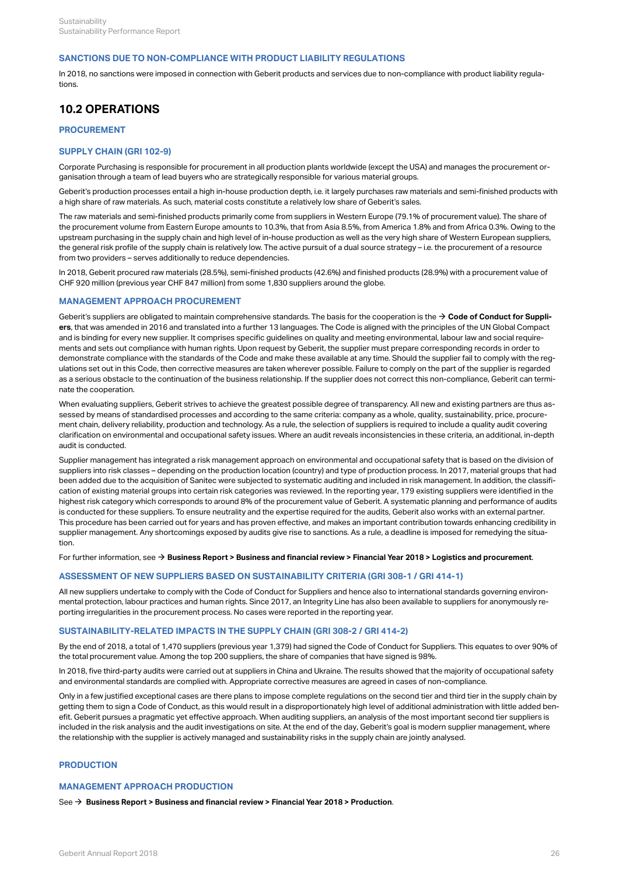# **SANCTIONS DUE TO NON-COMPLIANCE WITH PRODUCT LIABILITY REGULATIONS**

In 2018, no sanctions were imposed in connection with Geberit products and services due to non-compliance with product liability regulations.

# **10.2 OPERATIONS**

# <span id="page-28-0"></span>**PROCUREMENT**

# **SUPPLY CHAIN (GRI 102-9)**

Corporate Purchasing is responsible for procurement in all production plants worldwide (except the USA) and manages the procurement organisation through a team of lead buyers who are strategically responsible for various material groups.

Geberit's production processes entail a high in-house production depth, i.e. it largely purchases raw materials and semi-finished products with a high share of raw materials. As such, material costs constitute a relatively low share of Geberit's sales.

The raw materials and semi-finished products primarily come from suppliers in Western Europe (79.1% of procurement value). The share of the procurement volume from Eastern Europe amounts to 10.3%, that from Asia 8.5%, from America 1.8% and from Africa 0.3%. Owing to the upstream purchasing in the supply chain and high level of in-house production as well as the very high share of Western European suppliers, the general risk profile of the supply chain is relatively low. The active pursuit of a dual source strategy – i.e. the procurement of a resource from two providers – serves additionally to reduce dependencies.

In 2018, Geberit procured raw materials (28.5%), semi-finished products (42.6%) and finished products (28.9%) with a procurement value of CHF 920 million (previous year CHF 847 million) from some 1,830 suppliers around the globe.

# **MANAGEMENT APPROACH PROCUREMENT**

Geberit's suppliers are obligated to maintain comprehensive standards. The basis for the cooperation is the  $\to$  **[Code of Conduct for Suppli](http://annualreport.geberit.com/geberit/annual/2018/gb/layout/../English/pdf/supplier_code_of_conduct.pdf)[ers](http://annualreport.geberit.com/geberit/annual/2018/gb/layout/../English/pdf/supplier_code_of_conduct.pdf)**, that was amended in 2016 and translated into a further 13 languages. The Code is aligned with the principles of the UN Global Compact and is binding for every new supplier. It comprises specific guidelines on quality and meeting environmental, labour law and social requirements and sets out compliance with human rights. Upon request by Geberit, the supplier must prepare corresponding records in order to demonstrate compliance with the standards of the Code and make these available at any time. Should the supplier fail to comply with the regulations set out in this Code, then corrective measures are taken wherever possible. Failure to comply on the part of the supplier is regarded as a serious obstacle to the continuation of the business relationship. If the supplier does not correct this non-compliance, Geberit can terminate the cooperation.

When evaluating suppliers, Geberit strives to achieve the greatest possible degree of transparency. All new and existing partners are thus assessed by means of standardised processes and according to the same criteria: company as a whole, quality, sustainability, price, procurement chain, delivery reliability, production and technology. As a rule, the selection of suppliers is required to include a quality audit covering clarification on environmental and occupational safety issues. Where an audit reveals inconsistencies in these criteria, an additional, in-depth audit is conducted.

Supplier management has integrated a risk management approach on environmental and occupational safety that is based on the division of suppliers into risk classes – depending on the production location (country) and type of production process. In 2017, material groups that had been added due to the acquisition of Sanitec were subjected to systematic auditing and included in risk management. In addition, the classification of existing material groups into certain risk categories was reviewed. In the reporting year, 179 existing suppliers were identified in the highest risk category which corresponds to around 8% of the procurement value of Geberit. A systematic planning and performance of audits is conducted for these suppliers. To ensure neutrality and the expertise required for the audits, Geberit also works with an external partner. This procedure has been carried out for years and has proven effective, and makes an important contribution towards enhancing credibility in supplier management. Any shortcomings exposed by audits give rise to sanctions. As a rule, a deadline is imposed for remedying the situation.

For further information, see **[Business Report > Business and financial review > Financial Year 2018 > Logistics and procurement](http://annualreport.geberit.com/reports/geberit/annual/2018/gb/English/10502060/logistics-and-procurement.html)**. [\\$](http://annualreport.geberit.com/reports/geberit/annual/2018/gb/English/10502060/logistics-and-procurement.html)

# **ASSESSMENT OF NEW SUPPLIERS BASED ON SUSTAINABILITY CRITERIA (GRI 308-1 / GRI 414-1)**

All new suppliers undertake to comply with the Code of Conduct for Suppliers and hence also to international standards governing environmental protection, labour practices and human rights. Since 2017, an Integrity Line has also been available to suppliers for anonymously reporting irregularities in the procurement process. No cases were reported in the reporting year.

### **SUSTAINABILITY-RELATED IMPACTS IN THE SUPPLY CHAIN (GRI 308-2 / GRI 414-2)**

By the end of 2018, a total of 1,470 suppliers (previous year 1,379) had signed the Code of Conduct for Suppliers. This equates to over 90% of the total procurement value. Among the top 200 suppliers, the share of companies that have signed is 98%.

In 2018, five third-party audits were carried out at suppliers in China and Ukraine. The results showed that the majority of occupational safety and environmental standards are complied with. Appropriate corrective measures are agreed in cases of non-compliance.

Only in a few justified exceptional cases are there plans to impose complete regulations on the second tier and third tier in the supply chain by getting them to sign a Code of Conduct, as this would result in a disproportionately high level of additional administration with little added benefit. Geberit pursues a pragmatic yet effective approach. When auditing suppliers, an analysis of the most important second tier suppliers is included in the risk analysis and the audit investigations on site. At the end of the day, Geberit's goal is modern supplier management, where the relationship with the supplier is actively managed and sustainability risks in the supply chain are jointly analysed.

# **PRODUCTION**

# **MANAGEMENT APPROACH PRODUCTION**

See **[Business Report > Business and financial review > Financial Year 2018 > Production](http://annualreport.geberit.com/reports/geberit/annual/2018/gb/English/10502055/production.html)**. [\\$](http://annualreport.geberit.com/reports/geberit/annual/2018/gb/English/10502055/production.html)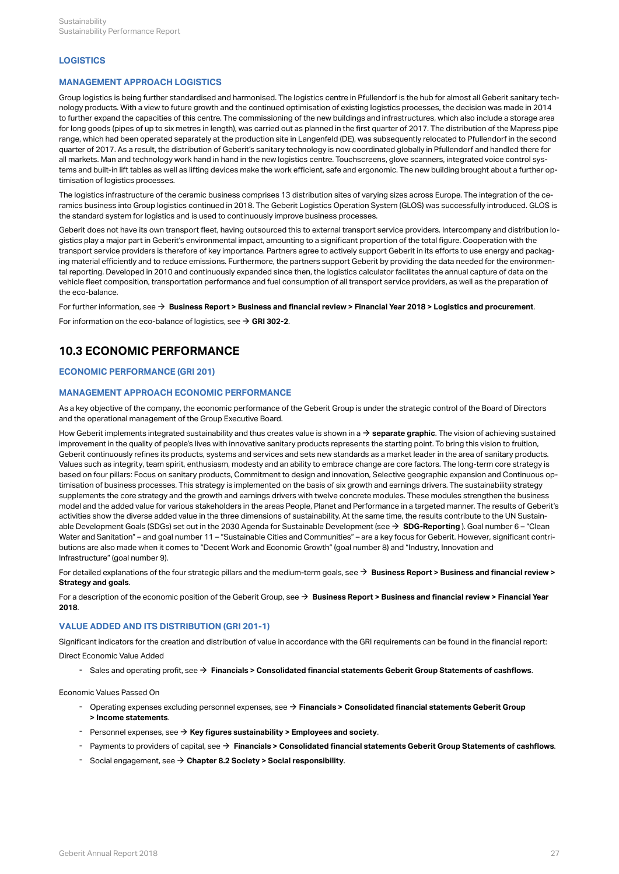# **LOGISTICS**

# **MANAGEMENT APPROACH LOGISTICS**

Group logistics is being further standardised and harmonised. The logistics centre in Pfullendorf is the hub for almost all Geberit sanitary technology products. With a view to future growth and the continued optimisation of existing logistics processes, the decision was made in 2014 to further expand the capacities of this centre. The commissioning of the new buildings and infrastructures, which also include a storage area for long goods (pipes of up to six metres in length), was carried out as planned in the first quarter of 2017. The distribution of the Mapress pipe range, which had been operated separately at the production site in Langenfeld (DE), was subsequently relocated to Pfullendorf in the second quarter of 2017. As a result, the distribution of Geberit's sanitary technology is now coordinated globally in Pfullendorf and handled there for all markets. Man and technology work hand in hand in the new logistics centre. Touchscreens, glove scanners, integrated voice control systems and built-in lift tables as well as lifting devices make the work efficient, safe and ergonomic. The new building brought about a further optimisation of logistics processes.

The logistics infrastructure of the ceramic business comprises 13 distribution sites of varying sizes across Europe. The integration of the ceramics business into Group logistics continued in 2018. The Geberit Logistics Operation System (GLOS) was successfully introduced. GLOS is the standard system for logistics and is used to continuously improve business processes.

Geberit does not have its own transport fleet, having outsourced this to external transport service providers. Intercompany and distribution logistics play a major part in Geberit's environmental impact, amounting to a significant proportion of the total figure. Cooperation with the transport service providers is therefore of key importance. Partners agree to actively support Geberit in its efforts to use energy and packaging material efficiently and to reduce emissions. Furthermore, the partners support Geberit by providing the data needed for the environmental reporting. Developed in 2010 and continuously expanded since then, the logistics calculator facilitates the annual capture of data on the vehicle fleet composition, transportation performance and fuel consumption of all transport service providers, as well as the preparation of the eco-balance.

## For further information, see **[Business Report > Business and financial review > Financial Year 2018 > Logistics and procurement](http://annualreport.geberit.com/reports/geberit/annual/2018/gb/English/10502060/logistics-and-procurement.html)**. [\\$](http://annualreport.geberit.com/reports/geberit/annual/2018/gb/English/10502060/logistics-and-procurement.html)

For information on the eco-balance of logistics, see  $\rightarrow$  **[GRI 302-2](#page-22-1)**.

# **10.3 ECONOMIC PERFORMANCE**

# <span id="page-29-0"></span>**ECONOMIC PERFORMANCE (GRI 201)**

# **MANAGEMENT APPROACH ECONOMIC PERFORMANCE**

As a key objective of the company, the economic performance of the Geberit Group is under the strategic control of the Board of Directors and the operational management of the Group Executive Board.

How Geberit implements integrated sustainability and thus creates value is shown in a **→ [separate graphic](http://annualreport.geberit.com/reports/geberit/annual/2018/gb/English/3040/sustainability-strategy-2019---2021.html?anchor=VALUECREATION#VALUECREATION)**. The vision of achieving sustained improvement in the quality of people's lives with innovative sanitary products represents the starting point. To bring this vision to fruition, Geberit continuously refines its products, systems and services and sets new standards as a market leader in the area of sanitary products. Values such as integrity, team spirit, enthusiasm, modesty and an ability to embrace change are core factors. The long-term core strategy is based on four pillars: Focus on sanitary products, Commitment to design and innovation, Selective geographic expansion and Continuous optimisation of business processes. This strategy is implemented on the basis of six growth and earnings drivers. The sustainability strategy supplements the core strategy and the growth and earnings drivers with twelve concrete modules. These modules strengthen the business model and the added value for various stakeholders in the areas People, Planet and Performance in a targeted manner. The results of Geberit's activities show the diverse added value in the three dimensions of sustainability. At the same time, the results contribute to the UN Sustainable Development Goals (SDGs) set out in the 2030 Agenda for Sustainable Development (see **→ [SDG-Reporting](http://annualreport.geberit.com/geberit/annual/2018/gb/layout/../English/pdf/SDG_Reporting_2018_en.pdf)** ). Goal number 6 – "Clean Water and Sanitation" – and goal number 11 – "Sustainable Cities and Communities" – are a key focus for Geberit. However, significant contributions are also made when it comes to "Decent Work and Economic Growth" (goal number 8) and "Industry, Innovation and Infrastructure" (goal number 9).

For detailed explanations of the four strategic pillars and the medium-term goals, see **[Business Report > Business and financial review >](http://annualreport.geberit.com/reports/geberit/annual/2018/gb/English/105010/strategy-and-goals.html)** [\\$](http://annualreport.geberit.com/reports/geberit/annual/2018/gb/English/105010/strategy-and-goals.html) **[Strategy and goals](http://annualreport.geberit.com/reports/geberit/annual/2018/gb/English/105010/strategy-and-goals.html)**.

For a description of the economic position of the Geberit Group, see  $\bm{\rightarrow}$  **[Business Report > Business and financial review > Financial Year](http://annualreport.geberit.com/reports/geberit/annual/2018/gb/English/105020/financial-year-2018.html) [2018](http://annualreport.geberit.com/reports/geberit/annual/2018/gb/English/105020/financial-year-2018.html)**.

# **VALUE ADDED AND ITS DISTRIBUTION (GRI 201-1)**

Significant indicators for the creation and distribution of value in accordance with the GRI requirements can be found in the financial report:

Direct Economic Value Added

 $\cdot$  Sales and operating profit, see  $\rightarrow$  [Financials > Consolidated financial statements Geberit Group Statements of cashflows](http://annualreport.geberit.com/reports/geberit/annual/2018/gb/English/204040/consolidated-statements-of-cashflows.html).

Economic Values Passed On

- Operating expenses excluding personnel expenses, see **→ [Financials > Consolidated financial statements Geberit Group](http://annualreport.geberit.com/reports/geberit/annual/2018/gb/English/204020/consolidated-income-statements.html)**<br>→ **Income statements**.
- $-$  Personnel expenses, see  $\rightarrow$  [Key figures sustainability > Employees and society](#page-39-2).
- <sup>-</sup> Payments to providers of capital, see → [Financials > Consolidated financial statements Geberit Group Statements of cashflows](http://annualreport.geberit.com/reports/geberit/annual/2018/gb/English/204040/consolidated-statements-of-cashflows.html).
- $-$  Social engagement, see  $\rightarrow$  [Chapter 8.2 Society > Social responsibility](#page-19-0).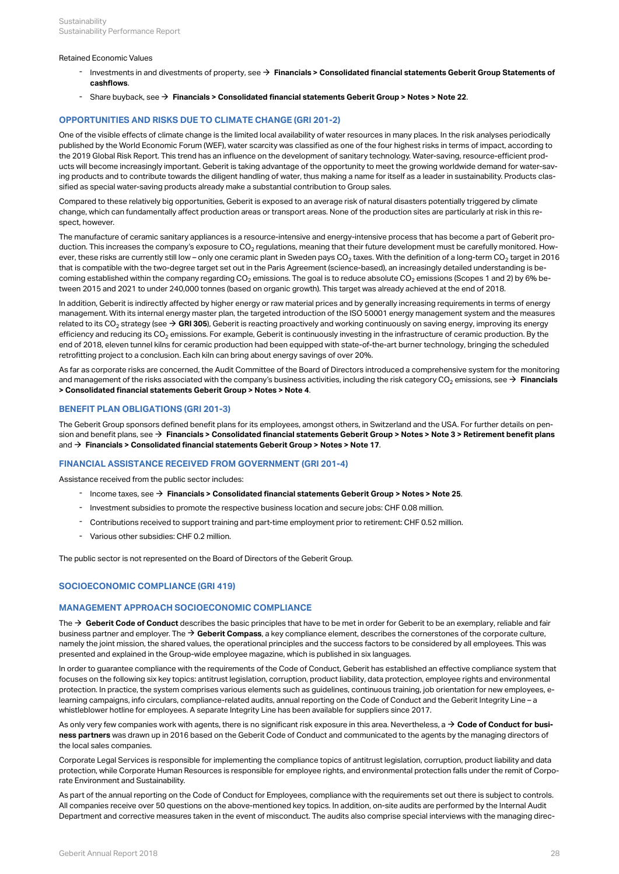### Retained Economic Values

- Investments in and divestments of property, see **[Financials > Consolidated financial statements Geberit Group Statements of](http://annualreport.geberit.com/reports/geberit/annual/2018/gb/English/204040/consolidated-statements-of-cashflows.html) [cashflows](http://annualreport.geberit.com/reports/geberit/annual/2018/gb/English/204040/consolidated-statements-of-cashflows.html)**. [\\$](http://annualreport.geberit.com/reports/geberit/annual/2018/gb/English/204040/consolidated-statements-of-cashflows.html)
- $\blacksquare$  Share buyback, see  $\blacktriangleright$  [Financials > Consolidated financial statements Geberit Group > Notes > Note 22](http://annualreport.geberit.com/reports/geberit/annual/2018/gb/English/20405022/22_-earnings-per-share.html).

# **OPPORTUNITIES AND RISKS DUE TO CLIMATE CHANGE (GRI 201-2)**

One of the visible effects of climate change is the limited local availability of water resources in many places. In the risk analyses periodically published by the World Economic Forum (WEF), water scarcity was classified as one of the four highest risks in terms of impact, according to the 2019 Global Risk Report. This trend has an influence on the development of sanitary technology. Water-saving, resource-efficient products will become increasingly important. Geberit is taking advantage of the opportunity to meet the growing worldwide demand for water-saving products and to contribute towards the diligent handling of water, thus making a name for itself as a leader in sustainability. Products classified as special water-saving products already make a substantial contribution to Group sales.

Compared to these relatively big opportunities, Geberit is exposed to an average risk of natural disasters potentially triggered by climate change, which can fundamentally affect production areas or transport areas. None of the production sites are particularly at risk in this respect, however.

The manufacture of ceramic sanitary appliances is a resource-intensive and energy-intensive process that has become a part of Geberit production. This increases the company's exposure to CO $_2$  regulations, meaning that their future development must be carefully monitored. However, these risks are currently still low – only one ceramic plant in Sweden pays CO<sub>2</sub> taxes. With the definition of a long-term CO<sub>2</sub> target in 2016 that is compatible with the two-degree target set out in the Paris Agreement (science-based), an increasingly detailed understanding is becoming established within the company regarding CO $_2$  emissions. The goal is to reduce absolute CO $_2$  emissions (Scopes 1 and 2) by 6% between 2015 and 2021 to under 240,000 tonnes (based on organic growth). This target was already achieved at the end of 2018.

In addition, Geberit is indirectly affected by higher energy or raw material prices and by generally increasing requirements in terms of energy management. With its internal energy master plan, the targeted introduction of the ISO 50001 energy management system and the measures related to its CO<sub>2</sub> strategy (see  $\bm{\rightarrow}$  **[GRI 305](#page-24-0)**), Geberit is reacting proactively and working continuously on saving energy, improving its energy efficiency and reducing its CO<sub>2</sub> emissions. For example, Geberit is continuously investing in the infrastructure of ceramic production. By the end of 2018, eleven tunnel kilns for ceramic production had been equipped with state-of-the-art burner technology, bringing the scheduled retrofitting project to a conclusion. Each kiln can bring about energy savings of over 20%.

As far as corporate risks are concerned, the Audit Committee of the Board of Directors introduced a comprehensive system for the monitoring and management of the risks associated with the company's business activities, including the risk category CO<sub>2</sub> emissions, see → **[Financials](http://annualreport.geberit.com/reports/geberit/annual/2018/gb/English/20405004/4_-risk-assessment-and-management.html) [> Consolidated financial statements Geberit Group > Notes > Note 4](http://annualreport.geberit.com/reports/geberit/annual/2018/gb/English/20405004/4_-risk-assessment-and-management.html)**.

## **BENEFIT PLAN OBLIGATIONS (GRI 201-3)**

The Geberit Group sponsors defined benefit plans for its employees, amongst others, in Switzerland and the USA. For further details on pension and benefit plans, see **[Financials > Consolidated financial statements Geberit Group > Notes > Note 3 > Retirement benefit plans](http://annualreport.geberit.com/reports/geberit/annual/2018/gb/English/20405003/3_-summary-of-significant-accounting-policies.html?anchor=PERSONALVORSORGE#PERSONALVORSORGE)** [\\$](http://annualreport.geberit.com/reports/geberit/annual/2018/gb/English/20405003/3_-summary-of-significant-accounting-policies.html?anchor=PERSONALVORSORGE#PERSONALVORSORGE) and **[Financials > Consolidated financial statements Geberit Group > Notes > Note 17](http://annualreport.geberit.com/reports/geberit/annual/2018/gb/English/20405017/17_-participation-plans.html)**. [\\$](http://annualreport.geberit.com/reports/geberit/annual/2018/gb/English/20405017/17_-participation-plans.html)

# **FINANCIAL ASSISTANCE RECEIVED FROM GOVERNMENT (GRI 201-4)**

Assistance received from the public sector includes:

- $\blacksquare$  Income taxes, see  $\blacktriangleright$  [Financials > Consolidated financial statements Geberit Group > Notes > Note 25](http://annualreport.geberit.com/reports/geberit/annual/2018/gb/English/20405025/25_-income-tax-expenses.html).
- Investment subsidies to promote the respective business location and secure jobs: CHF 0.08 million.
- Contributions received to support training and part-time employment prior to retirement: CHF 0.52 million.
- Various other subsidies: CHF 0.2 million.

The public sector is not represented on the Board of Directors of the Geberit Group.

# <span id="page-30-0"></span>**SOCIOECONOMIC COMPLIANCE (GRI 419)**

## **MANAGEMENT APPROACH SOCIOECONOMIC COMPLIANCE**

The **→ Geberit Code of Conduct** describes the basic principles that have to be met in order for Geberit to be an exemplary, reliable and fair business partner and employer. The **[Geberit Compass](http://annualreport.geberit.com/geberit/annual/2018/gb/layout/../English/pdf/geberit_compass.pdf)**, a key compliance element, describes the cornerstones of the corporate culture, [\\$](http://annualreport.geberit.com/geberit/annual/2018/gb/layout/../English/pdf/geberit_compass.pdf) namely the joint mission, the shared values, the operational principles and the success factors to be considered by all employees. This was presented and explained in the Group-wide employee magazine, which is published in six languages.

In order to guarantee compliance with the requirements of the Code of Conduct, Geberit has established an effective compliance system that focuses on the following six key topics: antitrust legislation, corruption, product liability, data protection, employee rights and environmental protection. In practice, the system comprises various elements such as guidelines, continuous training, job orientation for new employees, elearning campaigns, info circulars, compliance-related audits, annual reporting on the Code of Conduct and the Geberit Integrity Line – a whistleblower hotline for employees. A separate Integrity Line has been available for suppliers since 2017.

As only very few companies work with agents, there is no significant risk exposure in this area. Nevertheless, a **[Code of Conduct for busi-](http://annualreport.geberit.com/geberit/annual/2018/gb/layout/../English/pdf/business_partners_code_of_conduct.pdf)**[\\$](http://annualreport.geberit.com/geberit/annual/2018/gb/layout/../English/pdf/business_partners_code_of_conduct.pdf)**[ness partners](http://annualreport.geberit.com/geberit/annual/2018/gb/layout/../English/pdf/business_partners_code_of_conduct.pdf)** was drawn up in 2016 based on the Geberit Code of Conduct and communicated to the agents by the managing directors of the local sales companies.

Corporate Legal Services is responsible for implementing the compliance topics of antitrust legislation, corruption, product liability and data protection, while Corporate Human Resources is responsible for employee rights, and environmental protection falls under the remit of Corporate Environment and Sustainability.

As part of the annual reporting on the Code of Conduct for Employees, compliance with the requirements set out there is subject to controls. All companies receive over 50 questions on the above-mentioned key topics. In addition, on-site audits are performed by the Internal Audit Department and corrective measures taken in the event of misconduct. The audits also comprise special interviews with the managing direc-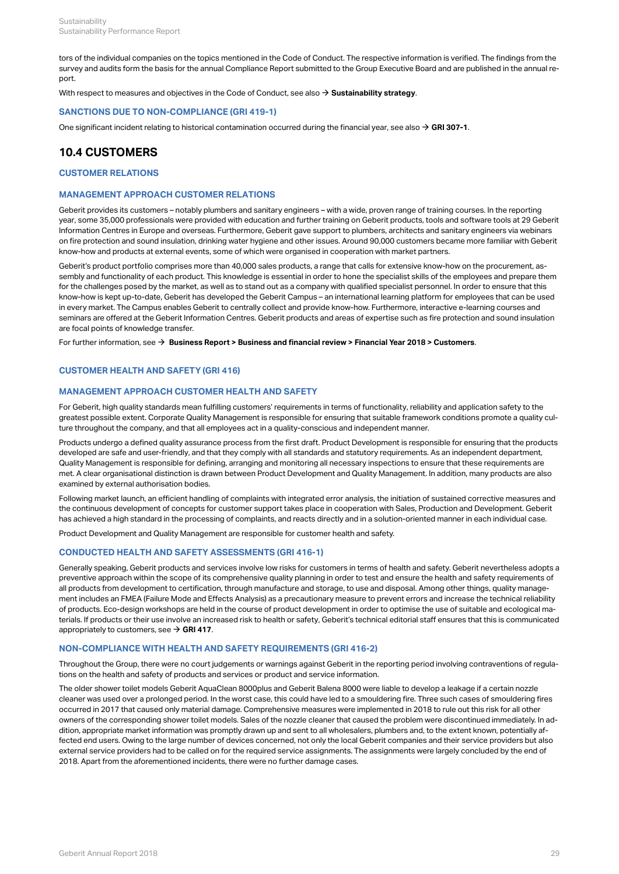tors of the individual companies on the topics mentioned in the Code of Conduct. The respective information is verified. The findings from the survey and audits form the basis for the annual Compliance Report submitted to the Group Executive Board and are published in the annual report.

With respect to measures and objectives in the Code of Conduct, see also  $\rightarrow$  **[Sustainability strategy](http://annualreport.geberit.com/reports/geberit/annual/2018/gb/English/3040/sustainability-strategy-2019---2021.html?anchor=S2#S2)**.

# **SANCTIONS DUE TO NON-COMPLIANCE (GRI 419-1)**

One significant incident relating to historical contamination occurred during the financial year, see also  $\rightarrow$  **[GRI 307-1](#page-26-0)**.

# **10.4 CUSTOMERS**

# **CUSTOMER RELATIONS**

# **MANAGEMENT APPROACH CUSTOMER RELATIONS**

Geberit provides its customers – notably plumbers and sanitary engineers – with a wide, proven range of training courses. In the reporting year, some 35,000 professionals were provided with education and further training on Geberit products, tools and software tools at 29 Geberit Information Centres in Europe and overseas. Furthermore, Geberit gave support to plumbers, architects and sanitary engineers via webinars on fire protection and sound insulation, drinking water hygiene and other issues. Around 90,000 customers became more familiar with Geberit know-how and products at external events, some of which were organised in cooperation with market partners.

Geberit's product portfolio comprises more than 40,000 sales products, a range that calls for extensive know-how on the procurement, assembly and functionality of each product. This knowledge is essential in order to hone the specialist skills of the employees and prepare them for the challenges posed by the market, as well as to stand out as a company with qualified specialist personnel. In order to ensure that this know-how is kept up-to-date, Geberit has developed the Geberit Campus – an international learning platform for employees that can be used in every market. The Campus enables Geberit to centrally collect and provide know-how. Furthermore, interactive e-learning courses and seminars are offered at the Geberit Information Centres. Geberit products and areas of expertise such as fire protection and sound insulation are focal points of knowledge transfer.

For further information, see **[Business Report > Business and financial review > Financial Year 2018 > Customers](http://annualreport.geberit.com/reports/geberit/annual/2018/gb/English/10502045/customers.html)**. [\\$](http://annualreport.geberit.com/reports/geberit/annual/2018/gb/English/10502045/customers.html)

# <span id="page-31-0"></span>**CUSTOMER HEALTH AND SAFETY (GRI 416)**

# **MANAGEMENT APPROACH CUSTOMER HEALTH AND SAFETY**

For Geberit, high quality standards mean fulfilling customers' requirements in terms of functionality, reliability and application safety to the greatest possible extent. Corporate Quality Management is responsible for ensuring that suitable framework conditions promote a quality culture throughout the company, and that all employees act in a quality-conscious and independent manner.

Products undergo a defined quality assurance process from the first draft. Product Development is responsible for ensuring that the products developed are safe and user-friendly, and that they comply with all standards and statutory requirements. As an independent department, Quality Management is responsible for defining, arranging and monitoring all necessary inspections to ensure that these requirements are met. A clear organisational distinction is drawn between Product Development and Quality Management. In addition, many products are also examined by external authorisation bodies.

Following market launch, an efficient handling of complaints with integrated error analysis, the initiation of sustained corrective measures and the continuous development of concepts for customer support takes place in cooperation with Sales, Production and Development. Geberit has achieved a high standard in the processing of complaints, and reacts directly and in a solution-oriented manner in each individual case.

Product Development and Quality Management are responsible for customer health and safety.

# **CONDUCTED HEALTH AND SAFETY ASSESSMENTS (GRI 416-1)**

Generally speaking, Geberit products and services involve low risks for customers in terms of health and safety. Geberit nevertheless adopts a preventive approach within the scope of its comprehensive quality planning in order to test and ensure the health and safety requirements of all products from development to certification, through manufacture and storage, to use and disposal. Among other things, quality management includes an FMEA (Failure Mode and Effects Analysis) as a precautionary measure to prevent errors and increase the technical reliability of products. Eco-design workshops are held in the course of product development in order to optimise the use of suitable and ecological materials. If products or their use involve an increased risk to health or safety, Geberit's technical editorial staff ensures that this is communicated appropriately to customers, see  $\rightarrow$  **[GRI 417](#page-32-1)**.

### **NON-COMPLIANCE WITH HEALTH AND SAFETY REQUIREMENTS (GRI 416-2)**

Throughout the Group, there were no court judgements or warnings against Geberit in the reporting period involving contraventions of regulations on the health and safety of products and services or product and service information.

The older shower toilet models Geberit AquaClean 8000plus and Geberit Balena 8000 were liable to develop a leakage if a certain nozzle cleaner was used over a prolonged period. In the worst case, this could have led to a smouldering fire. Three such cases of smouldering fires occurred in 2017 that caused only material damage. Comprehensive measures were implemented in 2018 to rule out this risk for all other owners of the corresponding shower toilet models. Sales of the nozzle cleaner that caused the problem were discontinued immediately. In addition, appropriate market information was promptly drawn up and sent to all wholesalers, plumbers and, to the extent known, potentially affected end users. Owing to the large number of devices concerned, not only the local Geberit companies and their service providers but also external service providers had to be called on for the required service assignments. The assignments were largely concluded by the end of 2018. Apart from the aforementioned incidents, there were no further damage cases.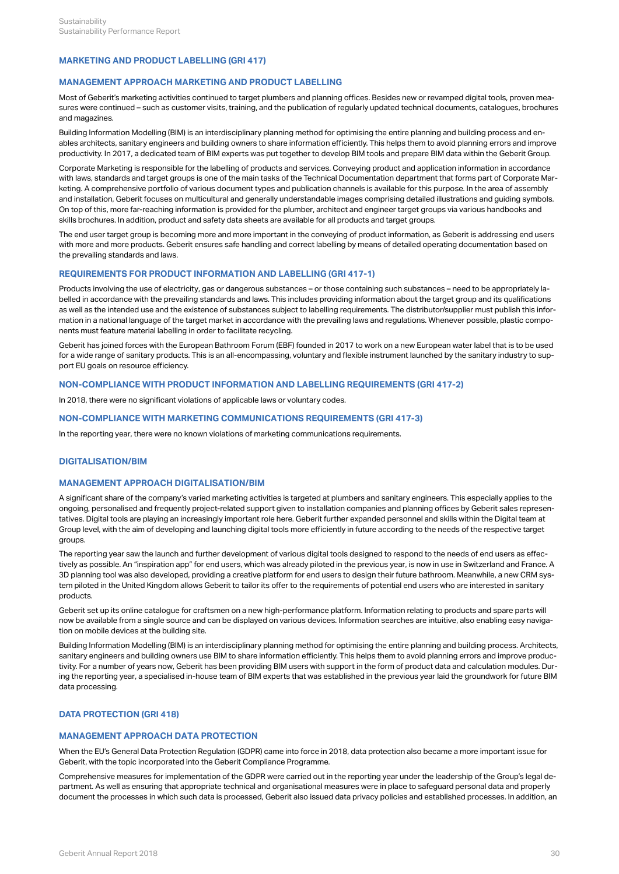# <span id="page-32-1"></span>**MARKETING AND PRODUCT LABELLING (GRI 417)**

# **MANAGEMENT APPROACH MARKETING AND PRODUCT LABELLING**

Most of Geberit's marketing activities continued to target plumbers and planning offices. Besides new or revamped digital tools, proven measures were continued – such as customer visits, training, and the publication of regularly updated technical documents, catalogues, brochures and magazines.

Building Information Modelling (BIM) is an interdisciplinary planning method for optimising the entire planning and building process and enables architects, sanitary engineers and building owners to share information efficiently. This helps them to avoid planning errors and improve productivity. In 2017, a dedicated team of BIM experts was put together to develop BIM tools and prepare BIM data within the Geberit Group.

Corporate Marketing is responsible for the labelling of products and services. Conveying product and application information in accordance with laws, standards and target groups is one of the main tasks of the Technical Documentation department that forms part of Corporate Marketing. A comprehensive portfolio of various document types and publication channels is available for this purpose. In the area of assembly and installation, Geberit focuses on multicultural and generally understandable images comprising detailed illustrations and guiding symbols. On top of this, more far-reaching information is provided for the plumber, architect and engineer target groups via various handbooks and skills brochures. In addition, product and safety data sheets are available for all products and target groups.

The end user target group is becoming more and more important in the conveying of product information, as Geberit is addressing end users with more and more products. Geberit ensures safe handling and correct labelling by means of detailed operating documentation based on the prevailing standards and laws.

# **REQUIREMENTS FOR PRODUCT INFORMATION AND LABELLING (GRI 417-1)**

Products involving the use of electricity, gas or dangerous substances – or those containing such substances – need to be appropriately labelled in accordance with the prevailing standards and laws. This includes providing information about the target group and its qualifications as well as the intended use and the existence of substances subject to labelling requirements. The distributor/supplier must publish this information in a national language of the target market in accordance with the prevailing laws and regulations. Whenever possible, plastic components must feature material labelling in order to facilitate recycling.

Geberit has joined forces with the European Bathroom Forum (EBF) founded in 2017 to work on a new European water label that is to be used for a wide range of sanitary products. This is an all-encompassing, voluntary and flexible instrument launched by the sanitary industry to support EU goals on resource efficiency.

# **NON-COMPLIANCE WITH PRODUCT INFORMATION AND LABELLING REQUIREMENTS (GRI 417-2)**

In 2018, there were no significant violations of applicable laws or voluntary codes.

### **NON-COMPLIANCE WITH MARKETING COMMUNICATIONS REQUIREMENTS (GRI 417-3)**

In the reporting year, there were no known violations of marketing communications requirements.

# **DIGITALISATION/BIM**

# **MANAGEMENT APPROACH DIGITALISATION/BIM**

A significant share of the company's varied marketing activities is targeted at plumbers and sanitary engineers. This especially applies to the ongoing, personalised and frequently project-related support given to installation companies and planning offices by Geberit sales representatives. Digital tools are playing an increasingly important role here. Geberit further expanded personnel and skills within the Digital team at Group level, with the aim of developing and launching digital tools more efficiently in future according to the needs of the respective target groups.

The reporting year saw the launch and further development of various digital tools designed to respond to the needs of end users as effectively as possible. An "inspiration app" for end users, which was already piloted in the previous year, is now in use in Switzerland and France. A 3D planning tool was also developed, providing a creative platform for end users to design their future bathroom. Meanwhile, a new CRM system piloted in the United Kingdom allows Geberit to tailor its offer to the requirements of potential end users who are interested in sanitary products.

Geberit set up its online catalogue for craftsmen on a new high-performance platform. Information relating to products and spare parts will now be available from a single source and can be displayed on various devices. Information searches are intuitive, also enabling easy navigation on mobile devices at the building site.

Building Information Modelling (BIM) is an interdisciplinary planning method for optimising the entire planning and building process. Architects, sanitary engineers and building owners use BIM to share information efficiently. This helps them to avoid planning errors and improve productivity. For a number of years now, Geberit has been providing BIM users with support in the form of product data and calculation modules. During the reporting year, a specialised in-house team of BIM experts that was established in the previous year laid the groundwork for future BIM data processing.

# <span id="page-32-0"></span>**DATA PROTECTION (GRI 418)**

# **MANAGEMENT APPROACH DATA PROTECTION**

When the EU's General Data Protection Regulation (GDPR) came into force in 2018, data protection also became a more important issue for Geberit, with the topic incorporated into the Geberit Compliance Programme.

Comprehensive measures for implementation of the GDPR were carried out in the reporting year under the leadership of the Group's legal department. As well as ensuring that appropriate technical and organisational measures were in place to safeguard personal data and properly document the processes in which such data is processed, Geberit also issued data privacy policies and established processes. In addition, an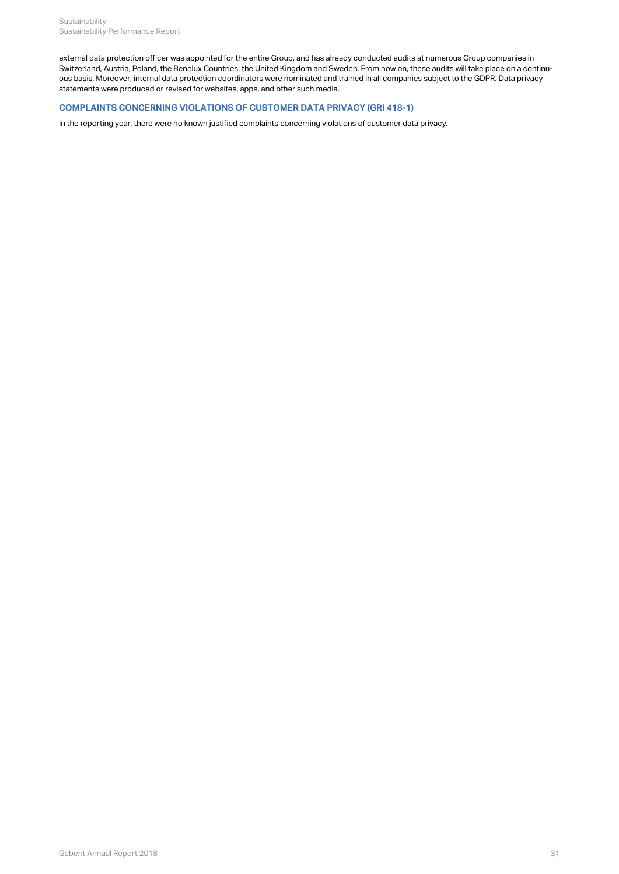external data protection officer was appointed for the entire Group, and has already conducted audits at numerous Group companies in Switzerland, Austria, Poland, the Benelux Countries, the United Kingdom and Sweden. From now on, these audits will take place on a continuous basis. Moreover, internal data protection coordinators were nominated and trained in all companies subject to the GDPR. Data privacy statements were produced or revised for websites, apps, and other such media.

# **COMPLAINTS CONCERNING VIOLATIONS OF CUSTOMER DATA PRIVACY (GRI 418-1)**

In the reporting year, there were no known justified complaints concerning violations of customer data privacy.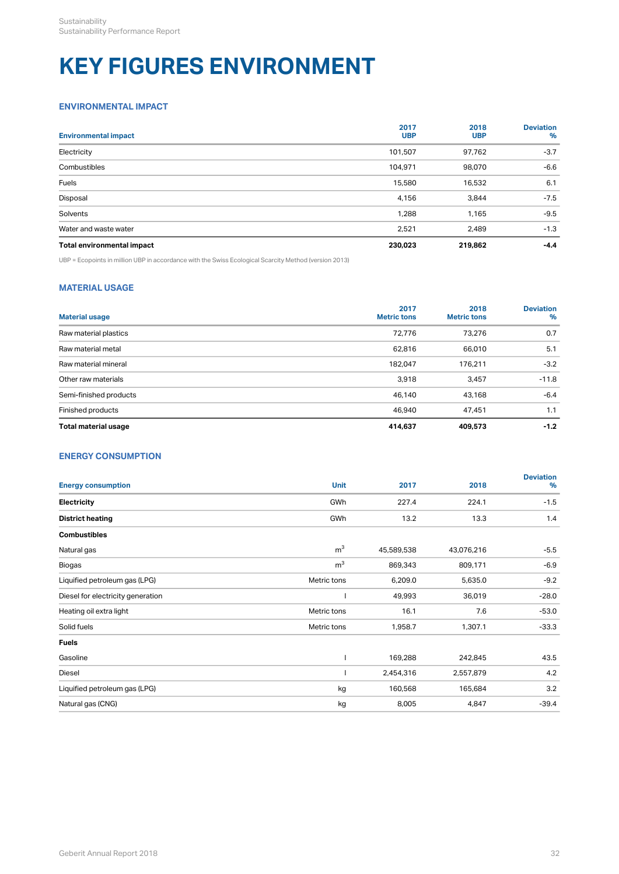# **KEY FIGURES ENVIRONMENT**

# <span id="page-34-0"></span>**ENVIRONMENTAL IMPACT**

| <b>Environmental impact</b> | 2017<br><b>UBP</b> | 2018<br><b>UBP</b> | <b>Deviation</b><br>$\%$ |
|-----------------------------|--------------------|--------------------|--------------------------|
| Electricity                 | 101,507            | 97,762             | $-3.7$                   |
| Combustibles                | 104,971            | 98,070             | $-6.6$                   |
| Fuels                       | 15,580             | 16,532             | 6.1                      |
| Disposal                    | 4,156              | 3,844              | $-7.5$                   |
| Solvents                    | 1,288              | 1,165              | $-9.5$                   |
| Water and waste water       | 2,521              | 2,489              | $-1.3$                   |
| Total environmental impact  | 230,023            | 219,862            | $-4.4$                   |

UBP = Ecopoints in million UBP in accordance with the Swiss Ecological Scarcity Method (version 2013)

# <span id="page-34-1"></span>**MATERIAL USAGE**

| <b>Material usage</b>  | 2017<br><b>Metric tons</b> | 2018<br><b>Metric tons</b> | <b>Deviation</b><br>% |
|------------------------|----------------------------|----------------------------|-----------------------|
| Raw material plastics  | 72,776                     | 73,276                     | 0.7                   |
| Raw material metal     | 62,816                     | 66,010                     | 5.1                   |
| Raw material mineral   | 182,047                    | 176,211                    | $-3.2$                |
| Other raw materials    | 3,918                      | 3,457                      | $-11.8$               |
| Semi-finished products | 46,140                     | 43,168                     | $-6.4$                |
| Finished products      | 46,940                     | 47,451                     | 1.1                   |
| Total material usage   | 414,637                    | 409,573                    | $-1.2$                |

# **ENERGY CONSUMPTION**

| <b>Energy consumption</b>         | <b>Unit</b>    | 2017       | 2018       | <b>Deviation</b><br>% |
|-----------------------------------|----------------|------------|------------|-----------------------|
| Electricity                       | GWh            | 227.4      | 224.1      | $-1.5$                |
| <b>District heating</b>           | GWh            | 13.2       | 13.3       | 1.4                   |
| <b>Combustibles</b>               |                |            |            |                       |
| Natural gas                       | m <sup>3</sup> | 45,589,538 | 43,076,216 | $-5.5$                |
| Biogas                            | m <sup>3</sup> | 869,343    | 809,171    | $-6.9$                |
| Liquified petroleum gas (LPG)     | Metric tons    | 6,209.0    | 5,635.0    | $-9.2$                |
| Diesel for electricity generation |                | 49,993     | 36,019     | $-28.0$               |
| Heating oil extra light           | Metric tons    | 16.1       | 7.6        | $-53.0$               |
| Solid fuels                       | Metric tons    | 1,958.7    | 1,307.1    | $-33.3$               |
| <b>Fuels</b>                      |                |            |            |                       |
| Gasoline                          |                | 169,288    | 242,845    | 43.5                  |
| Diesel                            |                | 2,454,316  | 2,557,879  | 4.2                   |
| Liquified petroleum gas (LPG)     | kg             | 160,568    | 165,684    | 3.2                   |
| Natural gas (CNG)                 | kg             | 8,005      | 4,847      | $-39.4$               |
|                                   |                |            |            |                       |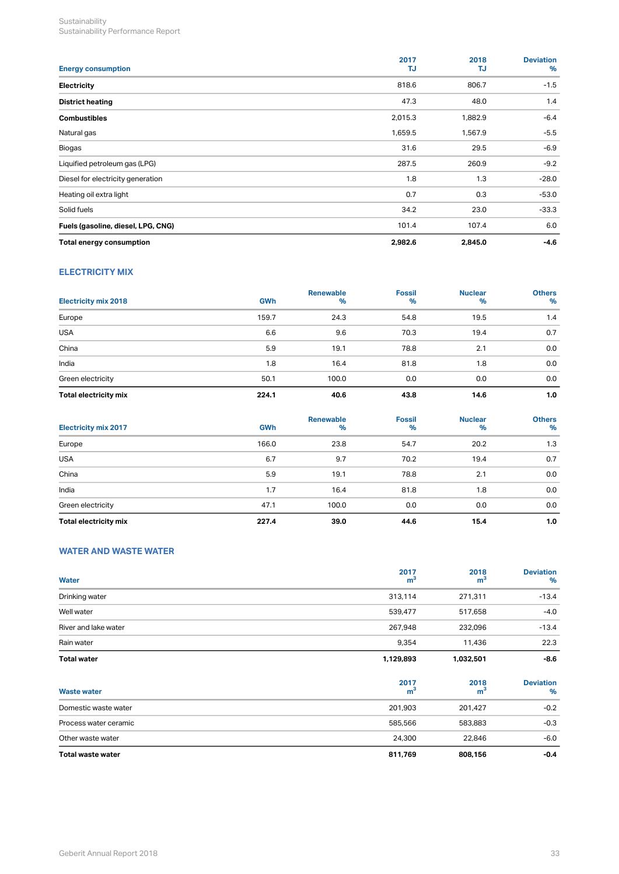| <b>Energy consumption</b>          | 2017<br>TJ | 2018<br>TJ. | <b>Deviation</b><br>% |
|------------------------------------|------------|-------------|-----------------------|
| Electricity                        | 818.6      | 806.7       | $-1.5$                |
| <b>District heating</b>            | 47.3       | 48.0        | 1.4                   |
| <b>Combustibles</b>                | 2,015.3    | 1,882.9     | $-6.4$                |
| Natural gas                        | 1,659.5    | 1,567.9     | $-5.5$                |
| Biogas                             | 31.6       | 29.5        | $-6.9$                |
| Liquified petroleum gas (LPG)      | 287.5      | 260.9       | $-9.2$                |
| Diesel for electricity generation  | 1.8        | 1.3         | $-28.0$               |
| Heating oil extra light            | 0.7        | 0.3         | $-53.0$               |
| Solid fuels                        | 34.2       | 23.0        | $-33.3$               |
| Fuels (gasoline, diesel, LPG, CNG) | 101.4      | 107.4       | 6.0                   |
| Total energy consumption           | 2,982.6    | 2,845.0     | $-4.6$                |

# <span id="page-35-0"></span>**ELECTRICITY MIX**

| <b>Electricity mix 2018</b> | <b>GWh</b> | Renewable<br>% | <b>Fossil</b><br>$\%$ | <b>Nuclear</b><br>% | <b>Others</b><br>% |
|-----------------------------|------------|----------------|-----------------------|---------------------|--------------------|
| Europe                      | 159.7      | 24.3           | 54.8                  | 19.5                | 1.4                |
| <b>USA</b>                  | 6.6        | 9.6            | 70.3                  | 19.4                | 0.7                |
| China                       | 5.9        | 19.1           | 78.8                  | 2.1                 | 0.0                |
| India                       | 1.8        | 16.4           | 81.8                  | 1.8                 | 0.0                |
| Green electricity           | 50.1       | 100.0          | 0.0                   | 0.0                 | 0.0                |
| Total electricity mix       | 224.1      | 40.6           | 43.8                  | 14.6                | 1.0                |

| <b>Electricity mix 2017</b> | <b>GWh</b> | Renewable<br>% | <b>Fossil</b><br>$\%$ | <b>Nuclear</b><br>% | <b>Others</b><br>% |
|-----------------------------|------------|----------------|-----------------------|---------------------|--------------------|
| Europe                      | 166.0      | 23.8           | 54.7                  | 20.2                | 1.3                |
| <b>USA</b>                  | 6.7        | 9.7            | 70.2                  | 19.4                | 0.7                |
| China                       | 5.9        | 19.1           | 78.8                  | 2.1                 | 0.0                |
| India                       | 1.7        | 16.4           | 81.8                  | 1.8                 | 0.0                |
| Green electricity           | 47.1       | 100.0          | 0.0                   | 0.0                 | 0.0                |
| Total electricity mix       | 227.4      | 39.0           | 44.6                  | 15.4                | 1.0                |

# <span id="page-35-1"></span>**WATER AND WASTE WATER**

| Water                 | 2017<br>m <sup>3</sup> | 2018<br>m <sup>3</sup> | <b>Deviation</b><br>% |
|-----------------------|------------------------|------------------------|-----------------------|
| Drinking water        | 313,114                | 271,311                | $-13.4$               |
| Well water            | 539,477                | 517,658                | $-4.0$                |
| River and lake water  | 267,948                | 232,096                | $-13.4$               |
| Rain water            | 9,354                  | 11,436                 | 22.3                  |
| <b>Total water</b>    | 1,129,893              | 1,032,501              | $-8.6$                |
| <b>Waste water</b>    | 2017<br>m <sup>3</sup> | 2018<br>m <sup>3</sup> | <b>Deviation</b><br>% |
| Domestic waste water  | 201,903                | 201,427                | $-0.2$                |
| Process water ceramic | 585,566                | 583,883                | $-0.3$                |
| Other waste water     | 24,300                 | 22,846                 | $-6.0$                |
| Total waste water     | 811,769                | 808,156                | $-0.4$                |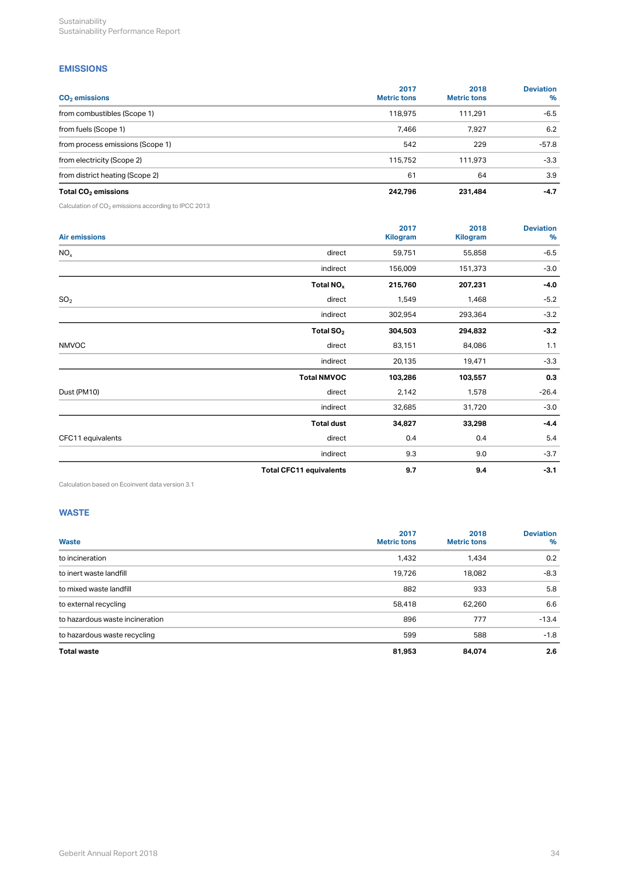# <span id="page-36-0"></span>**EMISSIONS**

| $CO2$ emissions                  | 2017<br><b>Metric tons</b> | 2018<br><b>Metric tons</b> | <b>Deviation</b><br>% |
|----------------------------------|----------------------------|----------------------------|-----------------------|
| from combustibles (Scope 1)      | 118,975                    | 111,291                    | $-6.5$                |
| from fuels (Scope 1)             | 7,466                      | 7,927                      | 6.2                   |
| from process emissions (Scope 1) | 542                        | 229                        | $-57.8$               |
| from electricity (Scope 2)       | 115.752                    | 111,973                    | $-3.3$                |
| from district heating (Scope 2)  | 61                         | 64                         | 3.9                   |
| Total $CO2$ emissions            | 242,796                    | 231,484                    | $-4.7$                |

Calculation of CO $_2$  emissions according to IPCC 2013  $\,$ 

| Air emissions     |                                | 2017<br>Kilogram | 2018<br>Kilogram | <b>Deviation</b><br>% |
|-------------------|--------------------------------|------------------|------------------|-----------------------|
| NO <sub>x</sub>   | direct                         | 59,751           | 55,858           | $-6.5$                |
|                   | indirect                       | 156,009          | 151,373          | $-3.0$                |
|                   | Total NO <sub>x</sub>          | 215,760          | 207,231          | $-4.0$                |
| SO <sub>2</sub>   | direct                         | 1,549            | 1,468            | $-5.2$                |
|                   | indirect                       | 302,954          | 293,364          | $-3.2$                |
|                   | Total $SO2$                    | 304,503          | 294,832          | $-3.2$                |
| <b>NMVOC</b>      | direct                         | 83,151           | 84,086           | 1.1                   |
|                   | indirect                       | 20,135           | 19,471           | $-3.3$                |
|                   | <b>Total NMVOC</b>             | 103,286          | 103,557          | 0.3                   |
| Dust (PM10)       | direct                         | 2,142            | 1,578            | $-26.4$               |
|                   | indirect                       | 32,685           | 31,720           | $-3.0$                |
|                   | <b>Total dust</b>              | 34,827           | 33,298           | $-4.4$                |
| CFC11 equivalents | direct                         | 0.4              | 0.4              | 5.4                   |
|                   | indirect                       | 9.3              | 9.0              | $-3.7$                |
|                   | <b>Total CFC11 equivalents</b> | 9.7              | 9.4              | $-3.1$                |

Calculation based on Ecoinvent data version 3.1

# <span id="page-36-1"></span>**WASTE**

| Waste                           | 2017<br><b>Metric tons</b> | 2018<br><b>Metric tons</b> | <b>Deviation</b><br>% |
|---------------------------------|----------------------------|----------------------------|-----------------------|
| to incineration                 | 1,432                      | 1,434                      | 0.2                   |
| to inert waste landfill         | 19,726                     | 18,082                     | $-8.3$                |
| to mixed waste landfill         | 882                        | 933                        | 5.8                   |
| to external recycling           | 58,418                     | 62,260                     | 6.6                   |
| to hazardous waste incineration | 896                        | 777                        | $-13.4$               |
| to hazardous waste recycling    | 599                        | 588                        | $-1.8$                |
| <b>Total waste</b>              | 81,953                     | 84,074                     | 2.6                   |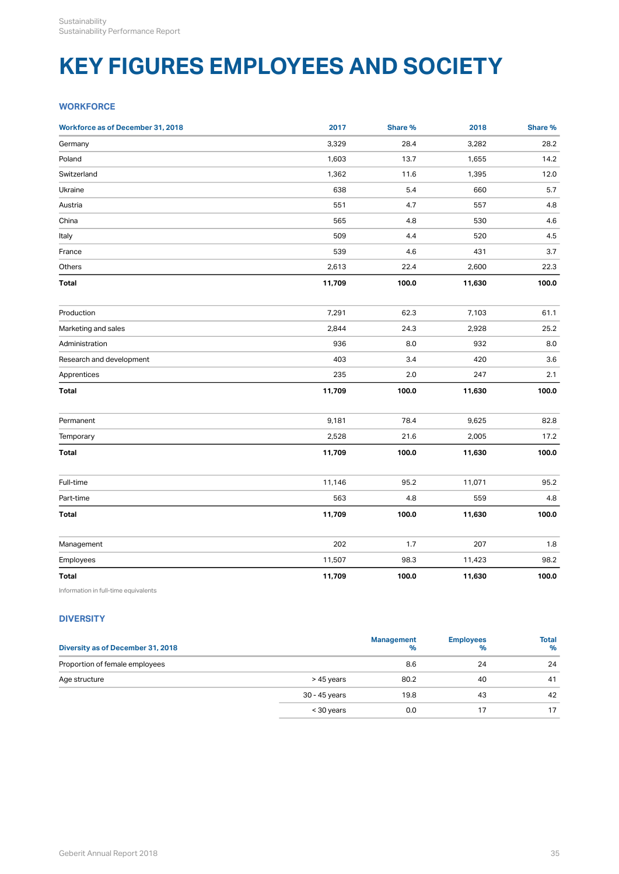# **KEY FIGURES EMPLOYEES AND SOCIETY**

# <span id="page-37-0"></span>**WORKFORCE**

| <b>Workforce as of December 31, 2018</b> | 2017   | Share % | 2018   | Share % |
|------------------------------------------|--------|---------|--------|---------|
| Germany                                  | 3,329  | 28.4    | 3,282  | 28.2    |
| Poland                                   | 1,603  | 13.7    | 1,655  | 14.2    |
| Switzerland                              | 1,362  | 11.6    | 1,395  | 12.0    |
| Ukraine                                  | 638    | $5.4\,$ | 660    | $5.7\,$ |
| Austria                                  | 551    | 4.7     | 557    | $4.8\,$ |
| China                                    | 565    | $4.8\,$ | 530    | $4.6\,$ |
| Italy                                    | 509    | 4.4     | 520    | 4.5     |
| France                                   | 539    | 4.6     | 431    | 3.7     |
| Others                                   | 2,613  | 22.4    | 2,600  | 22.3    |
| Total                                    | 11,709 | 100.0   | 11,630 | 100.0   |
| Production                               | 7,291  | 62.3    | 7,103  | 61.1    |
| Marketing and sales                      | 2,844  | 24.3    | 2,928  | 25.2    |
| Administration                           | 936    | $8.0\,$ | 932    | $8.0\,$ |
| Research and development                 | 403    | $3.4\,$ | 420    | $3.6\,$ |
| Apprentices                              | 235    | $2.0\,$ | 247    | 2.1     |
| Total                                    | 11,709 | 100.0   | 11,630 | 100.0   |
| Permanent                                | 9,181  | 78.4    | 9,625  | 82.8    |
| Temporary                                | 2,528  | 21.6    | 2,005  | 17.2    |
| Total                                    | 11,709 | 100.0   | 11,630 | 100.0   |
| Full-time                                | 11,146 | 95.2    | 11,071 | 95.2    |
| Part-time                                | 563    | $4.8\,$ | 559    | $4.8\,$ |
| Total                                    | 11,709 | 100.0   | 11,630 | 100.0   |
| Management                               | 202    | 1.7     | 207    | 1.8     |
| Employees                                | 11,507 | 98.3    | 11,423 | 98.2    |
| Total                                    | 11,709 | 100.0   | 11,630 | 100.0   |

Information in full-time equivalents

# <span id="page-37-1"></span>**DIVERSITY**

| Diversity as of December 31, 2018 |               | <b>Management</b><br>% | <b>Employees</b><br>% | <b>Total</b><br>$\%$ |
|-----------------------------------|---------------|------------------------|-----------------------|----------------------|
| Proportion of female employees    |               | 8.6                    | 24                    | 24                   |
| Age structure                     | > 45 years    | 80.2                   | 40                    | 41                   |
|                                   | 30 - 45 years | 19.8                   | 43                    | 42                   |
|                                   | < 30 years    | 0.0                    |                       |                      |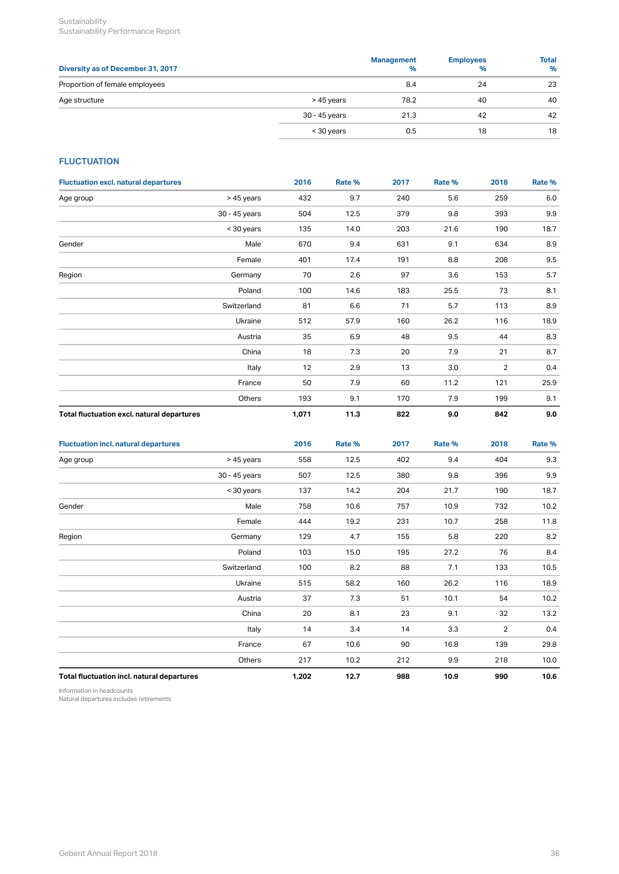Sustainability **Sustainability** Sustainability Performance Report

| Diversity as of December 31, 2017 |               | <b>Management</b><br>% | <b>Employees</b><br>% | <b>Total</b><br>% |
|-----------------------------------|---------------|------------------------|-----------------------|-------------------|
| Proportion of female employees    |               | 8.4                    | 24                    | -23               |
| Age structure                     | > 45 years    | 78.2                   | 40                    | 40                |
|                                   | 30 - 45 years | 21.3                   | 42                    | 42                |
|                                   | < 30 years    | 0.5                    | 18                    | 18                |

# <span id="page-38-0"></span>**FLUCTUATION**

| <b>Fluctuation excl. natural departures</b> |               | 2016  | Rate % | 2017 | Rate % | 2018           | Rate % |
|---------------------------------------------|---------------|-------|--------|------|--------|----------------|--------|
| Age group                                   | > 45 years    | 432   | 9.7    | 240  | 5.6    | 259            | 6.0    |
|                                             | 30 - 45 years | 504   | 12.5   | 379  | 9.8    | 393            | 9.9    |
|                                             | < 30 years    | 135   | 14.0   | 203  | 21.6   | 190            | 18.7   |
| Gender                                      | Male          | 670   | 9.4    | 631  | 9.1    | 634            | 8.9    |
|                                             | Female        | 401   | 17.4   | 191  | 8.8    | 208            | 9.5    |
| Region                                      | Germany       | 70    | 2.6    | 97   | 3.6    | 153            | 5.7    |
|                                             | Poland        | 100   | 14.6   | 183  | 25.5   | 73             | 8.1    |
|                                             | Switzerland   | 81    | 6.6    | 71   | 5.7    | 113            | 8.9    |
|                                             | Ukraine       | 512   | 57.9   | 160  | 26.2   | 116            | 18.9   |
|                                             | Austria       | 35    | 6.9    | 48   | 9.5    | 44             | 8.3    |
|                                             | China         | 18    | 7.3    | 20   | 7.9    | 21             | 8.7    |
|                                             | Italy         | 12    | 2.9    | 13   | 3.0    | $\overline{2}$ | 0.4    |
|                                             | France        | 50    | 7.9    | 60   | 11.2   | 121            | 25.9   |
|                                             | Others        | 193   | 9.1    | 170  | 7.9    | 199            | 9.1    |
| Total fluctuation excl. natural departures  |               | 1,071 | 11.3   | 822  | 9.0    | 842            | 9.0    |

| <b>Fluctuation incl. natural departures</b> |               | 2016  | Rate % | 2017 | Rate % | 2018           | Rate %  |
|---------------------------------------------|---------------|-------|--------|------|--------|----------------|---------|
| Age group                                   | > 45 years    | 558   | 12.5   | 402  | 9.4    | 404            | 9.3     |
|                                             | 30 - 45 years | 507   | 12.5   | 380  | 9.8    | 396            | $9.9\,$ |
|                                             | < 30 years    | 137   | 14.2   | 204  | 21.7   | 190            | 18.7    |
| Gender                                      | Male          | 758   | 10.6   | 757  | 10.9   | 732            | 10.2    |
|                                             | Female        | 444   | 19.2   | 231  | 10.7   | 258            | 11.8    |
| Region                                      | Germany       | 129   | 4.7    | 155  | 5.8    | 220            | 8.2     |
|                                             | Poland        | 103   | 15.0   | 195  | 27.2   | 76             | 8.4     |
|                                             | Switzerland   | 100   | 8.2    | 88   | 7.1    | 133            | 10.5    |
|                                             | Ukraine       | 515   | 58.2   | 160  | 26.2   | 116            | 18.9    |
|                                             | Austria       | 37    | 7.3    | 51   | 10.1   | 54             | 10.2    |
|                                             | China         | 20    | 8.1    | 23   | 9.1    | 32             | 13.2    |
|                                             | Italy         | 14    | 3.4    | 14   | 3.3    | $\overline{2}$ | 0.4     |
|                                             | France        | 67    | 10.6   | 90   | 16.8   | 139            | 29.8    |
|                                             | Others        | 217   | 10.2   | 212  | 9.9    | 218            | 10.0    |
| Total fluctuation incl. natural departures  |               | 1,202 | 12.7   | 988  | 10.9   | 990            | 10.6    |

Information in headcounts

Natural departures includes retirements